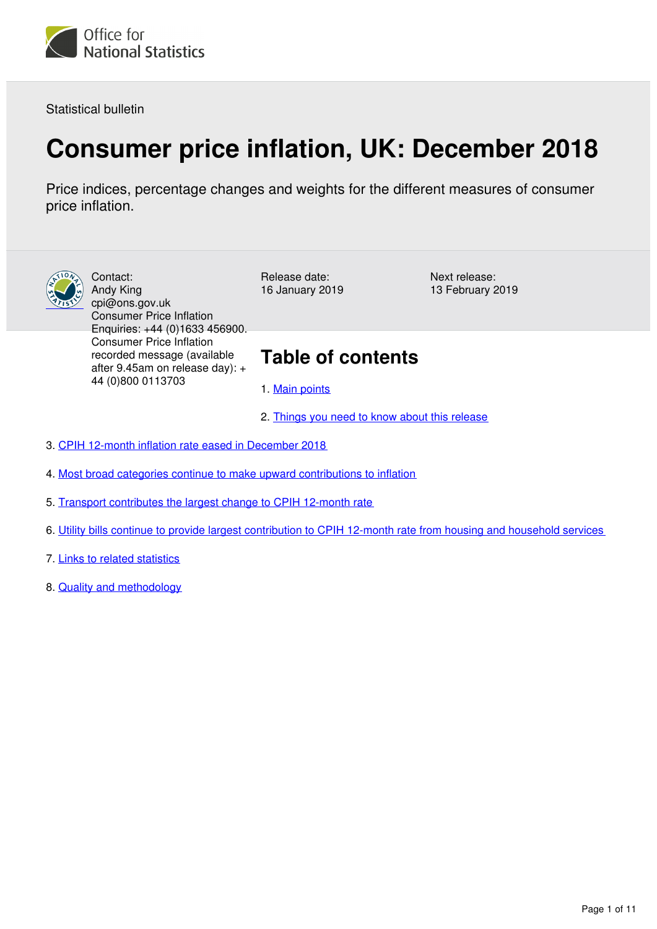

Statistical bulletin

# **Consumer price inflation, UK: December 2018**

Price indices, percentage changes and weights for the different measures of consumer price inflation.



Contact: Andy King cpi@ons.gov.uk Consumer Price Inflation Enquiries: +44 (0)1633 456900. Consumer Price Inflation recorded message (available after 9.45am on release day): + 44 (0)800 0113703

Release date: 16 January 2019 Next release: 13 February 2019

## **Table of contents**

- 1. [Main points](#page-1-0)
- 2. [Things you need to know about this release](#page-1-1)
- 3. [CPIH 12-month inflation rate eased in December 2018](#page-2-0)
- 4. [Most broad categories continue to make upward contributions to inflation](#page-4-0)
- 5. [Transport contributes the largest change to CPIH 12-month rate](#page-7-0)
- 6. [Utility bills continue to provide largest contribution to CPIH 12-month rate from housing and household services](#page-8-0)
- 7. [Links to related statistics](#page-10-0)
- 8. [Quality and methodology](#page-10-1)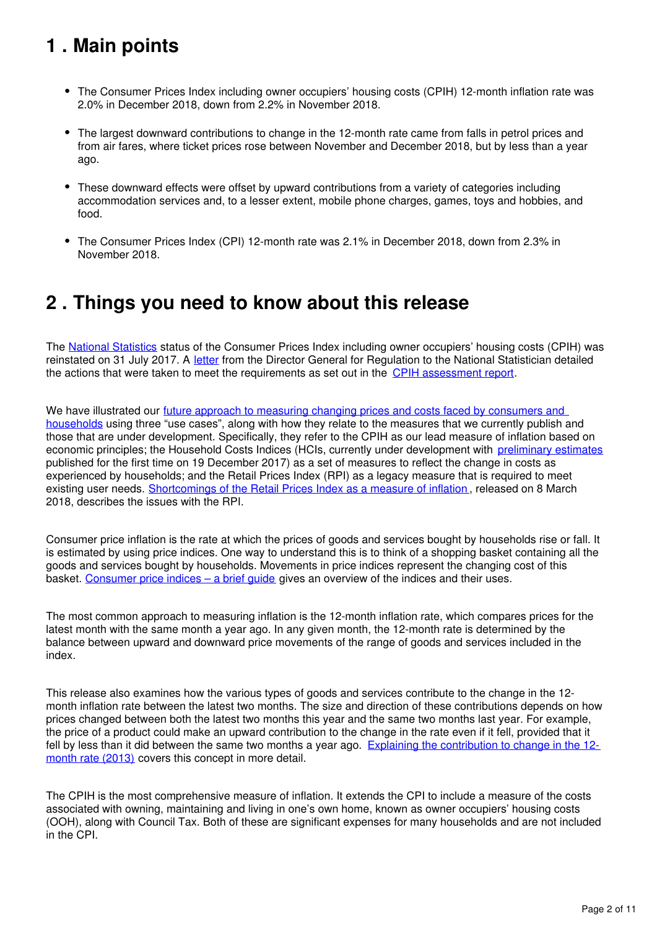# <span id="page-1-0"></span>**1 . Main points**

- The Consumer Prices Index including owner occupiers' housing costs (CPIH) 12-month inflation rate was 2.0% in December 2018, down from 2.2% in November 2018.
- The largest downward contributions to change in the 12-month rate came from falls in petrol prices and from air fares, where ticket prices rose between November and December 2018, but by less than a year ago.
- These downward effects were offset by upward contributions from a variety of categories including accommodation services and, to a lesser extent, mobile phone charges, games, toys and hobbies, and food.
- The Consumer Prices Index (CPI) 12-month rate was 2.1% in December 2018, down from 2.3% in November 2018.

## <span id="page-1-1"></span>**2 . Things you need to know about this release**

The [National Statistics](https://www.statisticsauthority.gov.uk/national-statistician/types-of-official-statistics/) status of the Consumer Prices Index including owner occupiers' housing costs (CPIH) was reinstated on 31 July 2017. A [letter](https://www.statisticsauthority.gov.uk/correspondence/consumer-prices-index-including-owner-occupiers-housing-costs-cpih-re-designation/) from the Director General for Regulation to the National Statistician detailed the actions that were taken to meet the requirements as set out in the CPIH assessment report.

We have illustrated our future approach to measuring changing prices and costs faced by consumers and [households](https://www.ons.gov.uk/economy/inflationandpriceindices/articles/measuringchangingpricesandcostsforconsumersandhouseholds/march2018) using three "use cases", along with how they relate to the measures that we currently publish and those that are under development. Specifically, they refer to the CPIH as our lead measure of inflation based on economic principles; the Household Costs Indices (HCIs, currently under development with [preliminary estimates](https://www.ons.gov.uk/economy/inflationandpriceindices/bulletins/householdcostsindices/preliminaryestimates2005to2017) published for the first time on 19 December 2017) as a set of measures to reflect the change in costs as experienced by households; and the Retail Prices Index (RPI) as a legacy measure that is required to meet existing user needs. [Shortcomings of the Retail Prices Index as a measure of inflation](https://www.ons.gov.uk/economy/inflationandpriceindices/articles/shortcomingsoftheretailpricesindexasameasureofinflation/2018-03-08), released on 8 March 2018, describes the issues with the RPI.

Consumer price inflation is the rate at which the prices of goods and services bought by households rise or fall. It is estimated by using price indices. One way to understand this is to think of a shopping basket containing all the goods and services bought by households. Movements in price indices represent the changing cost of this basket. [Consumer price indices – a brief guide](https://www.ons.gov.uk/economy/inflationandpriceindices/articles/consumerpriceindicesabriefguide/2017) gives an overview of the indices and their uses.

The most common approach to measuring inflation is the 12-month inflation rate, which compares prices for the latest month with the same month a year ago. In any given month, the 12-month rate is determined by the balance between upward and downward price movements of the range of goods and services included in the index.

This release also examines how the various types of goods and services contribute to the change in the 12 month inflation rate between the latest two months. The size and direction of these contributions depends on how prices changed between both the latest two months this year and the same two months last year. For example, the price of a product could make an upward contribution to the change in the rate even if it fell, provided that it fell by less than it did between the same two months a year ago. [Explaining the contribution to change in the 12](http://webarchive.nationalarchives.gov.uk/20160105160709/http:/www.ons.gov.uk/ons/guide-method/user-guidance/prices/cpi-and-rpi/index.html) [month rate \(2013\)](http://webarchive.nationalarchives.gov.uk/20160105160709/http:/www.ons.gov.uk/ons/guide-method/user-guidance/prices/cpi-and-rpi/index.html) covers this concept in more detail.

The CPIH is the most comprehensive measure of inflation. It extends the CPI to include a measure of the costs associated with owning, maintaining and living in one's own home, known as owner occupiers' housing costs (OOH), along with Council Tax. Both of these are significant expenses for many households and are not included in the CPI.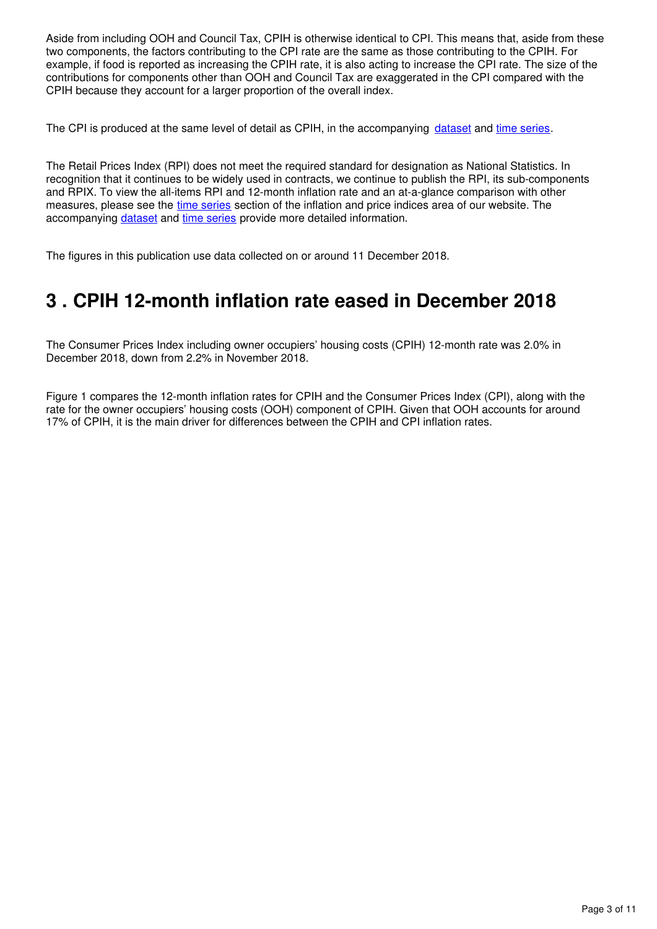Aside from including OOH and Council Tax, CPIH is otherwise identical to CPI. This means that, aside from these two components, the factors contributing to the CPI rate are the same as those contributing to the CPIH. For example, if food is reported as increasing the CPIH rate, it is also acting to increase the CPI rate. The size of the contributions for components other than OOH and Council Tax are exaggerated in the CPI compared with the CPIH because they account for a larger proportion of the overall index.

The CPI is produced at the same level of detail as CPIH, in the accompanying dataset and time series[.](https://www.ons.gov.uk/economy/inflationandpriceindices/datasets/consumerpriceindices)

The Retail Prices Index (RPI) does not meet the required standard for designation as National Statistics. In recognition that it continues to be widely used in contracts, we continue to publish the RPI, its sub-components and RPIX. To view the all-items RPI and 12-month inflation rate and an at-a-glance comparison with other measures, please see the [time series](https://www.ons.gov.uk/economy/inflationandpriceindices#timeseries) section of the inflation and price indices area of our website. The accompanyingdataset and time series provide more detailed information.

The figures in this publication use data collected on or around 11 December 2018.

### <span id="page-2-0"></span>**3 . CPIH 12-month inflation rate eased in December 2018**

The Consumer Prices Index including owner occupiers' housing costs (CPIH) 12-month rate was 2.0% in December 2018, down from 2.2% in November 2018.

Figure 1 compares the 12-month inflation rates for CPIH and the Consumer Prices Index (CPI), along with the rate for the owner occupiers' housing costs (OOH) component of CPIH. Given that OOH accounts for around 17% of CPIH, it is the main driver for differences between the CPIH and CPI inflation rates.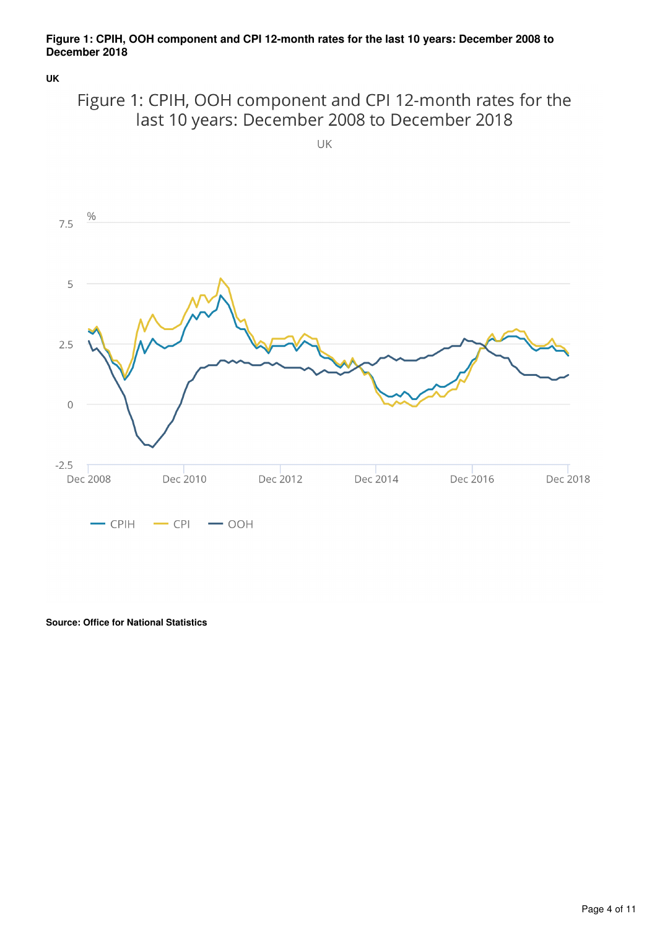### **Figure 1: CPIH, OOH component and CPI 12-month rates for the last 10 years: December 2008 to December 2018**

**UK**



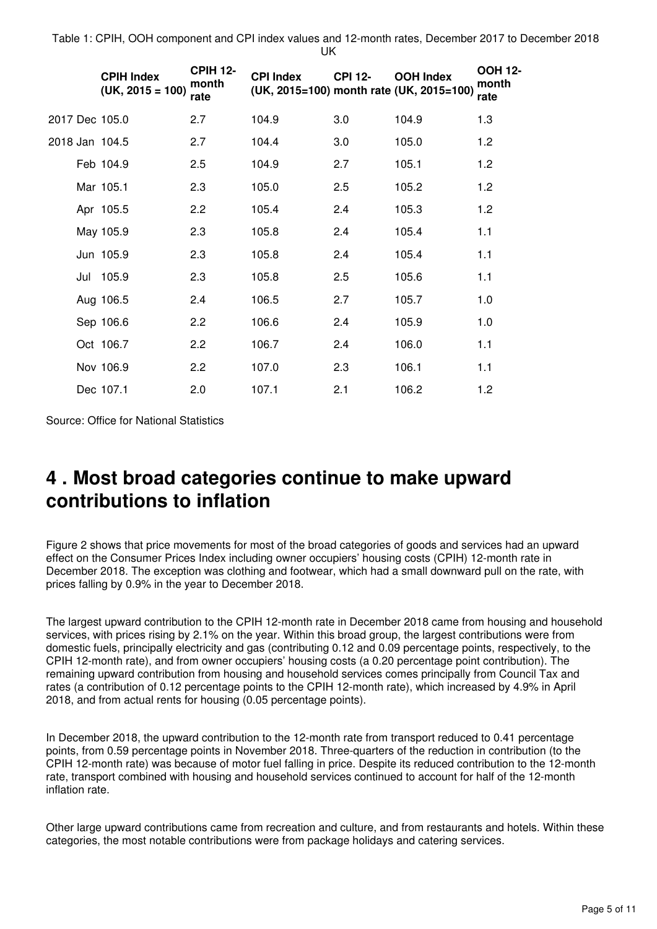Table 1: CPIH, OOH component and CPI index values and 12-month rates, December 2017 to December 2018 UK

|  | <b>CPIH Index</b><br>$(UK, 2015 = 100)$ | <b>CPIH 12-</b><br>month<br>rate | <b>CPI Index</b><br>(UK, 2015=100) month rate (UK, 2015=100) | <b>CPI 12-</b> | <b>OOH Index</b> | <b>OOH 12-</b><br>month<br>rate |
|--|-----------------------------------------|----------------------------------|--------------------------------------------------------------|----------------|------------------|---------------------------------|
|  | 2017 Dec 105.0                          | 2.7                              | 104.9                                                        | 3.0            | 104.9            | 1.3                             |
|  | 2018 Jan 104.5                          | 2.7                              | 104.4                                                        | 3.0            | 105.0            | 1.2                             |
|  | Feb 104.9                               | 2.5                              | 104.9                                                        | 2.7            | 105.1            | 1.2                             |
|  | Mar 105.1                               | 2.3                              | 105.0                                                        | 2.5            | 105.2            | 1.2                             |
|  | Apr 105.5                               | 2.2                              | 105.4                                                        | 2.4            | 105.3            | 1.2                             |
|  | May 105.9                               | 2.3                              | 105.8                                                        | 2.4            | 105.4            | 1.1                             |
|  | Jun 105.9                               | 2.3                              | 105.8                                                        | 2.4            | 105.4            | 1.1                             |
|  | Jul 105.9                               | 2.3                              | 105.8                                                        | 2.5            | 105.6            | 1.1                             |
|  | Aug 106.5                               | 2.4                              | 106.5                                                        | 2.7            | 105.7            | 1.0                             |
|  | Sep 106.6                               | 2.2                              | 106.6                                                        | 2.4            | 105.9            | 1.0                             |
|  | Oct 106.7                               | 2.2                              | 106.7                                                        | 2.4            | 106.0            | 1.1                             |
|  | Nov 106.9                               | 2.2                              | 107.0                                                        | 2.3            | 106.1            | 1.1                             |
|  | Dec 107.1                               | 2.0                              | 107.1                                                        | 2.1            | 106.2            | 1.2                             |

Source: Office for National Statistics

### <span id="page-4-0"></span>**4 . Most broad categories continue to make upward contributions to inflation**

Figure 2 shows that price movements for most of the broad categories of goods and services had an upward effect on the Consumer Prices Index including owner occupiers' housing costs (CPIH) 12-month rate in December 2018. The exception was clothing and footwear, which had a small downward pull on the rate, with prices falling by 0.9% in the year to December 2018.

The largest upward contribution to the CPIH 12-month rate in December 2018 came from housing and household services, with prices rising by 2.1% on the year. Within this broad group, the largest contributions were from domestic fuels, principally electricity and gas (contributing 0.12 and 0.09 percentage points, respectively, to the CPIH 12-month rate), and from owner occupiers' housing costs (a 0.20 percentage point contribution). The remaining upward contribution from housing and household services comes principally from Council Tax and rates (a contribution of 0.12 percentage points to the CPIH 12-month rate), which increased by 4.9% in April 2018, and from actual rents for housing (0.05 percentage points).

In December 2018, the upward contribution to the 12-month rate from transport reduced to 0.41 percentage points, from 0.59 percentage points in November 2018. Three-quarters of the reduction in contribution (to the CPIH 12-month rate) was because of motor fuel falling in price. Despite its reduced contribution to the 12-month rate, transport combined with housing and household services continued to account for half of the 12-month inflation rate.

Other large upward contributions came from recreation and culture, and from restaurants and hotels. Within these categories, the most notable contributions were from package holidays and catering services.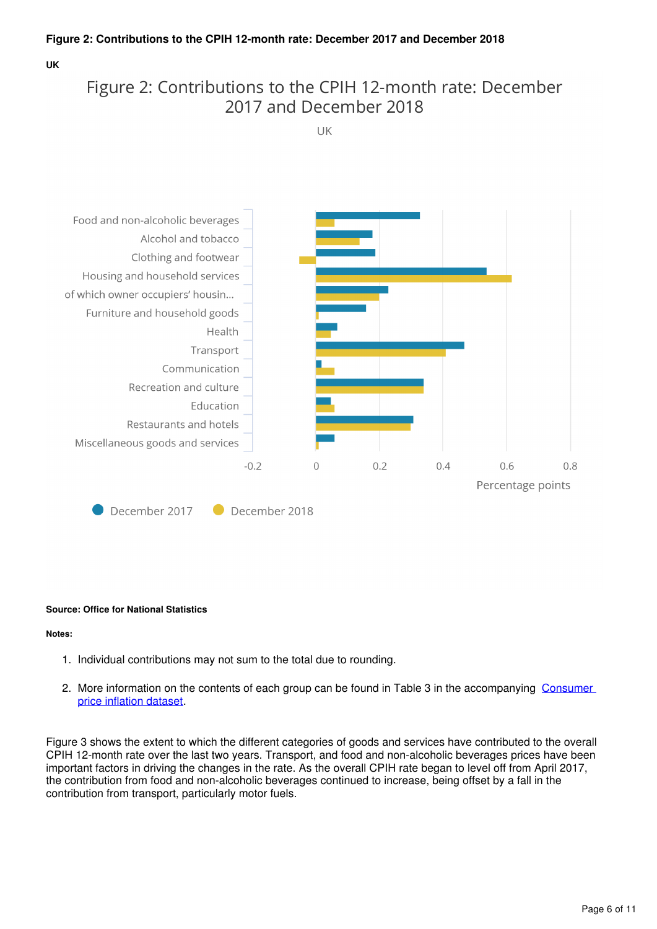### **Figure 2: Contributions to the CPIH 12-month rate: December 2017 and December 2018**

#### **UK**

### Figure 2: Contributions to the CPIH 12-month rate: December 2017 and December 2018

UK



#### **Source: Office for National Statistics**

#### **Notes:**

- 1. Individual contributions may not sum to the total due to rounding.
- 2. More information on the contents of each group can be found in Table 3 in the accompanying Consumer [price inflation dataset](https://www.ons.gov.uk/economy/inflationandpriceindices/datasets/consumerpriceinflation).

Figure 3 shows the extent to which the different categories of goods and services have contributed to the overall CPIH 12-month rate over the last two years. Transport, and food and non-alcoholic beverages prices have been important factors in driving the changes in the rate. As the overall CPIH rate began to level off from April 2017, the contribution from food and non-alcoholic beverages continued to increase, being offset by a fall in the contribution from transport, particularly motor fuels.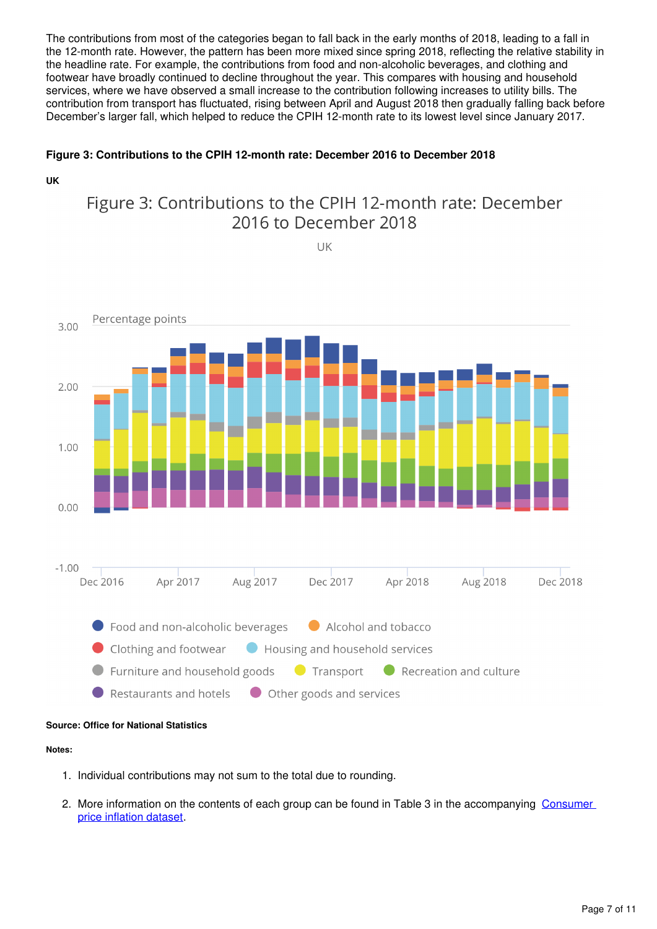The contributions from most of the categories began to fall back in the early months of 2018, leading to a fall in the 12-month rate. However, the pattern has been more mixed since spring 2018, reflecting the relative stability in the headline rate. For example, the contributions from food and non-alcoholic beverages, and clothing and footwear have broadly continued to decline throughout the year. This compares with housing and household services, where we have observed a small increase to the contribution following increases to utility bills. The contribution from transport has fluctuated, rising between April and August 2018 then gradually falling back before December's larger fall, which helped to reduce the CPIH 12-month rate to its lowest level since January 2017.

### **Figure 3: Contributions to the CPIH 12-month rate: December 2016 to December 2018**

**UK**

### Figure 3: Contributions to the CPIH 12-month rate: December 2016 to December 2018

UK



#### **Source: Office for National Statistics**

#### **Notes:**

- 1. Individual contributions may not sum to the total due to rounding.
- 2. More information on the contents of each group can be found in Table 3 in the accompanying Consumer [price inflation dataset](https://www.ons.gov.uk/economy/inflationandpriceindices/datasets/consumerpriceinflation).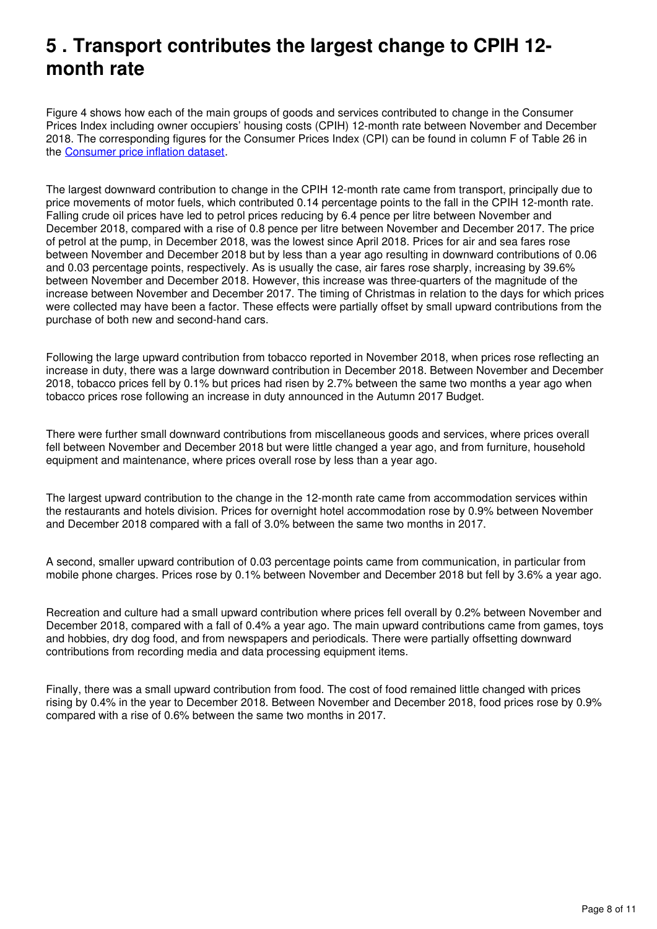### <span id="page-7-0"></span>**5 . Transport contributes the largest change to CPIH 12 month rate**

Figure 4 shows how each of the main groups of goods and services contributed to change in the Consumer Prices Index including owner occupiers' housing costs (CPIH) 12-month rate between November and December 2018. The corresponding figures for the Consumer Prices Index (CPI) can be found in column F of Table 26 in the Consumer price inflation dataset[.](https://www.ons.gov.uk/economy/inflationandpriceindices/datasets/consumerpriceinflation)

The largest downward contribution to change in the CPIH 12-month rate came from transport, principally due to price movements of motor fuels, which contributed 0.14 percentage points to the fall in the CPIH 12-month rate. Falling crude oil prices have led to petrol prices reducing by 6.4 pence per litre between November and December 2018, compared with a rise of 0.8 pence per litre between November and December 2017. The price of petrol at the pump, in December 2018, was the lowest since April 2018. Prices for air and sea fares rose between November and December 2018 but by less than a year ago resulting in downward contributions of 0.06 and 0.03 percentage points, respectively. As is usually the case, air fares rose sharply, increasing by 39.6% between November and December 2018. However, this increase was three-quarters of the magnitude of the increase between November and December 2017. The timing of Christmas in relation to the days for which prices were collected may have been a factor. These effects were partially offset by small upward contributions from the purchase of both new and second-hand cars.

Following the large upward contribution from tobacco reported in November 2018, when prices rose reflecting an increase in duty, there was a large downward contribution in December 2018. Between November and December 2018, tobacco prices fell by 0.1% but prices had risen by 2.7% between the same two months a year ago when tobacco prices rose following an increase in duty announced in the Autumn 2017 Budget.

There were further small downward contributions from miscellaneous goods and services, where prices overall fell between November and December 2018 but were little changed a year ago, and from furniture, household equipment and maintenance, where prices overall rose by less than a year ago.

The largest upward contribution to the change in the 12-month rate came from accommodation services within the restaurants and hotels division. Prices for overnight hotel accommodation rose by 0.9% between November and December 2018 compared with a fall of 3.0% between the same two months in 2017.

A second, smaller upward contribution of 0.03 percentage points came from communication, in particular from mobile phone charges. Prices rose by 0.1% between November and December 2018 but fell by 3.6% a year ago.

Recreation and culture had a small upward contribution where prices fell overall by 0.2% between November and December 2018, compared with a fall of 0.4% a year ago. The main upward contributions came from games, toys and hobbies, dry dog food, and from newspapers and periodicals. There were partially offsetting downward contributions from recording media and data processing equipment items.

Finally, there was a small upward contribution from food. The cost of food remained little changed with prices rising by 0.4% in the year to December 2018. Between November and December 2018, food prices rose by 0.9% compared with a rise of 0.6% between the same two months in 2017.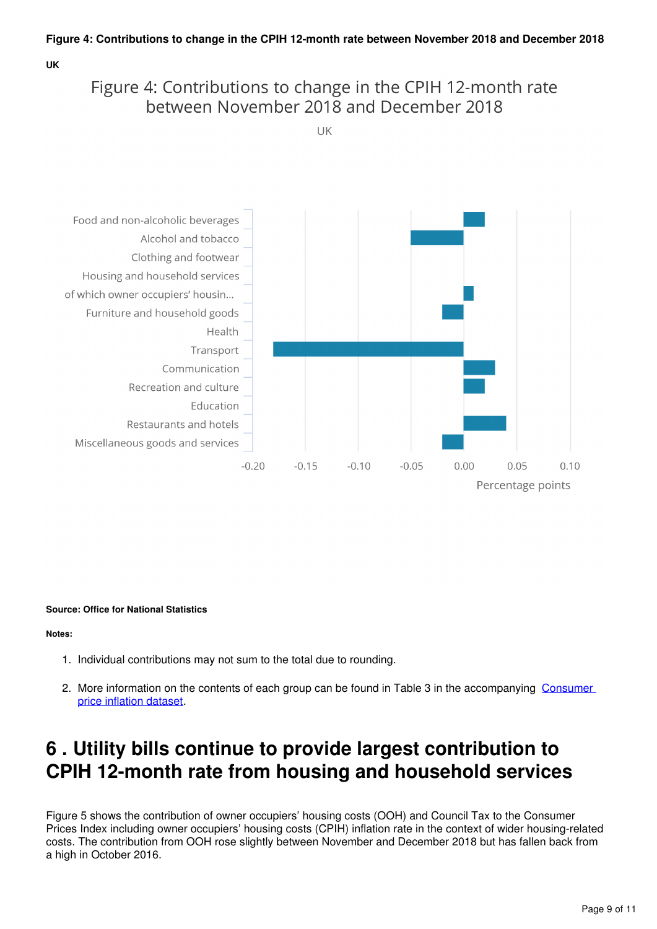#### **UK**

### Figure 4: Contributions to change in the CPIH 12-month rate between November 2018 and December 2018

**IIK** 



#### **Source: Office for National Statistics**

**Notes:**

- 1. Individual contributions may not sum to the total due to rounding.
- 2. More information on the contents of each group can be found in Table 3 in the accompanying Consumer [price inflation dataset](https://www.ons.gov.uk/economy/inflationandpriceindices/datasets/consumerpriceinflation).

## <span id="page-8-0"></span>**6 . Utility bills continue to provide largest contribution to CPIH 12-month rate from housing and household services**

Figure 5 shows the contribution of owner occupiers' housing costs (OOH) and Council Tax to the Consumer Prices Index including owner occupiers' housing costs (CPIH) inflation rate in the context of wider housing-related costs. The contribution from OOH rose slightly between November and December 2018 but has fallen back from a high in October 2016.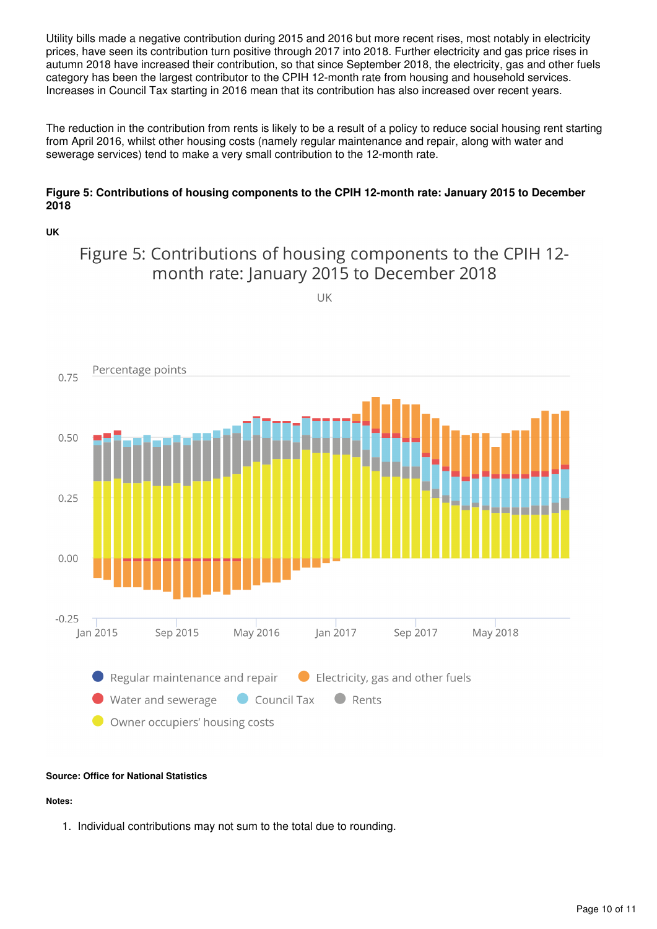Utility bills made a negative contribution during 2015 and 2016 but more recent rises, most notably in electricity prices, have seen its contribution turn positive through 2017 into 2018. Further electricity and gas price rises in autumn 2018 have increased their contribution, so that since September 2018, the electricity, gas and other fuels category has been the largest contributor to the CPIH 12-month rate from housing and household services. Increases in Council Tax starting in 2016 mean that its contribution has also increased over recent years.

The reduction in the contribution from rents is likely to be a result of a policy to reduce social housing rent starting from April 2016, whilst other housing costs (namely regular maintenance and repair, along with water and sewerage services) tend to make a very small contribution to the 12-month rate.

#### **Figure 5: Contributions of housing components to the CPIH 12-month rate: January 2015 to December 2018**

#### **UK**

### Figure 5: Contributions of housing components to the CPIH 12month rate: January 2015 to December 2018

UK



#### **Source: Office for National Statistics**

#### **Notes:**

1. Individual contributions may not sum to the total due to rounding.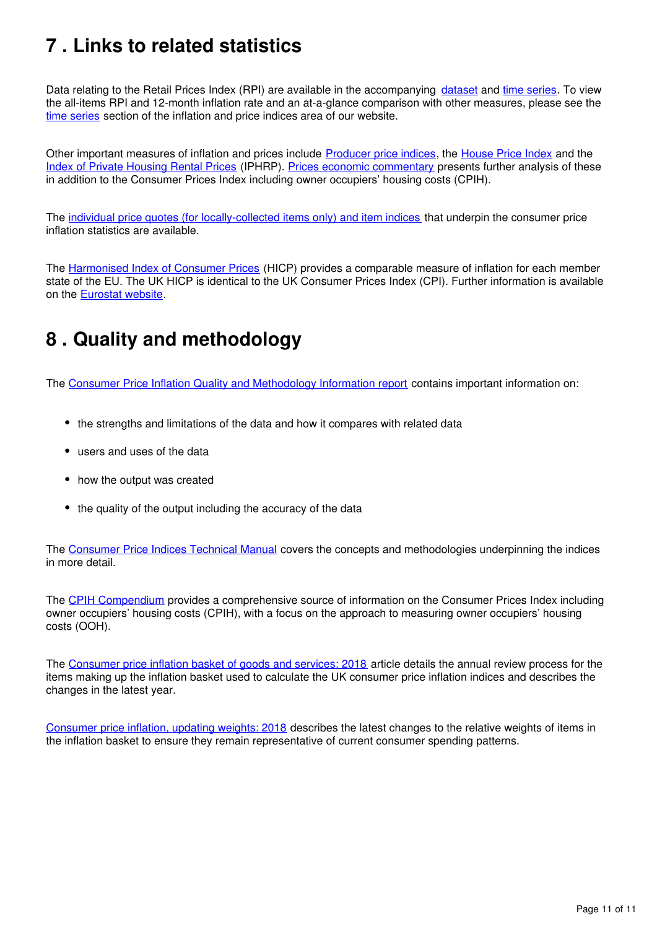# <span id="page-10-0"></span>**7 . Links to related statistics**

Data relating to the Retail Prices Index (RPI) are available in the accompanying dataset and time series[.](https://www.ons.gov.uk/economy/inflationandpriceindices/datasets/consumerpriceindices) To view the all-items RPI and 12-month inflation rate and an at-a-glance comparison with other measures, please see the [time series](https://www.ons.gov.uk/economy/inflationandpriceindices#timeseries) section of the inflation and price indices area of our website.

Other important measures of inflation and prices include [Producer price indices](https://www.ons.gov.uk/economy/inflationandpriceindices/bulletins/producerpriceinflation/previousReleases), the House Price Index and the [Index of Private Housing Rental Prices](https://www.ons.gov.uk/economy/inflationandpriceindices/bulletins/indexofprivatehousingrentalprices/previousReleases) (IPHRP). [Prices economic commentary](https://www.ons.gov.uk/economy/inflationandpriceindices/articles/priceseconomiccommentary/previousReleases) presents further analysis of these in addition to the Consumer Prices Index including owner occupiers' housing costs (CPIH).

The [individual price quotes \(for locally-collected items only\) and item indices](https://www.ons.gov.uk/economy/inflationandpriceindices/datasets/consumerpriceindicescpiandretailpricesindexrpiitemindicesandpricequotes) that underpin the consumer price inflation statistics are available.

The [Harmonised Index of Consumer Prices](http://ec.europa.eu/eurostat/tgm/refreshTableAction.do?tab=table&plugin=1&pcode=teicp000&language=en) (HICP) provides a comparable measure of inflation for each member state of the EU. The UK HICP is identical to the UK Consumer Prices Index (CPI). Further information is available on the Eurostat website[.](http://ec.europa.eu/eurostat/web/hicp/overview)

# <span id="page-10-1"></span>**8 . Quality and methodology**

The [Consumer Price Inflation Quality and Methodology Information report](https://www.ons.gov.uk/economy/inflationandpriceindices/methodologies/consumerpriceinflationincludesall3indicescpihcpiandrpiqmi) contains important information on:

- the strengths and limitations of the data and how it compares with related data
- users and uses of the data
- how the output was created
- the quality of the output including the accuracy of the data

The [Consumer Price Indices Technical Manual](http://webarchive.nationalarchives.gov.uk/20160105160709/http:/ons.gov.uk/ons/rel/cpi/consumer-price-indices---technical-manual/2014/index.html) covers the concepts and methodologies underpinning the indices in more detail.

The [CPIH Compendium](https://www.ons.gov.uk/economy/inflationandpriceindices/articles/cpihcompendium/2016-10-13) provides a comprehensive source of information on the Consumer Prices Index including owner occupiers' housing costs (CPIH), with a focus on the approach to measuring owner occupiers' housing costs (OOH).

The [Consumer price inflation basket of goods and services: 2018](https://www.ons.gov.uk/economy/inflationandpriceindices/articles/ukconsumerpriceinflationbasketofgoodsandservices/2018) article details the annual review process for the items making up the inflation basket used to calculate the UK consumer price inflation indices and describes the changes in the latest year.

[Consumer price inflation, updating weights: 2018](https://www.ons.gov.uk/releases/consumerpriceinflationupdatingweights2018) describes the latest changes to the relative weights of items in the inflation basket to ensure they remain representative of current consumer spending patterns.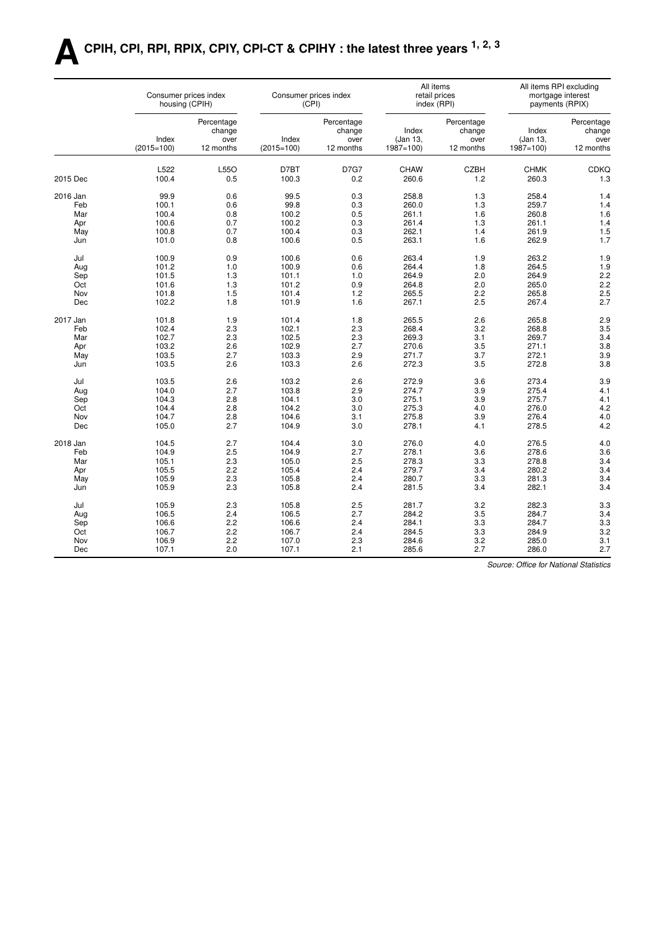# **ACPIH, CPI, RPI, RPIX, CPIY, CPI-CT & CPIHY : the latest three years 1, 2, 3**

|          | Consumer prices index<br>housing (CPIH) |                                           |                       | Consumer prices index<br>(CPI)            |                                   | All items<br>retail prices<br>index (RPI) |                                   | All items RPI excluding<br>mortgage interest<br>payments (RPIX) |
|----------|-----------------------------------------|-------------------------------------------|-----------------------|-------------------------------------------|-----------------------------------|-------------------------------------------|-----------------------------------|-----------------------------------------------------------------|
|          | Index<br>$(2015=100)$                   | Percentage<br>change<br>over<br>12 months | Index<br>$(2015=100)$ | Percentage<br>change<br>over<br>12 months | Index<br>(Jan 13,<br>$1987 = 100$ | Percentage<br>change<br>over<br>12 months | Index<br>(Jan 13,<br>$1987 = 100$ | Percentage<br>change<br>over<br>12 months                       |
| 2015 Dec | L522<br>100.4                           | L55O<br>0.5                               | D7BT<br>100.3         | <b>D7G7</b><br>0.2                        | <b>CHAW</b><br>260.6              | <b>CZBH</b><br>1.2                        | <b>CHMK</b><br>260.3              | <b>CDKQ</b><br>1.3                                              |
|          |                                         |                                           |                       |                                           |                                   |                                           |                                   |                                                                 |
| 2016 Jan | 99.9                                    | 0.6                                       | 99.5                  | 0.3                                       | 258.8                             | 1.3                                       | 258.4                             | 1.4                                                             |
| Feb      | 100.1                                   | 0.6                                       | 99.8                  | 0.3                                       | 260.0                             | 1.3                                       | 259.7                             | 1.4                                                             |
| Mar      | 100.4                                   | 0.8                                       | 100.2                 | 0.5                                       | 261.1                             | 1.6                                       | 260.8                             | 1.6                                                             |
| Apr      | 100.6                                   | 0.7                                       | 100.2                 | 0.3                                       | 261.4                             | 1.3                                       | 261.1                             | 1.4                                                             |
| May      | 100.8                                   | 0.7                                       | 100.4                 | 0.3                                       | 262.1                             | 1.4                                       | 261.9                             | 1.5                                                             |
| Jun      | 101.0                                   | 0.8                                       | 100.6                 | 0.5                                       | 263.1                             | 1.6                                       | 262.9                             | 1.7                                                             |
| Jul      | 100.9                                   | 0.9                                       | 100.6                 | 0.6                                       | 263.4                             | 1.9                                       | 263.2                             | 1.9                                                             |
| Aug      | 101.2                                   | 1.0                                       | 100.9                 | 0.6                                       | 264.4                             | 1.8                                       | 264.5                             | 1.9                                                             |
| Sep      | 101.5                                   | 1.3                                       | 101.1                 | 1.0                                       | 264.9                             | 2.0                                       | 264.9                             | 2.2                                                             |
| Oct      | 101.6                                   | 1.3                                       | 101.2                 | 0.9                                       | 264.8                             | 2.0                                       | 265.0                             | 2.2                                                             |
| Nov      | 101.8                                   | 1.5                                       | 101.4                 | 1.2                                       | 265.5                             | 2.2                                       | 265.8                             | 2.5                                                             |
| Dec      | 102.2                                   | 1.8                                       | 101.9                 | 1.6                                       | 267.1                             | 2.5                                       | 267.4                             | 2.7                                                             |
| 2017 Jan | 101.8                                   | 1.9                                       | 101.4                 | 1.8                                       | 265.5                             | 2.6                                       | 265.8                             | 2.9                                                             |
| Feb      | 102.4                                   | 2.3                                       | 102.1                 | 2.3                                       | 268.4                             | 3.2                                       | 268.8                             | 3.5                                                             |
| Mar      | 102.7                                   | 2.3                                       | 102.5                 | 2.3                                       | 269.3                             | 3.1                                       | 269.7                             | 3.4                                                             |
| Apr      | 103.2                                   | 2.6                                       | 102.9                 | 2.7                                       | 270.6                             | 3.5                                       | 271.1                             | 3.8                                                             |
| May      | 103.5                                   | 2.7                                       | 103.3                 | 2.9                                       | 271.7                             | 3.7                                       | 272.1                             | 3.9                                                             |
| Jun      | 103.5                                   | 2.6                                       | 103.3                 | 2.6                                       | 272.3                             | 3.5                                       | 272.8                             | 3.8                                                             |
| Jul      | 103.5                                   | 2.6                                       | 103.2                 | 2.6                                       | 272.9                             | 3.6                                       | 273.4                             | 3.9                                                             |
| Aug      | 104.0                                   | 2.7                                       | 103.8                 | 2.9                                       | 274.7                             | 3.9                                       | 275.4                             | 4.1                                                             |
| Sep      | 104.3                                   | 2.8                                       | 104.1                 | 3.0                                       | 275.1                             | 3.9                                       | 275.7                             | 4.1                                                             |
| Oct      | 104.4                                   | 2.8                                       | 104.2                 | 3.0                                       | 275.3                             | 4.0                                       | 276.0                             | 4.2                                                             |
| Nov      | 104.7                                   | 2.8                                       | 104.6                 | 3.1                                       | 275.8                             | 3.9                                       | 276.4                             | 4.0                                                             |
| Dec      | 105.0                                   | 2.7                                       | 104.9                 | 3.0                                       | 278.1                             | 4.1                                       | 278.5                             | 4.2                                                             |
| 2018 Jan | 104.5                                   | 2.7                                       | 104.4                 | 3.0                                       | 276.0                             | 4.0                                       | 276.5                             | 4.0                                                             |
| Feb      | 104.9                                   | 2.5                                       | 104.9                 | 2.7                                       | 278.1                             | 3.6                                       | 278.6                             | 3.6                                                             |
| Mar      | 105.1                                   | 2.3                                       | 105.0                 | 2.5                                       | 278.3                             | 3.3                                       | 278.8                             | 3.4                                                             |
| Apr      | 105.5                                   | 2.2                                       | 105.4                 | 2.4                                       | 279.7                             | 3.4                                       | 280.2                             | 3.4                                                             |
| May      | 105.9                                   | 2.3                                       | 105.8                 | 2.4                                       | 280.7                             | 3.3                                       | 281.3                             | 3.4                                                             |
| Jun      | 105.9                                   | 2.3                                       | 105.8                 | 2.4                                       | 281.5                             | 3.4                                       | 282.1                             | 3.4                                                             |
| Jul      | 105.9                                   | 2.3                                       | 105.8                 | 2.5                                       | 281.7                             | 3.2                                       | 282.3                             | 3.3                                                             |
| Aug      | 106.5                                   | 2.4                                       | 106.5                 | 2.7                                       | 284.2                             | 3.5                                       | 284.7                             | 3.4                                                             |
| Sep      | 106.6                                   | 2.2                                       | 106.6                 | 2.4                                       | 284.1                             | 3.3                                       | 284.7                             | 3.3                                                             |
| Oct      | 106.7                                   | 2.2                                       | 106.7                 | 2.4                                       | 284.5                             | 3.3                                       | 284.9                             | 3.2                                                             |
| Nov      | 106.9                                   | 2.2                                       | 107.0                 | 2.3                                       | 284.6                             | 3.2                                       | 285.0                             | 3.1                                                             |
| Dec      | 107.1                                   | 2.0                                       | 107.1                 | 2.1                                       | 285.6                             | 2.7                                       | 286.0                             | 2.7                                                             |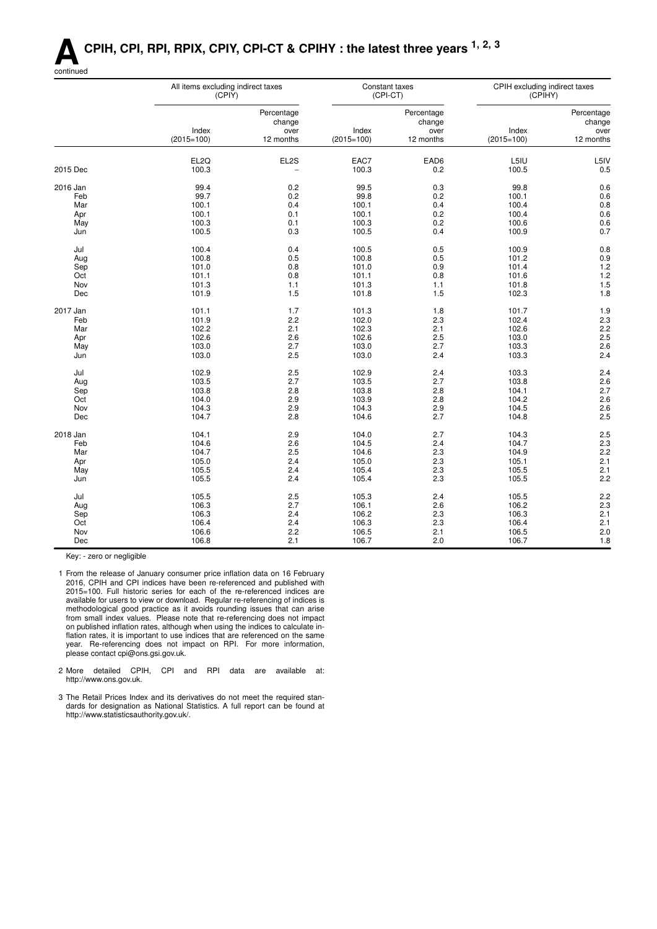## **ACPIH, CPI, RPI, RPIX, CPIY, CPI-CT & CPIHY : the latest three years 1, 2, 3**



| Percentage<br>Percentage<br>Percentage<br>change<br>change<br>change<br>Index<br>Index<br>Index<br>over<br>over<br>over<br>12 months<br>$(2015=100)$<br>12 months<br>$(2015=100)$<br>12 months<br>$(2015=100)$<br>EAC7<br>EAD6<br>L5IU<br>EL <sub>2Q</sub><br>EL2S<br>L5IV<br>2015 Dec<br>100.3<br>0.5<br>100.3<br>0.2<br>100.5<br>$\overline{\phantom{0}}$<br>2016 Jan<br>99.4<br>0.2<br>99.5<br>0.3<br>99.8<br>0.6<br>0.6<br>99.7<br>0.2<br>99.8<br>0.2<br>100.1<br>Feb<br>0.8<br>0.4<br>Mar<br>100.1<br>0.4<br>100.1<br>100.4<br>0.6<br>100.1<br>100.1<br>0.2<br>100.4<br>Apr<br>0.1<br>0.6<br>100.3<br>0.1<br>100.3<br>0.2<br>100.6<br>May<br>0.7<br>100.5<br>0.3<br>100.5<br>0.4<br>100.9<br>Jun<br>100.4<br>0.4<br>100.5<br>0.5<br>100.9<br>0.8<br>Jul<br>100.8<br>0.5<br>100.8<br>0.5<br>101.2<br>0.9<br>Aug<br>0.9<br>1.2<br>Sep<br>101.0<br>0.8<br>101.0<br>101.4<br>1.2<br>0.8<br>Oct<br>101.1<br>0.8<br>101.1<br>101.6<br>1.5<br>101.3<br>101.3<br>Nov<br>1.1<br>101.8<br>1.1<br>101.9<br>1.5<br>102.3<br>1.8<br>1.5<br>101.8<br>Dec<br>2017 Jan<br>1.7<br>1.8<br>101.7<br>1.9<br>101.1<br>101.3<br>2.3<br>Feb<br>101.9<br>2.2<br>102.0<br>2.3<br>102.4<br>2.2<br>102.2<br>2.1<br>102.3<br>2.1<br>102.6<br>Mar<br>2.5<br>102.6<br>2.6<br>102.6<br>2.5<br>103.0<br>Apr<br>103.0<br>2.7<br>103.0<br>2.7<br>103.3<br>2.6<br>May<br>103.0<br>2.5<br>103.0<br>2.4<br>2.4<br>103.3<br>Jun<br>2.4<br>Jul<br>102.9<br>2.5<br>102.9<br>2.4<br>103.3<br>2.6<br>2.7<br>2.7<br>103.8<br>103.5<br>103.5<br>Aug<br>2.7<br>Sep<br>103.8<br>2.8<br>103.8<br>2.8<br>104.1<br>2.6<br>103.9<br>104.0<br>2.9<br>2.8<br>104.2<br>Oct<br>2.6<br>104.3<br>2.9<br>104.3<br>2.9<br>104.5<br>Nov<br>2.7<br>2.5<br>104.7<br>2.8<br>104.6<br>104.8<br>Dec<br>104.1<br>2.9<br>104.0<br>2.7<br>2.5<br>2018 Jan<br>104.3<br>2.3<br>Feb<br>104.6<br>2.6<br>104.5<br>2.4<br>104.7<br>2.2<br>2.5<br>2.3<br>Mar<br>104.7<br>104.6<br>104.9<br>105.0<br>105.0<br>2.3<br>105.1<br>2.1<br>Apr<br>2.4<br>105.5<br>105.4<br>2.3<br>105.5<br>2.1<br>2.4<br>May<br>2.2<br>105.5<br>2.4<br>105.4<br>2.3<br>105.5<br>Jun<br>2.4<br>2.2<br>Jul<br>2.5<br>105.3<br>105.5<br>105.5<br>106.3<br>2.7<br>106.1<br>2.6<br>106.2<br>2.3<br>Aug<br>2.1<br>106.3<br>106.2<br>2.3<br>106.3<br>Sep<br>2.4<br>106.4<br>2.4<br>106.3<br>2.3<br>106.4<br>2.1<br>Oct<br>2.0<br>106.6<br>2.2<br>106.5<br>2.1<br>Nov<br>106.5<br>106.8<br>2.1<br>106.7<br>2.0<br>106.7<br>1.8<br>Dec | All items excluding indirect taxes<br>(CPIY) | (CPI-CT) | Constant taxes | CPIH excluding indirect taxes<br>(CPIHY) |  |
|-----------------------------------------------------------------------------------------------------------------------------------------------------------------------------------------------------------------------------------------------------------------------------------------------------------------------------------------------------------------------------------------------------------------------------------------------------------------------------------------------------------------------------------------------------------------------------------------------------------------------------------------------------------------------------------------------------------------------------------------------------------------------------------------------------------------------------------------------------------------------------------------------------------------------------------------------------------------------------------------------------------------------------------------------------------------------------------------------------------------------------------------------------------------------------------------------------------------------------------------------------------------------------------------------------------------------------------------------------------------------------------------------------------------------------------------------------------------------------------------------------------------------------------------------------------------------------------------------------------------------------------------------------------------------------------------------------------------------------------------------------------------------------------------------------------------------------------------------------------------------------------------------------------------------------------------------------------------------------------------------------------------------------------------------------------------------------------------------------------------------------------------------------------------------------------------------------------------------------------------------------------------------------------------------------------------------------------------------------------------------------------------------------------------------------------|----------------------------------------------|----------|----------------|------------------------------------------|--|
|                                                                                                                                                                                                                                                                                                                                                                                                                                                                                                                                                                                                                                                                                                                                                                                                                                                                                                                                                                                                                                                                                                                                                                                                                                                                                                                                                                                                                                                                                                                                                                                                                                                                                                                                                                                                                                                                                                                                                                                                                                                                                                                                                                                                                                                                                                                                                                                                                                   |                                              |          |                |                                          |  |
|                                                                                                                                                                                                                                                                                                                                                                                                                                                                                                                                                                                                                                                                                                                                                                                                                                                                                                                                                                                                                                                                                                                                                                                                                                                                                                                                                                                                                                                                                                                                                                                                                                                                                                                                                                                                                                                                                                                                                                                                                                                                                                                                                                                                                                                                                                                                                                                                                                   |                                              |          |                |                                          |  |
|                                                                                                                                                                                                                                                                                                                                                                                                                                                                                                                                                                                                                                                                                                                                                                                                                                                                                                                                                                                                                                                                                                                                                                                                                                                                                                                                                                                                                                                                                                                                                                                                                                                                                                                                                                                                                                                                                                                                                                                                                                                                                                                                                                                                                                                                                                                                                                                                                                   |                                              |          |                |                                          |  |
|                                                                                                                                                                                                                                                                                                                                                                                                                                                                                                                                                                                                                                                                                                                                                                                                                                                                                                                                                                                                                                                                                                                                                                                                                                                                                                                                                                                                                                                                                                                                                                                                                                                                                                                                                                                                                                                                                                                                                                                                                                                                                                                                                                                                                                                                                                                                                                                                                                   |                                              |          |                |                                          |  |
|                                                                                                                                                                                                                                                                                                                                                                                                                                                                                                                                                                                                                                                                                                                                                                                                                                                                                                                                                                                                                                                                                                                                                                                                                                                                                                                                                                                                                                                                                                                                                                                                                                                                                                                                                                                                                                                                                                                                                                                                                                                                                                                                                                                                                                                                                                                                                                                                                                   |                                              |          |                |                                          |  |
|                                                                                                                                                                                                                                                                                                                                                                                                                                                                                                                                                                                                                                                                                                                                                                                                                                                                                                                                                                                                                                                                                                                                                                                                                                                                                                                                                                                                                                                                                                                                                                                                                                                                                                                                                                                                                                                                                                                                                                                                                                                                                                                                                                                                                                                                                                                                                                                                                                   |                                              |          |                |                                          |  |
|                                                                                                                                                                                                                                                                                                                                                                                                                                                                                                                                                                                                                                                                                                                                                                                                                                                                                                                                                                                                                                                                                                                                                                                                                                                                                                                                                                                                                                                                                                                                                                                                                                                                                                                                                                                                                                                                                                                                                                                                                                                                                                                                                                                                                                                                                                                                                                                                                                   |                                              |          |                |                                          |  |
|                                                                                                                                                                                                                                                                                                                                                                                                                                                                                                                                                                                                                                                                                                                                                                                                                                                                                                                                                                                                                                                                                                                                                                                                                                                                                                                                                                                                                                                                                                                                                                                                                                                                                                                                                                                                                                                                                                                                                                                                                                                                                                                                                                                                                                                                                                                                                                                                                                   |                                              |          |                |                                          |  |
|                                                                                                                                                                                                                                                                                                                                                                                                                                                                                                                                                                                                                                                                                                                                                                                                                                                                                                                                                                                                                                                                                                                                                                                                                                                                                                                                                                                                                                                                                                                                                                                                                                                                                                                                                                                                                                                                                                                                                                                                                                                                                                                                                                                                                                                                                                                                                                                                                                   |                                              |          |                |                                          |  |
|                                                                                                                                                                                                                                                                                                                                                                                                                                                                                                                                                                                                                                                                                                                                                                                                                                                                                                                                                                                                                                                                                                                                                                                                                                                                                                                                                                                                                                                                                                                                                                                                                                                                                                                                                                                                                                                                                                                                                                                                                                                                                                                                                                                                                                                                                                                                                                                                                                   |                                              |          |                |                                          |  |
|                                                                                                                                                                                                                                                                                                                                                                                                                                                                                                                                                                                                                                                                                                                                                                                                                                                                                                                                                                                                                                                                                                                                                                                                                                                                                                                                                                                                                                                                                                                                                                                                                                                                                                                                                                                                                                                                                                                                                                                                                                                                                                                                                                                                                                                                                                                                                                                                                                   |                                              |          |                |                                          |  |
|                                                                                                                                                                                                                                                                                                                                                                                                                                                                                                                                                                                                                                                                                                                                                                                                                                                                                                                                                                                                                                                                                                                                                                                                                                                                                                                                                                                                                                                                                                                                                                                                                                                                                                                                                                                                                                                                                                                                                                                                                                                                                                                                                                                                                                                                                                                                                                                                                                   |                                              |          |                |                                          |  |
|                                                                                                                                                                                                                                                                                                                                                                                                                                                                                                                                                                                                                                                                                                                                                                                                                                                                                                                                                                                                                                                                                                                                                                                                                                                                                                                                                                                                                                                                                                                                                                                                                                                                                                                                                                                                                                                                                                                                                                                                                                                                                                                                                                                                                                                                                                                                                                                                                                   |                                              |          |                |                                          |  |
|                                                                                                                                                                                                                                                                                                                                                                                                                                                                                                                                                                                                                                                                                                                                                                                                                                                                                                                                                                                                                                                                                                                                                                                                                                                                                                                                                                                                                                                                                                                                                                                                                                                                                                                                                                                                                                                                                                                                                                                                                                                                                                                                                                                                                                                                                                                                                                                                                                   |                                              |          |                |                                          |  |
|                                                                                                                                                                                                                                                                                                                                                                                                                                                                                                                                                                                                                                                                                                                                                                                                                                                                                                                                                                                                                                                                                                                                                                                                                                                                                                                                                                                                                                                                                                                                                                                                                                                                                                                                                                                                                                                                                                                                                                                                                                                                                                                                                                                                                                                                                                                                                                                                                                   |                                              |          |                |                                          |  |
|                                                                                                                                                                                                                                                                                                                                                                                                                                                                                                                                                                                                                                                                                                                                                                                                                                                                                                                                                                                                                                                                                                                                                                                                                                                                                                                                                                                                                                                                                                                                                                                                                                                                                                                                                                                                                                                                                                                                                                                                                                                                                                                                                                                                                                                                                                                                                                                                                                   |                                              |          |                |                                          |  |
|                                                                                                                                                                                                                                                                                                                                                                                                                                                                                                                                                                                                                                                                                                                                                                                                                                                                                                                                                                                                                                                                                                                                                                                                                                                                                                                                                                                                                                                                                                                                                                                                                                                                                                                                                                                                                                                                                                                                                                                                                                                                                                                                                                                                                                                                                                                                                                                                                                   |                                              |          |                |                                          |  |
|                                                                                                                                                                                                                                                                                                                                                                                                                                                                                                                                                                                                                                                                                                                                                                                                                                                                                                                                                                                                                                                                                                                                                                                                                                                                                                                                                                                                                                                                                                                                                                                                                                                                                                                                                                                                                                                                                                                                                                                                                                                                                                                                                                                                                                                                                                                                                                                                                                   |                                              |          |                |                                          |  |
|                                                                                                                                                                                                                                                                                                                                                                                                                                                                                                                                                                                                                                                                                                                                                                                                                                                                                                                                                                                                                                                                                                                                                                                                                                                                                                                                                                                                                                                                                                                                                                                                                                                                                                                                                                                                                                                                                                                                                                                                                                                                                                                                                                                                                                                                                                                                                                                                                                   |                                              |          |                |                                          |  |
|                                                                                                                                                                                                                                                                                                                                                                                                                                                                                                                                                                                                                                                                                                                                                                                                                                                                                                                                                                                                                                                                                                                                                                                                                                                                                                                                                                                                                                                                                                                                                                                                                                                                                                                                                                                                                                                                                                                                                                                                                                                                                                                                                                                                                                                                                                                                                                                                                                   |                                              |          |                |                                          |  |
|                                                                                                                                                                                                                                                                                                                                                                                                                                                                                                                                                                                                                                                                                                                                                                                                                                                                                                                                                                                                                                                                                                                                                                                                                                                                                                                                                                                                                                                                                                                                                                                                                                                                                                                                                                                                                                                                                                                                                                                                                                                                                                                                                                                                                                                                                                                                                                                                                                   |                                              |          |                |                                          |  |
|                                                                                                                                                                                                                                                                                                                                                                                                                                                                                                                                                                                                                                                                                                                                                                                                                                                                                                                                                                                                                                                                                                                                                                                                                                                                                                                                                                                                                                                                                                                                                                                                                                                                                                                                                                                                                                                                                                                                                                                                                                                                                                                                                                                                                                                                                                                                                                                                                                   |                                              |          |                |                                          |  |
|                                                                                                                                                                                                                                                                                                                                                                                                                                                                                                                                                                                                                                                                                                                                                                                                                                                                                                                                                                                                                                                                                                                                                                                                                                                                                                                                                                                                                                                                                                                                                                                                                                                                                                                                                                                                                                                                                                                                                                                                                                                                                                                                                                                                                                                                                                                                                                                                                                   |                                              |          |                |                                          |  |
|                                                                                                                                                                                                                                                                                                                                                                                                                                                                                                                                                                                                                                                                                                                                                                                                                                                                                                                                                                                                                                                                                                                                                                                                                                                                                                                                                                                                                                                                                                                                                                                                                                                                                                                                                                                                                                                                                                                                                                                                                                                                                                                                                                                                                                                                                                                                                                                                                                   |                                              |          |                |                                          |  |
|                                                                                                                                                                                                                                                                                                                                                                                                                                                                                                                                                                                                                                                                                                                                                                                                                                                                                                                                                                                                                                                                                                                                                                                                                                                                                                                                                                                                                                                                                                                                                                                                                                                                                                                                                                                                                                                                                                                                                                                                                                                                                                                                                                                                                                                                                                                                                                                                                                   |                                              |          |                |                                          |  |
|                                                                                                                                                                                                                                                                                                                                                                                                                                                                                                                                                                                                                                                                                                                                                                                                                                                                                                                                                                                                                                                                                                                                                                                                                                                                                                                                                                                                                                                                                                                                                                                                                                                                                                                                                                                                                                                                                                                                                                                                                                                                                                                                                                                                                                                                                                                                                                                                                                   |                                              |          |                |                                          |  |
|                                                                                                                                                                                                                                                                                                                                                                                                                                                                                                                                                                                                                                                                                                                                                                                                                                                                                                                                                                                                                                                                                                                                                                                                                                                                                                                                                                                                                                                                                                                                                                                                                                                                                                                                                                                                                                                                                                                                                                                                                                                                                                                                                                                                                                                                                                                                                                                                                                   |                                              |          |                |                                          |  |
|                                                                                                                                                                                                                                                                                                                                                                                                                                                                                                                                                                                                                                                                                                                                                                                                                                                                                                                                                                                                                                                                                                                                                                                                                                                                                                                                                                                                                                                                                                                                                                                                                                                                                                                                                                                                                                                                                                                                                                                                                                                                                                                                                                                                                                                                                                                                                                                                                                   |                                              |          |                |                                          |  |
|                                                                                                                                                                                                                                                                                                                                                                                                                                                                                                                                                                                                                                                                                                                                                                                                                                                                                                                                                                                                                                                                                                                                                                                                                                                                                                                                                                                                                                                                                                                                                                                                                                                                                                                                                                                                                                                                                                                                                                                                                                                                                                                                                                                                                                                                                                                                                                                                                                   |                                              |          |                |                                          |  |
|                                                                                                                                                                                                                                                                                                                                                                                                                                                                                                                                                                                                                                                                                                                                                                                                                                                                                                                                                                                                                                                                                                                                                                                                                                                                                                                                                                                                                                                                                                                                                                                                                                                                                                                                                                                                                                                                                                                                                                                                                                                                                                                                                                                                                                                                                                                                                                                                                                   |                                              |          |                |                                          |  |
|                                                                                                                                                                                                                                                                                                                                                                                                                                                                                                                                                                                                                                                                                                                                                                                                                                                                                                                                                                                                                                                                                                                                                                                                                                                                                                                                                                                                                                                                                                                                                                                                                                                                                                                                                                                                                                                                                                                                                                                                                                                                                                                                                                                                                                                                                                                                                                                                                                   |                                              |          |                |                                          |  |
|                                                                                                                                                                                                                                                                                                                                                                                                                                                                                                                                                                                                                                                                                                                                                                                                                                                                                                                                                                                                                                                                                                                                                                                                                                                                                                                                                                                                                                                                                                                                                                                                                                                                                                                                                                                                                                                                                                                                                                                                                                                                                                                                                                                                                                                                                                                                                                                                                                   |                                              |          |                |                                          |  |
|                                                                                                                                                                                                                                                                                                                                                                                                                                                                                                                                                                                                                                                                                                                                                                                                                                                                                                                                                                                                                                                                                                                                                                                                                                                                                                                                                                                                                                                                                                                                                                                                                                                                                                                                                                                                                                                                                                                                                                                                                                                                                                                                                                                                                                                                                                                                                                                                                                   |                                              |          |                |                                          |  |
|                                                                                                                                                                                                                                                                                                                                                                                                                                                                                                                                                                                                                                                                                                                                                                                                                                                                                                                                                                                                                                                                                                                                                                                                                                                                                                                                                                                                                                                                                                                                                                                                                                                                                                                                                                                                                                                                                                                                                                                                                                                                                                                                                                                                                                                                                                                                                                                                                                   |                                              |          |                |                                          |  |
|                                                                                                                                                                                                                                                                                                                                                                                                                                                                                                                                                                                                                                                                                                                                                                                                                                                                                                                                                                                                                                                                                                                                                                                                                                                                                                                                                                                                                                                                                                                                                                                                                                                                                                                                                                                                                                                                                                                                                                                                                                                                                                                                                                                                                                                                                                                                                                                                                                   |                                              |          |                |                                          |  |
|                                                                                                                                                                                                                                                                                                                                                                                                                                                                                                                                                                                                                                                                                                                                                                                                                                                                                                                                                                                                                                                                                                                                                                                                                                                                                                                                                                                                                                                                                                                                                                                                                                                                                                                                                                                                                                                                                                                                                                                                                                                                                                                                                                                                                                                                                                                                                                                                                                   |                                              |          |                |                                          |  |
|                                                                                                                                                                                                                                                                                                                                                                                                                                                                                                                                                                                                                                                                                                                                                                                                                                                                                                                                                                                                                                                                                                                                                                                                                                                                                                                                                                                                                                                                                                                                                                                                                                                                                                                                                                                                                                                                                                                                                                                                                                                                                                                                                                                                                                                                                                                                                                                                                                   |                                              |          |                |                                          |  |
|                                                                                                                                                                                                                                                                                                                                                                                                                                                                                                                                                                                                                                                                                                                                                                                                                                                                                                                                                                                                                                                                                                                                                                                                                                                                                                                                                                                                                                                                                                                                                                                                                                                                                                                                                                                                                                                                                                                                                                                                                                                                                                                                                                                                                                                                                                                                                                                                                                   |                                              |          |                |                                          |  |
|                                                                                                                                                                                                                                                                                                                                                                                                                                                                                                                                                                                                                                                                                                                                                                                                                                                                                                                                                                                                                                                                                                                                                                                                                                                                                                                                                                                                                                                                                                                                                                                                                                                                                                                                                                                                                                                                                                                                                                                                                                                                                                                                                                                                                                                                                                                                                                                                                                   |                                              |          |                |                                          |  |
|                                                                                                                                                                                                                                                                                                                                                                                                                                                                                                                                                                                                                                                                                                                                                                                                                                                                                                                                                                                                                                                                                                                                                                                                                                                                                                                                                                                                                                                                                                                                                                                                                                                                                                                                                                                                                                                                                                                                                                                                                                                                                                                                                                                                                                                                                                                                                                                                                                   |                                              |          |                |                                          |  |
|                                                                                                                                                                                                                                                                                                                                                                                                                                                                                                                                                                                                                                                                                                                                                                                                                                                                                                                                                                                                                                                                                                                                                                                                                                                                                                                                                                                                                                                                                                                                                                                                                                                                                                                                                                                                                                                                                                                                                                                                                                                                                                                                                                                                                                                                                                                                                                                                                                   |                                              |          |                |                                          |  |
|                                                                                                                                                                                                                                                                                                                                                                                                                                                                                                                                                                                                                                                                                                                                                                                                                                                                                                                                                                                                                                                                                                                                                                                                                                                                                                                                                                                                                                                                                                                                                                                                                                                                                                                                                                                                                                                                                                                                                                                                                                                                                                                                                                                                                                                                                                                                                                                                                                   |                                              |          |                |                                          |  |
|                                                                                                                                                                                                                                                                                                                                                                                                                                                                                                                                                                                                                                                                                                                                                                                                                                                                                                                                                                                                                                                                                                                                                                                                                                                                                                                                                                                                                                                                                                                                                                                                                                                                                                                                                                                                                                                                                                                                                                                                                                                                                                                                                                                                                                                                                                                                                                                                                                   |                                              |          |                |                                          |  |
|                                                                                                                                                                                                                                                                                                                                                                                                                                                                                                                                                                                                                                                                                                                                                                                                                                                                                                                                                                                                                                                                                                                                                                                                                                                                                                                                                                                                                                                                                                                                                                                                                                                                                                                                                                                                                                                                                                                                                                                                                                                                                                                                                                                                                                                                                                                                                                                                                                   |                                              |          |                |                                          |  |

Key: - zero or negligible

- 2 More detailed CPIH, CPI and RPI data are available at: http://www.ons.gov.uk.
- 3 The Retail Prices Index and its derivatives do not meet the required standards for designation as National Statistics. A full report can be found at http://www.statisticsauthority.gov.uk/.

<sup>1</sup> From the release of January consumer price inflation data on 16 February 2016, CPIH and CPI indices have been re-referenced and published with 2015=100. Full historic series for each of the re-referenced indices are available for users to view or download. Regular re-referencing of indices is methodological good practice as it avoids rounding issues that can arise from small index values. Please note that re-referencing does not impact on published inflation rates, although when using the indices to calculate inflation rates, it is important to use indices that are referenced on the same year. Re-referencing does not impact on RPI. For more information, please contact cpi@ons.gsi.gov.uk.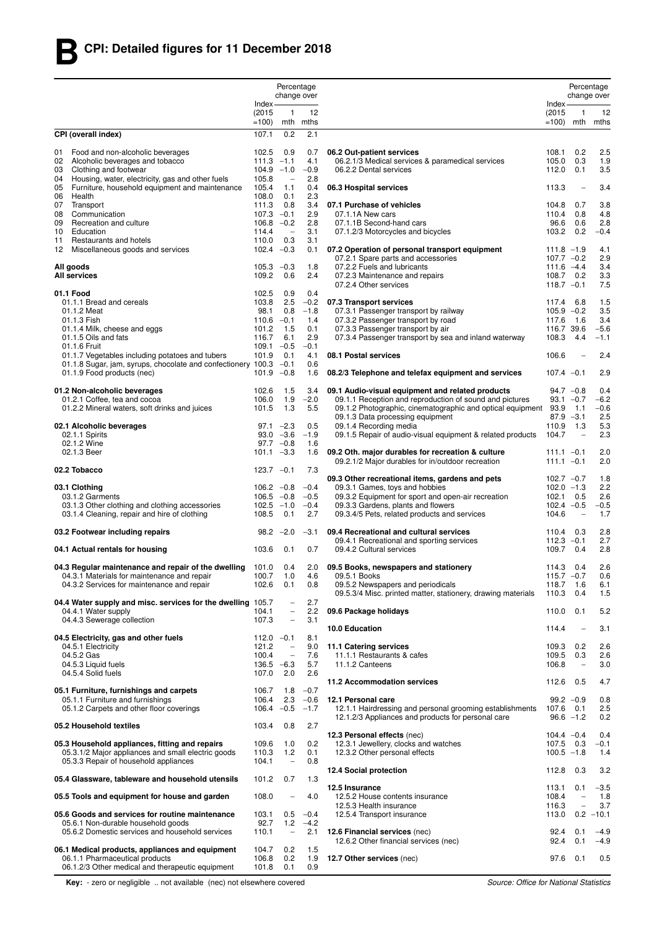|          |                                                                                                                      |                               | Percentage<br>change over                            |                  |                                                                                            |                           |                                                      | Percentage<br>change over |
|----------|----------------------------------------------------------------------------------------------------------------------|-------------------------------|------------------------------------------------------|------------------|--------------------------------------------------------------------------------------------|---------------------------|------------------------------------------------------|---------------------------|
|          |                                                                                                                      | $Index -$                     |                                                      |                  |                                                                                            | $Index -$                 |                                                      |                           |
|          |                                                                                                                      | (2015)<br>$=100$              | 1                                                    | 12<br>mth mths   |                                                                                            | (2015)<br>$=100$          | -1                                                   | 12<br>mth mths            |
|          | CPI (overall index)                                                                                                  | 107.1                         | 0.2                                                  | 2.1              |                                                                                            |                           |                                                      |                           |
|          |                                                                                                                      |                               |                                                      |                  |                                                                                            |                           |                                                      |                           |
| 01<br>02 | Food and non-alcoholic beverages<br>Alcoholic beverages and tobacco                                                  | 102.5<br>$111.3 - 1.1$        | 0.9                                                  | 0.7<br>4.1       | 06.2 Out-patient services<br>06.2.1/3 Medical services & paramedical services              | 108.1<br>105.0            | 0.2<br>0.3                                           | 2.5<br>1.9                |
| 03       | Clothing and footwear                                                                                                | 104.9                         | $-1.0$                                               | $-0.9$           | 06.2.2 Dental services                                                                     | 112.0                     | 0.1                                                  | 3.5                       |
| 04<br>05 | Housing, water, electricity, gas and other fuels<br>Furniture, household equipment and maintenance                   | 105.8<br>105.4                | $\overline{\phantom{0}}$<br>1.1                      | 2.8<br>0.4       |                                                                                            |                           |                                                      | 3.4                       |
| 06       | Health                                                                                                               | 108.0                         | 0.1                                                  | 2.3              | 06.3 Hospital services                                                                     | 113.3                     |                                                      |                           |
| 07       | Transport                                                                                                            | 111.3                         | 0.8                                                  | 3.4              | 07.1 Purchase of vehicles                                                                  | 104.8                     | 0.7                                                  | 3.8                       |
| 08<br>09 | Communication<br>Recreation and culture                                                                              | $107.3 -0.1$<br>$106.8 - 0.2$ |                                                      | 2.9<br>2.8       | 07.1.1A New cars<br>07.1.1B Second-hand cars                                               | 110.4<br>96.6             | 0.8<br>0.6                                           | 4.8<br>2.8                |
| 10       | Education                                                                                                            | 114.4                         | $\qquad \qquad -$                                    | 3.1              | 07.1.2/3 Motorcycles and bicycles                                                          | 103.2                     | 0.2                                                  | $-0.4$                    |
| 11<br>12 | Restaurants and hotels<br>Miscellaneous goods and services                                                           | 110.0<br>102.4                | 0.3<br>$-0.3$                                        | 3.1<br>0.1       | 07.2 Operation of personal transport equipment                                             | $111.8 - 1.9$             |                                                      | 4.1                       |
|          |                                                                                                                      |                               |                                                      |                  | 07.2.1 Spare parts and accessories                                                         | $107.7 -0.2$              |                                                      | 2.9                       |
|          | All goods<br><b>All services</b>                                                                                     | $105.3 -0.3$<br>109.2         | 0.6                                                  | 1.8<br>2.4       | 07.2.2 Fuels and lubricants<br>07.2.3 Maintenance and repairs                              | $111.6 -4.4$<br>108.7     | 0.2                                                  | 3.4<br>3.3                |
|          |                                                                                                                      |                               |                                                      |                  | 07.2.4 Other services                                                                      | $118.7 - 0.1$             |                                                      | 7.5                       |
|          | 01.1 Food<br>01.1.1 Bread and cereals                                                                                | 102.5<br>103.8                | 0.9<br>2.5                                           | 0.4<br>$-0.2$    | 07.3 Transport services                                                                    | 117.4                     | 6.8                                                  | 1.5                       |
|          | 01.1.2 Meat                                                                                                          | 98.1                          | 0.8                                                  | $-1.8$           | 07.3.1 Passenger transport by railway                                                      | $105.9 - 0.2$             |                                                      | 3.5                       |
|          | 01.1.3 Fish                                                                                                          | $110.6 - 0.1$                 |                                                      | 1.4              | 07.3.2 Passenger transport by road                                                         | 117.6                     | 1.6                                                  | 3.4                       |
|          | 01.1.4 Milk, cheese and eggs<br>01.1.5 Oils and fats                                                                 | 101.2<br>116.7                | 1.5<br>6.1                                           | 0.1<br>2.9       | 07.3.3 Passenger transport by air<br>07.3.4 Passenger transport by sea and inland waterway | 116.7 39.6<br>108.3       | 4.4                                                  | $-5.6$<br>$-1.1$          |
|          | 01.1.6 Fruit                                                                                                         | $109.1 - 0.5$                 |                                                      | $-0.1$           |                                                                                            |                           |                                                      |                           |
|          | 01.1.7 Vegetables including potatoes and tubers<br>01.1.8 Sugar, jam, syrups, chocolate and confectionery 100.3 -0.1 | 101.9                         | 0.1                                                  | 4.1<br>0.6       | 08.1 Postal services                                                                       | 106.6                     | $\overline{\phantom{a}}$                             | 2.4                       |
|          | 01.1.9 Food products (nec)                                                                                           | 101.9                         | $-0.8$                                               | 1.6              | 08.2/3 Telephone and telefax equipment and services                                        | $107.4 -0.1$              |                                                      | 2.9                       |
|          | 01.2 Non-alcoholic beverages                                                                                         | 102.6                         | 1.5                                                  | 3.4              | 09.1 Audio-visual equipment and related products                                           | $94.7 -0.8$               |                                                      | 0.4                       |
|          | 01.2.1 Coffee, tea and cocoa                                                                                         | 106.0                         | 1.9                                                  | $-2.0$           | 09.1.1 Reception and reproduction of sound and pictures                                    | $93.1 - 0.7$              |                                                      | $-6.2$                    |
|          | 01.2.2 Mineral waters, soft drinks and juices                                                                        | 101.5                         | 1.3                                                  | 5.5              | 09.1.2 Photographic, cinematographic and optical equipment                                 | 93.9<br>$87.9 - 3.1$      | 1.1                                                  | $-0.6$<br>2.5             |
|          | 02.1 Alcoholic beverages                                                                                             |                               | $97.1 -2.3$                                          | 0.5              | 09.1.3 Data processing equipment<br>09.1.4 Recording media                                 | 110.9                     | 1.3                                                  | 5.3                       |
|          | 02.1.1 Spirits                                                                                                       |                               | $93.0 -3.6$                                          | $-1.9$           | 09.1.5 Repair of audio-visual equipment & related products                                 | 104.7                     | $\overline{\phantom{a}}$                             | 2.3                       |
|          | 02.1.2 Wine<br>02.1.3 Beer                                                                                           | $101.1 - 3.3$                 | $97.7 -0.8$                                          | 1.6<br>1.6       | 09.2 Oth. major durables for recreation & culture                                          | $111.1 - 0.1$             |                                                      | 2.0                       |
|          |                                                                                                                      |                               |                                                      |                  | 09.2.1/2 Major durables for in/outdoor recreation                                          | $111.1 - 0.1$             |                                                      | 2.0                       |
|          | 02.2 Tobacco                                                                                                         | $123.7 -0.1$                  |                                                      | 7.3              | 09.3 Other recreational items, gardens and pets                                            | $102.7 - 0.7$             |                                                      | 1.8                       |
|          | 03.1 Clothing                                                                                                        | $106.2 -0.8$                  |                                                      | $-0.4$           | 09.3.1 Games, toys and hobbies                                                             | $102.0 -1.3$              |                                                      | 2.2                       |
|          | 03.1.2 Garments                                                                                                      | $106.5 -0.8$                  |                                                      | $-0.5$<br>$-0.4$ | 09.3.2 Equipment for sport and open-air recreation<br>09.3.3 Gardens, plants and flowers   | 102.1<br>$102.4 -0.5$     | 0.5                                                  | 2.6<br>$-0.5$             |
|          | 03.1.3 Other clothing and clothing accessories<br>03.1.4 Cleaning, repair and hire of clothing                       | 102.5<br>108.5                | $-1.0$<br>0.1                                        | 2.7              | 09.3.4/5 Pets, related products and services                                               | 104.6                     | $\qquad \qquad -$                                    | 1.7                       |
|          | 03.2 Footwear including repairs                                                                                      |                               | $98.2 -2.0$                                          | $-3.1$           | 09.4 Recreational and cultural services                                                    | 110.4                     | 0.3                                                  | 2.8                       |
|          |                                                                                                                      |                               |                                                      |                  | 09.4.1 Recreational and sporting services                                                  | $112.3 -0.1$              |                                                      | 2.7                       |
|          | 04.1 Actual rentals for housing                                                                                      | 103.6                         | 0.1                                                  | 0.7              | 09.4.2 Cultural services                                                                   | 109.7                     | 0.4                                                  | 2.8                       |
|          | 04.3 Regular maintenance and repair of the dwelling                                                                  | 101.0                         | 0.4                                                  | 2.0              | 09.5 Books, newspapers and stationery                                                      | 114.3                     | 0.4                                                  | 2.6                       |
|          | 04.3.1 Materials for maintenance and repair<br>04.3.2 Services for maintenance and repair                            | 100.7<br>102.6                | 1.0<br>0.1                                           | 4.6<br>0.8       | 09.5.1 Books<br>09.5.2 Newspapers and periodicals                                          | 115.7<br>118.7            | $-0.7$<br>1.6                                        | 0.6<br>6.1                |
|          |                                                                                                                      |                               |                                                      |                  | 09.5.3/4 Misc. printed matter, stationery, drawing materials                               | 110.3                     | 0.4                                                  | 1.5                       |
|          | 04.4 Water supply and misc. services for the dwelling 105.7<br>04.4.1 Water supply                                   | 104.1                         | $\overline{\phantom{0}}$<br>$\overline{\phantom{0}}$ | 2.7<br>2.2       | 09.6 Package holidays                                                                      | 110.0                     | 0.1                                                  | 5.2                       |
|          | 04.4.3 Sewerage collection                                                                                           | 107.3                         | $\overline{\phantom{0}}$                             | 3.1              |                                                                                            |                           |                                                      |                           |
|          | 04.5 Electricity, gas and other fuels                                                                                | $112.0 -0.1$                  |                                                      | 8.1              | 10.0 Education                                                                             | 114.4                     | $\overline{\phantom{a}}$                             | 3.1                       |
|          | 04.5.1 Electricity                                                                                                   | 121.2                         | $\overline{\phantom{0}}$                             | 9.0              | 11.1 Catering services                                                                     | 109.3                     | 0.2                                                  | 2.6                       |
|          | 04.5.2 Gas<br>04.5.3 Liquid fuels                                                                                    | 100.4<br>$136.5 -6.3$         | $\overline{\phantom{0}}$                             | 7.6<br>5.7       | 11.1.1 Restaurants & cafes<br>11.1.2 Canteens                                              | 109.5<br>106.8            | 0.3<br>$\overline{\phantom{0}}$                      | 2.6<br>3.0                |
|          | 04.5.4 Solid fuels                                                                                                   | 107.0                         | 2.0                                                  | 2.6              |                                                                                            |                           |                                                      |                           |
|          | 05.1 Furniture, furnishings and carpets                                                                              | 106.7                         | 1.8                                                  | $-0.7$           | 11.2 Accommodation services                                                                | 112.6                     | 0.5                                                  | 4.7                       |
|          | 05.1.1 Furniture and furnishings                                                                                     | 106.4                         | 2.3                                                  | $-0.6$           | 12.1 Personal care                                                                         | $99.2 -0.9$               |                                                      | 0.8                       |
|          | 05.1.2 Carpets and other floor coverings                                                                             | 106.4                         | $-0.5$                                               | $-1.7$           | 12.1.1 Hairdressing and personal grooming establishments                                   | 107.6 0.1<br>$96.6 - 1.2$ |                                                      | 2.5                       |
|          | 05.2 Household textiles                                                                                              | 103.4                         | 0.8                                                  | 2.7              | 12.1.2/3 Appliances and products for personal care                                         |                           |                                                      | 0.2                       |
|          |                                                                                                                      |                               |                                                      |                  | 12.3 Personal effects (nec)                                                                | $104.4 -0.4$              |                                                      | 0.4                       |
|          | 05.3 Household appliances, fitting and repairs<br>05.3.1/2 Major appliances and small electric goods                 | 109.6<br>110.3                | 1.0<br>1.2                                           | 0.2<br>0.1       | 12.3.1 Jewellery, clocks and watches<br>12.3.2 Other personal effects                      | 107.5<br>$100.5 - 1.8$    | 0.3                                                  | $-0.1$<br>1.4             |
|          | 05.3.3 Repair of household appliances                                                                                | 104.1                         | $\overline{\phantom{a}}$                             | 0.8              |                                                                                            |                           |                                                      |                           |
|          | 05.4 Glassware, tableware and household utensils                                                                     | 101.2                         | 0.7                                                  | 1.3              | 12.4 Social protection                                                                     | 112.8                     | 0.3                                                  | 3.2                       |
|          |                                                                                                                      |                               |                                                      |                  | 12.5 Insurance                                                                             | 113.1                     | 0.1                                                  | $-3.5$                    |
|          | 05.5 Tools and equipment for house and garden                                                                        | 108.0                         | $\qquad \qquad -$                                    | 4.0              | 12.5.2 House contents insurance<br>12.5.3 Health insurance                                 | 108.4<br>116.3            | $\overline{\phantom{0}}$<br>$\overline{\phantom{0}}$ | 1.8<br>3.7                |
|          | 05.6 Goods and services for routine maintenance                                                                      | 103.1                         | 0.5                                                  | $-0.4$           | 12.5.4 Transport insurance                                                                 | 113.0                     |                                                      | $0.2 - 10.1$              |
|          | 05.6.1 Non-durable household goods<br>05.6.2 Domestic services and household services                                | 92.7<br>110.1                 | 1.2<br>$\qquad \qquad -$                             | $-4.2$<br>2.1    | 12.6 Financial services (nec)                                                              | 92.4                      | 0.1                                                  | $-4.9$                    |
|          |                                                                                                                      |                               |                                                      |                  | 12.6.2 Other financial services (nec)                                                      | 92.4                      | 0.1                                                  | $-4.9$                    |
|          | 06.1 Medical products, appliances and equipment<br>06.1.1 Pharmaceutical products                                    | 104.7<br>106.8                | 0.2<br>0.2                                           | 1.5<br>1.9       | 12.7 Other services (nec)                                                                  | 97.6                      | 0.1                                                  | 0.5                       |
|          | 06.1.2/3 Other medical and therapeutic equipment                                                                     | 101.8                         | 0.1                                                  | 0.9              |                                                                                            |                           |                                                      |                           |

**Key:** - zero or negligible .. not available (nec) not elsewhere covered *Source: Office for National Statistics*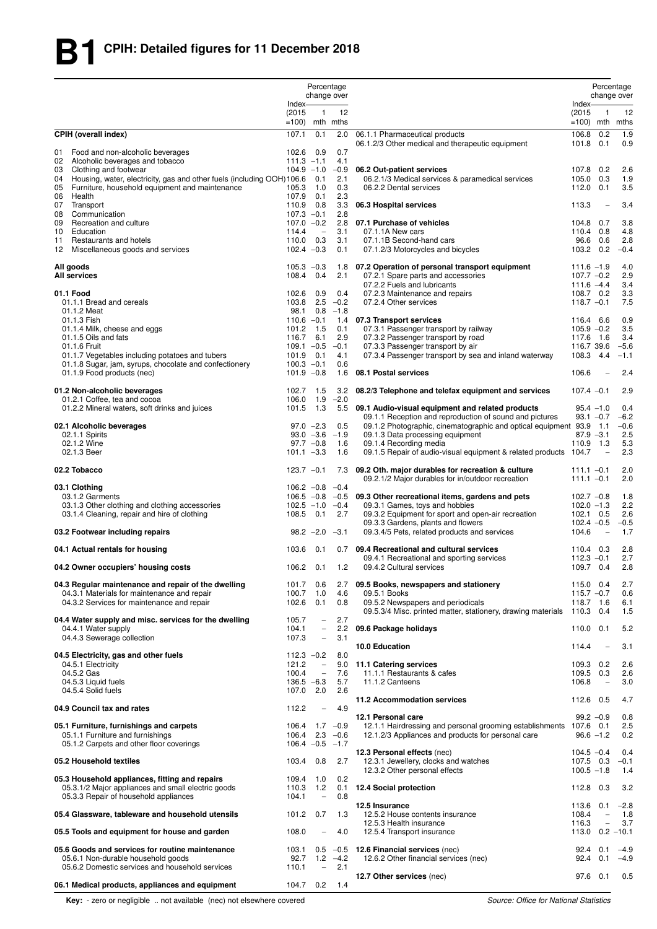|                |                                                                                                                                               |                                       | Percentage                                           | change over          |                                                                                                                                |                                                 |                                 | Percentage<br>change over |
|----------------|-----------------------------------------------------------------------------------------------------------------------------------------------|---------------------------------------|------------------------------------------------------|----------------------|--------------------------------------------------------------------------------------------------------------------------------|-------------------------------------------------|---------------------------------|---------------------------|
|                |                                                                                                                                               | $Index-$<br>(2015)<br>$=100$          | $\mathbf{1}$                                         | 12<br>mth mths       |                                                                                                                                | Index-<br>(2015)<br>$=100$ ) mth mths           | 1                               | 12                        |
| 01             | <b>CPIH (overall index)</b><br>Food and non-alcoholic beverages                                                                               | 107.1<br>102.6 0.9                    | 0.1                                                  | 2.0<br>0.7           | 06.1.1 Pharmaceutical products<br>06.1.2/3 Other medical and therapeutic equipment                                             | 106.8<br>101.8 0.1                              | 0.2                             | 1.9<br>0.9                |
| 04             | 02 Alcoholic beverages and tobacco<br>03 Clothing and footwear<br>Housing, water, electricity, gas and other fuels (including OOH) 106.6      | $111.3 - 1.1$<br>$104.9 - 1.0$        | 0.1                                                  | 4.1<br>$-0.9$<br>2.1 | 06.2 Out-patient services<br>06.2.1/3 Medical services & paramedical services                                                  | 107.8<br>105.0                                  | 0.2<br>0.3                      | 2.6<br>1.9                |
| 05<br>06       | Furniture, household equipment and maintenance<br>Health                                                                                      | 105.3<br>107.9                        | 1.0<br>0.1                                           | 0.3<br>2.3           | 06.2.2 Dental services                                                                                                         | 112.0                                           | 0.1                             | 3.5                       |
| 07<br>08<br>09 | Transport<br>Communication<br>Recreation and culture                                                                                          | 110.9<br>$107.3 -0.1$<br>$107.0 -0.2$ | 0.8                                                  | 3.3<br>2.8<br>2.8    | 06.3 Hospital services<br>07.1 Purchase of vehicles                                                                            | 113.3<br>104.8                                  | $\overline{\phantom{0}}$<br>0.7 | 3.4<br>3.8                |
| 10<br>11       | Education<br>Restaurants and hotels                                                                                                           | 114.4<br>110.0 0.3                    | $\overline{\phantom{m}}$                             | 3.1<br>3.1           | 07.1.1A New cars<br>07.1.1B Second-hand cars                                                                                   | 110.4<br>96.6                                   | 0.8<br>0.6                      | 4.8<br>2.8                |
| 12             | Miscellaneous goods and services                                                                                                              | $102.4 -0.3$                          |                                                      | 0.1                  | 07.1.2/3 Motorcycles and bicycles                                                                                              | 103.2 0.2                                       |                                 | $-0.4$                    |
|                | All goods<br><b>All services</b>                                                                                                              | $105.3 - 0.3$<br>108.4 0.4            |                                                      | 2.1                  | 1.8 07.2 Operation of personal transport equipment<br>07.2.1 Spare parts and accessories<br>07.2.2 Fuels and lubricants        | $111.6 - 1.9$<br>$107.7 - 0.2$<br>$111.6 - 4.4$ |                                 | 4.0<br>2.9<br>3.4         |
|                | 01.1 Food<br>01.1.1 Bread and cereals                                                                                                         | 102.6<br>103.8                        | 0.9<br>2.5                                           | 0.4<br>$-0.2$        | 07.2.3 Maintenance and repairs<br>07.2.4 Other services                                                                        | 108.7 0.2<br>$118.7 - 0.1$                      |                                 | 3.3<br>7.5                |
|                | 01.1.2 Meat                                                                                                                                   | 98.1                                  | 0.8                                                  | $-1.8$               |                                                                                                                                |                                                 |                                 |                           |
|                | 01.1.3 Fish<br>01.1.4 Milk, cheese and eggs                                                                                                   | $110.6 - 0.1$<br>101.2                | 1.5                                                  | 0.1                  | 1.4 07.3 Transport services<br>07.3.1 Passenger transport by railway                                                           | 116.4<br>$105.9 - 0.2$                          | 6.6                             | 0.9<br>3.5                |
|                | 01.1.5 Oils and fats                                                                                                                          | 116.7                                 | 6.1                                                  | 2.9                  | 07.3.2 Passenger transport by road                                                                                             | 117.6 1.6                                       |                                 | 3.4                       |
|                | 01.1.6 Fruit<br>01.1.7 Vegetables including potatoes and tubers                                                                               | $109.1 - 0.5$<br>101.9 0.1            |                                                      | $-0.1$<br>4.1        | 07.3.3 Passenger transport by air<br>07.3.4 Passenger transport by sea and inland waterway                                     | 116.7 39.6<br>108.3 4.4                         |                                 | $-5.6$<br>$-1.1$          |
|                | 01.1.8 Sugar, jam, syrups, chocolate and confectionery<br>01.1.9 Food products (nec)                                                          | $100.3 -0.1$<br>$101.9 - 0.8$         |                                                      | 0.6<br>1.6           | 08.1 Postal services                                                                                                           | 106.6                                           |                                 | 2.4                       |
|                | 01.2 Non-alcoholic beverages                                                                                                                  | 102.7                                 | 1.5                                                  | 3.2                  | 08.2/3 Telephone and telefax equipment and services                                                                            | $107.4 -0.1$                                    |                                 | 2.9                       |
|                | 01.2.1 Coffee, tea and cocoa<br>01.2.2 Mineral waters, soft drinks and juices                                                                 | 106.0<br>101.5 1.3                    | 1.9                                                  | $-2.0$               | 5.5 09.1 Audio-visual equipment and related products                                                                           |                                                 | $95.4 - 1.0$                    | 0.4                       |
|                | 02.1 Alcoholic beverages                                                                                                                      |                                       | $97.0 -2.3$                                          | 0.5                  | 09.1.1 Reception and reproduction of sound and pictures<br>09.1.2 Photographic, cinematographic and optical equipment 93.9 1.1 |                                                 | $93.1 - 0.7$                    | $-6.2$<br>$-0.6$          |
|                | 02.1.1 Spirits                                                                                                                                |                                       |                                                      | $93.0 -3.6 -1.9$     | 09.1.3 Data processing equipment                                                                                               |                                                 | $87.9 - 3.1$                    | 2.5                       |
|                | 02.1.2 Wine<br>02.1.3 Beer                                                                                                                    | $101.1 - 3.3$                         | $97.7 -0.8$                                          | 1.6<br>1.6           | 09.1.4 Recording media<br>09.1.5 Repair of audio-visual equipment & related products                                           | 110.9 1.3<br>104.7                              |                                 | 5.3<br>2.3                |
|                | 02.2 Tobacco                                                                                                                                  | $123.7 -0.1$                          |                                                      | 7.3                  | 09.2 Oth. major durables for recreation & culture<br>09.2.1/2 Major durables for in/outdoor recreation                         | $111.1 - 0.1$<br>$111.1 - 0.1$                  |                                 | 2.0<br>2.0                |
|                | 03.1 Clothing<br>03.1.2 Garments                                                                                                              | $106.2 -0.8$<br>$106.5 - 0.8$         |                                                      | $-0.4$               | $-0.5$ 09.3 Other recreational items, gardens and pets                                                                         | $102.7 - 0.8$                                   |                                 | 1.8                       |
|                | 03.1.3 Other clothing and clothing accessories                                                                                                | $102.5 - 1.0$                         |                                                      | $-0.4$               | 09.3.1 Games, toys and hobbies                                                                                                 | $102.0 - 1.3$                                   |                                 | 2.2                       |
|                | 03.1.4 Cleaning, repair and hire of clothing                                                                                                  | 108.5 0.1                             |                                                      | 2.7                  | 09.3.2 Equipment for sport and open-air recreation<br>09.3.3 Gardens, plants and flowers                                       | $102.1$ 0.5<br>$102.4 - 0.5$                    |                                 | 2.6<br>$-0.5$             |
|                | 03.2 Footwear including repairs                                                                                                               |                                       | $98.2 -2.0$                                          | $-3.1$               | 09.3.4/5 Pets, related products and services                                                                                   | 104.6                                           | $\overline{\phantom{0}}$        | 1.7                       |
|                | 04.1 Actual rentals for housing                                                                                                               | 103.6                                 | 0.1                                                  |                      | 0.7 09.4 Recreational and cultural services<br>09.4.1 Recreational and sporting services                                       | 110.4 0.3<br>$112.3 - 0.1$                      |                                 | 2.8<br>2.7                |
|                | 04.2 Owner occupiers' housing costs                                                                                                           | $106.2$ 0.1                           |                                                      | 1.2                  | 09.4.2 Cultural services                                                                                                       | 109.7 0.4                                       |                                 | 2.8                       |
|                | 04.3 Regular maintenance and repair of the dwelling<br>04.3.1 Materials for maintenance and repair                                            | 101.7<br>100.7                        | 0.6<br>1.0                                           | 2.7<br>4.6           | 09.5 Books, newspapers and stationery<br>09.5.1 Books                                                                          | 115.0 0.4<br>$115.7 - 0.7$                      |                                 | 2.7<br>0.6                |
|                | 04.3.2 Services for maintenance and repair                                                                                                    | 102.6                                 | 0.1                                                  | 0.8                  | 09.5.2 Newspapers and periodicals<br>09.5.3/4 Misc. printed matter, stationery, drawing materials                              | 118.7 1.6<br>110.3 0.4                          |                                 | 6.1<br>1.5                |
|                | 04.4 Water supply and misc. services for the dwelling<br>04.4.1 Water supply                                                                  | 105.7<br>104.1                        | $\overline{\phantom{0}}$<br>$\overline{\phantom{a}}$ | 2.7<br>2.2           | 09.6 Package holidays                                                                                                          | 110.0                                           | 0.1                             | 5.2                       |
|                | 04.4.3 Sewerage collection                                                                                                                    | 107.3                                 | $\overline{\phantom{a}}$                             | 3.1                  | 10.0 Education                                                                                                                 | 114.4                                           |                                 | 3.1                       |
|                | 04.5 Electricity, gas and other fuels<br>04.5.1 Electricity                                                                                   | $112.3 -0.2$<br>121.2                 | $\overline{\phantom{a}}$                             | 8.0<br>9.0           | 11.1 Catering services                                                                                                         | 109.3 0.2                                       |                                 | 2.6                       |
|                | 04.5.2 Gas                                                                                                                                    | 100.4                                 | $\overline{\phantom{a}}$                             | 7.6                  | 11.1.1 Restaurants & cafes                                                                                                     | 109.5                                           | 0.3                             | 2.6                       |
|                | 04.5.3 Liquid fuels<br>04.5.4 Solid fuels                                                                                                     | $136.5 -6.3$<br>107.0 2.0             |                                                      | 5.7<br>2.6           | 11.1.2 Canteens                                                                                                                | 106.8                                           | $\qquad \qquad -$               | 3.0                       |
|                | 04.9 Council tax and rates                                                                                                                    | 112.2                                 | $\qquad \qquad -$                                    | 4.9                  | 11.2 Accommodation services                                                                                                    | 112.6 0.5                                       |                                 | 4.7                       |
|                | 05.1 Furniture, furnishings and carpets                                                                                                       | $106.4$ 1.7 $-0.9$                    |                                                      |                      | 12.1 Personal care<br>12.1.1 Hairdressing and personal grooming establishments 107.6 0.1                                       |                                                 | $99.2 -0.9$                     | 0.8<br>2.5                |
|                | 05.1.1 Furniture and furnishings<br>05.1.2 Carpets and other floor coverings                                                                  | $106.4 -0.5 -1.7$                     |                                                      | $106.4$ 2.3 $-0.6$   | 12.1.2/3 Appliances and products for personal care                                                                             |                                                 | $96.6 - 1.2$                    | 0.2                       |
|                | 05.2 Household textiles                                                                                                                       | 103.4                                 | 0.8                                                  | 2.7                  | 12.3 Personal effects (nec)<br>12.3.1 Jewellery, clocks and watches<br>12.3.2 Other personal effects                           | $104.5 - 0.4$<br>107.5 0.3<br>$100.5 - 1.8$     |                                 | 0.4<br>$-0.1$<br>1.4      |
|                | 05.3 Household appliances, fitting and repairs<br>05.3.1/2 Major appliances and small electric goods<br>05.3.3 Repair of household appliances | 109.4<br>110.3<br>104.1               | 1.0<br>1.2<br>$\overline{\phantom{a}}$               | 0.2<br>0.1<br>0.8    | 12.4 Social protection                                                                                                         | 112.8 0.3                                       |                                 | 3.2                       |
|                | 05.4 Glassware, tableware and household utensils                                                                                              | 101.2 0.7                             |                                                      | 1.3                  | 12.5 Insurance<br>12.5.2 House contents insurance                                                                              | 113.6<br>108.4                                  | 0.1<br>$\overline{\phantom{a}}$ | $-2.8$<br>1.8             |
|                | 05.5 Tools and equipment for house and garden                                                                                                 | 108.0                                 | $\qquad \qquad -$                                    | 4.0                  | 12.5.3 Health insurance<br>12.5.4 Transport insurance                                                                          | 116.3<br>113.0                                  | $\equiv$                        | 3.7<br>$0.2 - 10.1$       |
|                | 05.6 Goods and services for routine maintenance                                                                                               | 103.1                                 |                                                      |                      | $0.5 -0.5$ 12.6 Financial services (nec)                                                                                       | 92.4                                            | 0.1                             | $-4.9$                    |
|                | 05.6.1 Non-durable household goods<br>05.6.2 Domestic services and household services                                                         | 92.7<br>110.1                         | $\overline{\phantom{a}}$                             | $1.2 -4.2$<br>2.1    | 12.6.2 Other financial services (nec)                                                                                          | 92.4                                            | 0.1                             | $-4.9$                    |
|                | 06.1 Medical products, appliances and equipment                                                                                               | 104.7                                 | 0.2                                                  | 1.4                  | 12.7 Other services (nec)                                                                                                      |                                                 | 97.6 0.1                        | 0.5                       |

**Key:** - zero or negligible .. not available (nec) not elsewhere covered *Source: Office for National Statistics*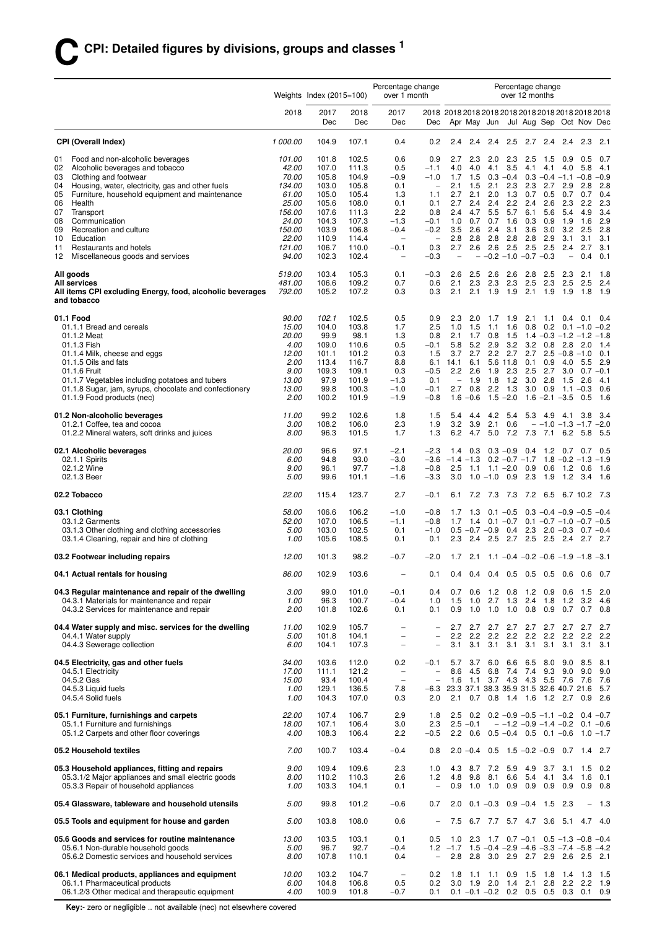|                                                                                             |                      | Weights Index $(2015=100)$ |                | Percentage change<br>over 1 month  |                                                      |                                        |                        |                                                        |                    | over 12 months | Percentage change                            |                   |                                            |                    |
|---------------------------------------------------------------------------------------------|----------------------|----------------------------|----------------|------------------------------------|------------------------------------------------------|----------------------------------------|------------------------|--------------------------------------------------------|--------------------|----------------|----------------------------------------------|-------------------|--------------------------------------------|--------------------|
|                                                                                             | 2018                 | 2017<br>Dec                | 2018<br>Dec    | 2017<br>Dec                        | Dec                                                  |                                        |                        | Apr May Jun Jul Aug Sep Oct Nov Dec                    |                    |                |                                              |                   |                                            |                    |
| <b>CPI (Overall Index)</b>                                                                  | 1 000.00             | 104.9                      | 107.1          | 0.4                                | 0.2                                                  | 2.4                                    | 2.4                    | $2.4$ 2.5                                              |                    | 2.7            | 2.4 2.4 2.3                                  |                   |                                            | 2.1                |
| Food and non-alcoholic beverages<br>01                                                      | 101.00               | 101.8                      | 102.5          | 0.6                                | 0.9                                                  | 2.7                                    | 2.3                    | 2.0                                                    | 2.3                | 2.5            | 1.5                                          | 0.9               | 0.5                                        | 0.7                |
| Alcoholic beverages and tobacco<br>02<br>Clothing and footwear<br>03                        | 42.00<br>70.00       | 107.0<br>105.8             | 111.3<br>104.9 | 0.5<br>$-0.9$                      | $-1.1$<br>$-1.0$                                     | 4.0<br>1.7                             | 4.0<br>1.5             | 4.1                                                    | 3.5<br>$0.3 - 0.4$ | 4.1            | 4.1<br>$0.3 - 0.4 - 1.1 - 0.8$               | 4.0               | 5.8                                        | 4.1<br>$-0.9$      |
| Housing, water, electricity, gas and other fuels<br>04                                      | 134.00               | 103.0                      | 105.8          | 0.1                                | $\overline{\phantom{a}}$                             | 2.1                                    | 1.5                    | 2.1                                                    | 2.3                | 2.3            | 2.7                                          | 2.9               | 2.8                                        | 2.8                |
| Furniture, household equipment and maintenance<br>05<br>Health<br>06                        | 61.00<br>25.00       | 105.0<br>105.6             | 105.4<br>108.0 | 1.3<br>0.1                         | 1.1<br>0.1                                           | 2.7<br>2.7                             | 2.1                    | 2.0<br>2.4 2.4 2.2                                     | 1.3                | 0.7<br>2.4     | 0.5<br>2.6                                   | 0.7<br>2.3        | 0.7<br>2.2                                 | 0.4<br>2.3         |
| 07<br>Transport                                                                             | 156.00               | 107.6                      | 111.3          | 2.2                                | 0.8                                                  | 2.4                                    | 4.7                    | 5.5                                                    | 5.7                | 6.1            | 5.6                                          | 5.4               | 4.9                                        | 3.4                |
| Communication<br>08                                                                         | 24.00                | 104.3                      | 107.3          | $-1.3$                             | $-0.1$                                               | 1.0                                    | 0.7                    | 0.7                                                    | 1.6                | 0.3            | 0.9                                          | 1.9               | 1.6                                        | 2.9                |
| 09<br>Recreation and culture<br>10<br>Education                                             | 150.00<br>22.00      | 103.9<br>110.9             | 106.8<br>114.4 | $-0.4$<br>$\overline{\phantom{a}}$ | $-0.2$<br>$\qquad \qquad -$                          | 3.5<br>2.8                             | 2.6<br>2.8             | 2.4<br>2.8                                             | 3.1<br>2.8         | 3.6<br>2.8     | 3.0<br>2.9                                   | 3.1               | $3.2$ $2.5$<br>3.1                         | 2.8<br>3.1         |
| 11<br>Restaurants and hotels                                                                | 121.00               | 106.7                      | 110.0          | $-0.1$                             | 0.3                                                  | 2.7                                    |                        | $2.6$ 2.6                                              | 2.5                | 2.5            | 2.5                                          | 2.4               | 2.7                                        | 3.1                |
| Miscellaneous goods and services<br>12                                                      | 94.00                | 102.3                      | 102.4          | $\overline{\phantom{0}}$           | $-0.3$                                               | $\overline{\phantom{0}}$               |                        | $-$ -0.2 -1.0 -0.7 -0.3                                |                    |                |                                              | $\qquad \qquad -$ | 0.4                                        | 0.1                |
| All goods<br><b>All services</b>                                                            | 519.00<br>481.00     | 103.4<br>106.6             | 105.3<br>109.2 | 0.1<br>0.7                         | $-0.3$<br>0.6                                        | 2.6<br>2.1                             | 2.5                    | 2.6<br>$2.3$ 2.3                                       | 2.6<br>2.3         | 2.8<br>2.5     | 2.5<br>2.3                                   | 2.3<br>2.5        | 2.1<br>2.5                                 | 1.8<br>2.4         |
| All items CPI excluding Energy, food, alcoholic beverages<br>and tobacco                    | 792.00               | 105.2                      | 107.2          | 0.3                                | 0.3                                                  | 2.1                                    |                        | $2.1$ 1.9                                              | 1.9                | 2.1            | 1.9                                          | 1.9               | 1.8                                        | 1.9                |
| 01.1 Food                                                                                   | 90.00                | 102.1                      | 102.5          | 0.5                                | 0.9                                                  | 2.3                                    | 2.0                    | 1.7                                                    | 1.9                | 2.1            | 1.1                                          |                   | $0.4$ 0.1                                  | 0.4                |
| 01.1.1 Bread and cereals                                                                    | 15.00                | 104.0                      | 103.8          | 1.7                                | 2.5                                                  | 1.0                                    | 1.5                    | 1.1                                                    | 1.6                | 0.8            | 0.2                                          |                   | $0.1 - 1.0 - 0.2$                          |                    |
| 01.1.2 Meat<br>01.1.3 Fish                                                                  | <i>20.00</i><br>4.00 | 99.9<br>109.0              | 98.1<br>110.6  | 1.3<br>0.5                         | 0.8<br>$-0.1$                                        | 5.8                                    | $2.1 \quad 1.7$<br>5.2 | 0.8<br>2.9                                             | 1.5<br>3.2         |                | $1.4 - 0.3 - 1.2 - 1.2$<br>$3.2 \quad 0.8$   | 2.8               | 2.0                                        | $-1.8$<br>1.4      |
| 01.1.4 Milk, cheese and eggs                                                                | 12.00                | 101.1                      | 101.2          | 0.3                                | 1.5                                                  | 3.7                                    | 2.7                    |                                                        | $2.2$ 2.7          | 2.7            |                                              |                   | $2.5 - 0.8 - 1.0$                          | 0.1                |
| 01.1.5 Oils and fats                                                                        | 2.00                 | 113.4                      | 116.7          | 8.8                                | 6.1                                                  | 14.1                                   | 6.1                    | 5.6 11.8                                               |                    | 0.1            | 0.9                                          |                   | 4.0 5.5                                    | 2.9                |
| 01.1.6 Fruit<br>01.1.7 Vegetables including potatoes and tubers                             | 9.00<br>13.00        | 109.3<br>97.9              | 109.1<br>101.9 | 0.3<br>$-1.3$                      | $-0.5$<br>0.1                                        | $\overline{\phantom{a}}$               | $2.2$ $2.6$<br>1.9     | 1.9<br>1.8                                             | 2.3<br>1.2         | 2.5<br>3.0     | 2.7<br>2.8                                   | 3.0<br>1.5        | 2.6                                        | $0.7 - 0.1$<br>4.1 |
| 01.1.8 Sugar, jam, syrups, chocolate and confectionery                                      | 13.00                | 99.8                       | 100.3          | $-1.0$                             | $-0.1$                                               | 2.7                                    |                        | $0.8$ 2.2 1.3                                          |                    |                | $3.0$ $0.9$                                  |                   | $1.1 - 0.3$                                | 0.6                |
| 01.1.9 Food products (nec)                                                                  | 2.00                 | 100.2                      | 101.9          | $-1.9$                             | $-0.8$                                               |                                        | $1.6 - 0.6$            |                                                        | $1.5 - 2.0$        |                | $1.6 - 2.1 - 3.5$                            |                   | 0.5                                        | 1.6                |
| 01.2 Non-alcoholic beverages<br>01.2.1 Coffee, tea and cocoa                                | 11.00<br>3.00        | 99.2<br>108.2              | 102.6<br>106.0 | 1.8<br>2.3                         | 1.5<br>1.9                                           | 3.2                                    | 3.9                    | 5.4 4.4 4.2 5.4<br>2.1                                 | 0.6                |                | 5.3 4.9 4.1 3.8<br>$-$ -1.0 -1.3 -1.7 -2.0   |                   |                                            | - 3.4              |
| 01.2.2 Mineral waters, soft drinks and juices                                               | 8.00                 | 96.3                       | 101.5          | 1.7                                | 1.3                                                  | 6.2                                    | 4.7                    | 5.0                                                    | 7.2                | 7.3            | 7.1                                          | 6.2               | 5.8                                        | - 5.5              |
| 02.1 Alcoholic beverages                                                                    | 20.00                | 96.6                       | 97.1           | $-2.1$                             | $-2.3$                                               |                                        | $1.4 \quad 0.3$        | $0.3 - 0.9$                                            |                    |                | $0.4$ 1.2                                    | 0.7 0.7           |                                            | 0.5                |
| 02.1.1 Spirits<br>02.1.2 Wine                                                               | 6.00<br>9.00         | 94.8<br>96.1               | 93.0<br>97.7   | $-3.0$<br>$-1.8$                   | $-3.6$<br>$-0.8$                                     | $-1.4$ $-1.3$ 0.2 $-0.7$ $-1.7$<br>2.5 |                        | $1.1$ $1.1$ $-2.0$ $0.9$                               |                    |                | 0.6                                          |                   | $1.8 - 0.2 - 1.3 - 1.9$<br>$1.2 \quad 0.6$ | 1.6                |
| 02.1.3 Beer                                                                                 | 5.00                 | 99.6                       | 101.1          | $-1.6$                             | $-3.3$                                               | 3.0                                    |                        | $1.0 - 1.0$                                            | 0.9                | 2.3            | 1.9                                          | 1.2               | 3.4                                        | 1.6                |
| 02.2 Tobacco                                                                                | 22.00                | 115.4                      | 123.7          | 2.7                                | $-0.1$                                               |                                        |                        | 6.1 7.2 7.3 7.3 7.2 6.5 6.7 10.2 7.3                   |                    |                |                                              |                   |                                            |                    |
| 03.1 Clothing                                                                               | 58.00                | 106.6                      | 106.2          | $-1.0$                             | $-0.8$                                               | 1.7                                    | 1.3                    | $0.1 - 0.5$                                            |                    |                | $0.3 - 0.4 - 0.9 - 0.5 - 0.4$                |                   |                                            |                    |
| 03.1.2 Garments<br>03.1.3 Other clothing and clothing accessories                           | 52.00<br>5.00        | 107.0<br>103.0             | 106.5<br>102.5 | $-1.1$<br>0.1                      | $-0.8$<br>$-1.0$                                     |                                        |                        | $1.7$ 1.4 0.1 -0.7<br>$0.5 -0.7 -0.9$                  | 0.4                | 2.3            | $0.1 - 0.7 - 1.0 - 0.7 - 0.5$<br>$2.0 - 0.3$ |                   | $0.7 - 0.4$                                |                    |
| 03.1.4 Cleaning, repair and hire of clothing                                                | 1.00                 | 105.6                      | 108.5          | 0.1                                | 0.1                                                  | 2.3                                    | 2.4                    | 2.5                                                    |                    |                | 2.7 2.5 2.5 2.4 2.7                          |                   |                                            | - 2.7              |
| 03.2 Footwear including repairs                                                             | 12.00                | 101.3                      | 98.2           | $-0.7$                             | $-2.0$                                               | 1.7                                    | 2.1                    | $1.1 - 0.4 - 0.2 - 0.6 - 1.9 - 1.8 - 3.1$              |                    |                |                                              |                   |                                            |                    |
| 04.1 Actual rentals for housing                                                             | 86.00                | 102.9                      | 103.6          | $\overline{\phantom{a}}$           | 0.1                                                  |                                        |                        | $0.4$ 0.4 0.4 0.5                                      |                    |                | $0.5$ 0.5 0.6 0.6 0.7                        |                   |                                            |                    |
| 04.3 Regular maintenance and repair of the dwelling                                         | 3.00                 | 99.0                       | 101.0          | $-0.1$                             | 0.4                                                  | 0.7                                    | 0.6                    | 1.2                                                    | 0.8                | 1.2            | 0.9                                          | 0.6               | 1.5                                        | 2.0                |
| 04.3.1 Materials for maintenance and repair<br>04.3.2 Services for maintenance and repair   | 1.00<br>2.00         | 96.3<br>101.8              | 100.7<br>102.6 | $-0.4$<br>0.1                      | 1.0<br>0.1                                           | 1.5<br>0.9                             | 1.0                    | $1.0$ 2.7<br>1.0                                       | 1.3<br>1.0         | 2.4<br>0.8     | 1.8<br>0.9                                   | 1.2<br>0.7        | 3.2<br>0.7                                 | 4.6<br>0.8         |
| 04.4 Water supply and misc. services for the dwelling                                       | 11.00                | 102.9                      | 105.7          | $\qquad \qquad -$                  | $\qquad \qquad -$                                    |                                        | 2.7 2.7                |                                                        |                    |                | 2.7 2.7 2.7 2.7 2.7 2.7                      |                   |                                            | 2.7                |
| 04.4.1 Water supply<br>04.4.3 Sewerage collection                                           | 5.00                 | 101.8                      | 104.1          | $\overline{\phantom{0}}$           | $\overline{\phantom{0}}$<br>$\overline{\phantom{0}}$ | 2.2<br>3.1                             | 2.2<br>3.1             | 2.2<br>3.1                                             | 2.2<br>3.1         | 2.2<br>3.1     | 2.2<br>3.1                                   | 2.2               | 2.2                                        | 2.2<br>3.1         |
|                                                                                             | 6.00                 | 104.1                      | 107.3          | $\overline{\phantom{0}}$           |                                                      |                                        |                        |                                                        |                    |                |                                              | 3.1               | 3.1                                        |                    |
| 04.5 Electricity, gas and other fuels<br>04.5.1 Electricity                                 | 34.00<br>17.00       | 103.6<br>111.1             | 112.0<br>121.2 | 0.2<br>$\qquad \qquad -$           | $-0.1$<br>$\overline{\phantom{0}}$                   | 5.7<br>8.6                             | 3.7<br>4.5             | 6.0<br>6.8                                             | 6.6                | 6.5<br>7.4 7.4 | 8.0<br>9.3                                   | 9.0<br>9.0        | 8.5<br>9.0                                 | 8.1<br>9.0         |
| 04.5.2 Gas                                                                                  | 15.00                | 93.4                       | 100.4          | $\overline{\phantom{m}}$           | $\qquad \qquad -$                                    | 1.6                                    |                        | 1.1 3.7 4.3 4.3 5.5 7.6 7.6                            |                    |                |                                              |                   |                                            | 7.6                |
| 04.5.3 Liquid fuels<br>04.5.4 Solid fuels                                                   | 1.00<br>1.00         | 129.1<br>104.3             | 136.5<br>107.0 | 7.8<br>0.3                         | $-6.3$<br>2.0                                        | 2.1                                    | 0.7                    | 23.3 37.1 38.3 35.9 31.5 32.6 40.7 21.6<br>0.8         |                    | $1.4$ 1.6      | 1.2 2.7 0.9                                  |                   |                                            | - 5.7<br>2.6       |
|                                                                                             |                      |                            |                |                                    |                                                      |                                        |                        |                                                        |                    |                |                                              |                   |                                            |                    |
| 05.1 Furniture, furnishings and carpets                                                     | 22.00                | 107.4                      | 106.7          | 2.9                                | 1.8                                                  | 2.5                                    | 0.2                    |                                                        |                    |                | $0.2 -0.9 -0.5 -1.1 -0.2$ 0.4 -0.7           |                   |                                            |                    |
| 05.1.1 Furniture and furnishings<br>05.1.2 Carpets and other floor coverings                | 18.00<br>4.00        | 107.1<br>108.3             | 106.4<br>106.4 | 3.0<br>2.2                         | 2.3<br>$-0.5$                                        |                                        | $2.5 - 0.1$            | 2.2 0.6 0.5 -0.4 0.5 0.1 -0.6 1.0 -1.7                 |                    |                | $-$ -1.2 -0.9 -1.4 -0.2 0.1 -0.6             |                   |                                            |                    |
| 05.2 Household textiles                                                                     | 7.00                 | 100.7                      | 103.4          | $-0.4$                             | 0.8                                                  |                                        | $2.0 - 0.4$            |                                                        |                    |                | $0.5$ 1.5 $-0.2$ $-0.9$ 0.7                  |                   | 1.4                                        | 2.7                |
| 05.3 Household appliances, fitting and repairs                                              | 9.00                 | 109.4                      | 109.6          | 2.3                                | 1.0                                                  | 4.3                                    |                        | 8.7 7.2 5.9                                            |                    | 4.9            | 3.7                                          |                   | $3.1 \quad 1.5$                            | 0.2                |
| 05.3.1/2 Major appliances and small electric goods<br>05.3.3 Repair of household appliances | 8.00<br>1.00         | 110.2<br>103.3             | 110.3<br>104.1 | 2.6<br>0.1                         | 1.2<br>$\overline{\phantom{0}}$                      | 4.8<br>0.9                             | 9.8                    | 8.1<br>1.0 1.0 0.9 0.9                                 | 6.6                | 5.4            | 4.1<br>0.9                                   | 3.4<br>0.9        | 1.6<br>0.9                                 | 0.1<br>0.8         |
| 05.4 Glassware, tableware and household utensils                                            | 5.00                 | 99.8                       | 101.2          | $-0.6$                             | 0.7                                                  | 2.0                                    |                        | $0.1 - 0.3$                                            |                    | $0.9 - 0.4$    | 1.5                                          | 2.3               | $\overline{\phantom{0}}$                   | 1.3                |
| 05.5 Tools and equipment for house and garden                                               | 5.00                 | 103.8                      | 108.0          | 0.6                                | $\qquad \qquad -$                                    | 7.5                                    |                        | 6.7 7.7 5.7 4.7 3.6                                    |                    |                |                                              |                   | 5.1 4.7 4.0                                |                    |
| 05.6 Goods and services for routine maintenance                                             | 13.00                | 103.5                      | 103.1          | 0.1                                | 0.5                                                  |                                        |                        | 1.0 2.3 1.7 0.7 -0.1 0.5 -1.3 -0.8 -0.4                |                    |                |                                              |                   |                                            |                    |
| 05.6.1 Non-durable household goods                                                          | 5.00                 | 96.7                       | 92.7           | $-0.4$                             | 1.2                                                  | $-1.7$                                 |                        | $1.5 - 0.4 - 2.9 - 4.6 - 3.3 - 7.4 - 5.8$              |                    |                |                                              |                   |                                            | $-4.2$             |
| 05.6.2 Domestic services and household services                                             | 8.00                 | 107.8                      | 110.1          | 0.4                                | $\qquad \qquad -$                                    | 2.8                                    | 2.8                    | 3.0                                                    | 2.9                |                | $2.7$ 2.9                                    | 2.6               | 2.5                                        | 2.1                |
| 06.1 Medical products, appliances and equipment                                             | 10.00                | 103.2                      | 104.7          | $\qquad \qquad -$                  | 0.2                                                  | 1.8                                    | 1.1                    | 1.1 0.9                                                |                    | 1.5            | - 1.8                                        |                   | 1.4 1.3                                    | 1.5                |
| 06.1.1 Pharmaceutical products<br>06.1.2/3 Other medical and therapeutic equipment          | 6.00<br>4.00         | 104.8<br>100.9             | 106.8<br>101.8 | 0.5<br>$-0.7$                      | 0.2<br>0.1                                           | 3.0                                    |                        | $1.9$ 2.0<br>$0.1 - 0.1 - 0.2$ 0.2 0.5 0.5 0.3 0.1 0.9 | 1.4                | 2.1            | 2.8                                          | 2.2               | 2.2                                        | 1.9                |

**Key:**- zero or negligible .. not available (nec) not elsewhere covered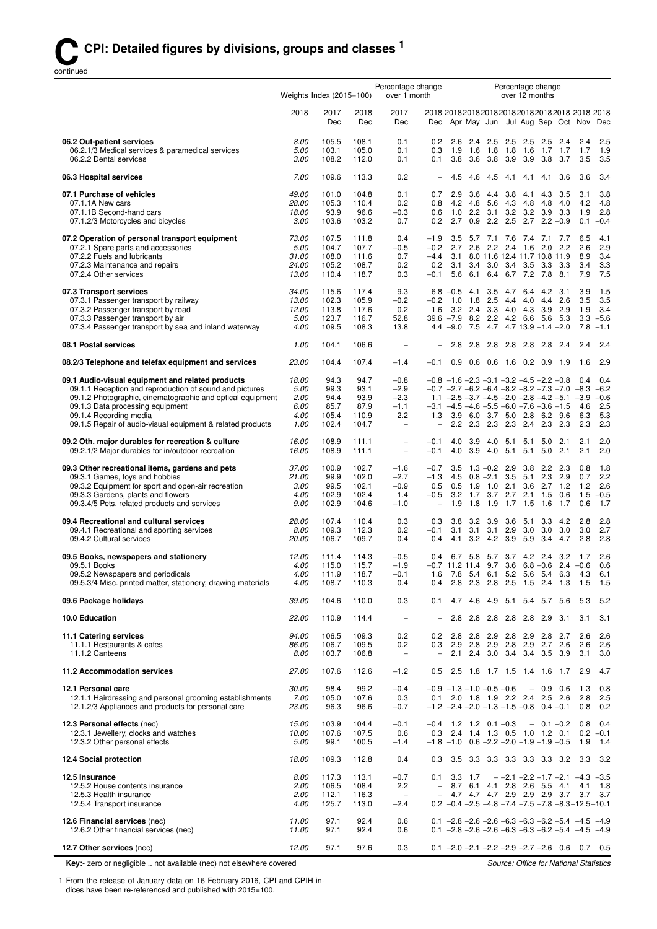continued

|                                                                                                                       | Percentage change<br>Percentage change<br>Weights Index (2015=100)<br>over 1 month<br>over 12 months |                |                |                                 |                                                      |                                                                                                                 |                  |                                             |                  |                          |                    |                      |                              |                    |
|-----------------------------------------------------------------------------------------------------------------------|------------------------------------------------------------------------------------------------------|----------------|----------------|---------------------------------|------------------------------------------------------|-----------------------------------------------------------------------------------------------------------------|------------------|---------------------------------------------|------------------|--------------------------|--------------------|----------------------|------------------------------|--------------------|
|                                                                                                                       | 2018                                                                                                 | 2017<br>Dec    | 2018<br>Dec    | 2017<br>Dec                     | Dec                                                  |                                                                                                                 |                  | Apr May Jun Jul Aug Sep Oct Nov             |                  |                          |                    |                      |                              | Dec                |
| 06.2 Out-patient services                                                                                             | 8.00                                                                                                 | 105.5          | 108.1          | 0.1                             | 0.2                                                  | 2.6                                                                                                             | 2.4              |                                             | $2.5$ 2.5        | -2.5                     | 2.5                | 2.4                  | 2.4                          | 2.5                |
| 06.2.1/3 Medical services & paramedical services<br>06.2.2 Dental services                                            | 5.00<br>3.00                                                                                         | 103.1<br>108.2 | 105.0<br>112.0 | 0.1<br>0.1                      | 0.3<br>0.1                                           | 1.9<br>3.8                                                                                                      | 1.6<br>3.6       | 1.8<br>3.8 3.9                              | 1.8              | 1.6<br>3.9 3.8           | 1.7                | 1.7<br>3.7           | 1.7<br>3.5                   | 1.9<br>3.5         |
| 06.3 Hospital services                                                                                                | 7.00                                                                                                 | 109.6          | 113.3          | 0.2                             | $\overline{\phantom{0}}$                             | 4.5                                                                                                             | 4.6              | 4.5                                         | 4.1              | 4.1                      | 4.1                | 3.6                  | 3.6                          | 3.4                |
| 07.1 Purchase of vehicles                                                                                             | 49.00                                                                                                | 101.0          | 104.8          | 0.1                             | 0.7                                                  | 2.9                                                                                                             | 3.6              | 4.4                                         | 3.8              | 4.1                      | 4.3                | 3.5                  | 3.1                          | 3.8                |
| 07.1.1A New cars                                                                                                      | 28.00                                                                                                | 105.3          | 110.4          | 0.2                             | 0.8                                                  | 4.2                                                                                                             | 4.8<br>2.2       | 5.6<br>3.1                                  | 4.3<br>3.2       | 4.8                      | 4.8<br>$3.2$ $3.9$ | 4.0                  | 4.2<br>1.9                   | 4.8<br>2.8         |
| 07.1.1B Second-hand cars<br>07.1.2/3 Motorcycles and bicycles                                                         | 18.00<br>3.00                                                                                        | 93.9<br>103.6  | 96.6<br>103.2  | $-0.3$<br>0.7                   | 0.6<br>0.2                                           | 1.0<br>2.7                                                                                                      | 0.9              | 2.2                                         | 2.5              | 2.7                      |                    | - 3.3<br>$2.2 - 0.9$ | 0.1                          | $-0.4$             |
| 07.2 Operation of personal transport equipment                                                                        | 73.00                                                                                                | 107.5          | 111.8          | 0.4                             | $-1.9$                                               | 3.5                                                                                                             |                  | 5.7 7.1 7.6                                 |                  | 7.4 7.1 7.7              |                    |                      | 6.5                          | 4.1                |
| 07.2.1 Spare parts and accessories                                                                                    | 5.00                                                                                                 | 104.7          | 107.7          | $-0.5$                          | $-0.2$<br>$-4.4$                                     | 2.7                                                                                                             |                  | $2.6$ $2.2$ $2.4$                           |                  | 1.6                      | 2.0                | - 2.2                | 2.6<br>8.9                   | 2.9<br>3.4         |
| 07.2.2 Fuels and lubricants<br>07.2.3 Maintenance and repairs                                                         | 31.00<br>24.00                                                                                       | 108.0<br>105.2 | 111.6<br>108.7 | 0.7<br>0.2                      | 0.2                                                  | 3.1<br>3.1                                                                                                      |                  | 8.0 11.6 12.4 11.7 10.8 11.9<br>3.4 3.0 3.4 |                  | 3.5                      |                    | $3.3\quad 3.3$       | 3.4                          | 3.3                |
| 07.2.4 Other services                                                                                                 | 13.00                                                                                                | 110.4          | 118.7          | 0.3                             | $-0.1$                                               | 5.6                                                                                                             | 6.1              | 6.4                                         | 6.7              | 7.2                      | 7.8                | 8.1                  | 7.9                          | 7.5                |
| 07.3 Transport services                                                                                               | 34.00                                                                                                | 115.6          | 117.4          | 9.3                             |                                                      | $6.8 - 0.5$                                                                                                     | -4.1             | 3.5                                         | 4.7              | 6.4                      |                    | 4.2 3.1              | 3.9                          | 1.5                |
| 07.3.1 Passenger transport by railway<br>07.3.2 Passenger transport by road                                           | 13.00<br>12.00                                                                                       | 102.3<br>113.8 | 105.9<br>117.6 | $-0.2$<br>0.2                   | $-0.2$<br>1.6                                        | 1.0                                                                                                             | 1.8<br>$3.2$ 2.4 | 2.5                                         | 4.4<br>$3.3$ 4.0 | 4.0<br>4.3 3.9 2.9       |                    | 4.4 2.6              | 3.5<br>1.9                   | 3.5<br>3.4         |
| 07.3.3 Passenger transport by air                                                                                     | 5.00                                                                                                 | 123.7          | 116.7          | 52.8                            |                                                      | $39.6 - 7.9$                                                                                                    | 8.2              |                                             |                  | 2.2 4.2 6.6 5.6          |                    | - 5.3                | 3.3                          | $-5.6$             |
| 07.3.4 Passenger transport by sea and inland waterway                                                                 | 4.00                                                                                                 | 109.5          | 108.3          | 13.8                            |                                                      | 4.4 - 9.0                                                                                                       | 7.5              | 4.7                                         |                  | $4.7$ 13.9 $-1.4$ $-2.0$ |                    |                      | 7.8                          | $-1.1$             |
| 08.1 Postal services                                                                                                  | 1.00                                                                                                 | 104.1          | 106.6          |                                 |                                                      | 2.8                                                                                                             | 2.8              | 2.8 2.8 2.8 2.8                             |                  |                          |                    | - 2.4                | 2.4                          | 2.4                |
| 08.2/3 Telephone and telefax equipment and services                                                                   | 23.00                                                                                                | 104.4          | 107.4          | $-1.4$                          | $-0.1$                                               | 0.9                                                                                                             | 0.6              | $0.6$ 1.6 0.2 0.9                           |                  |                          |                    | 1.9                  | 1.6                          | 2.9                |
| 09.1 Audio-visual equipment and related products                                                                      | 18.00                                                                                                | 94.3           | 94.7           | $-0.8$                          |                                                      | $-0.8$ $-1.6$ $-2.3$ $-3.1$ $-3.2$ $-4.5$ $-2.2$ $-0.8$                                                         |                  |                                             |                  |                          |                    |                      | 0.4                          | 0.4                |
| 09.1.1 Reception and reproduction of sound and pictures<br>09.1.2 Photographic, cinematographic and optical equipment | 5.00<br>2.00                                                                                         | 99.3<br>94.4   | 93.1<br>93.9   | $-2.9$<br>$-2.3$                |                                                      | $-0.7$ $-2.7$ $-6.2$ $-6.4$ $-8.2$ $-8.2$ $-7.3$ $-7.0$ $-8.3$<br>1.1 $-2.5 -3.7 -4.5 -2.0 -2.8 -4.2 -5.1 -3.9$ |                  |                                             |                  |                          |                    |                      |                              | $-6.2$<br>$-0.6$   |
| 09.1.3 Data processing equipment                                                                                      | 6.00                                                                                                 | 85.7           | 87.9           | $-1.1$                          |                                                      | $-3.1$ $-4.5$ $-4.6$ $-5.5$ $-6.0$ $-7.6$ $-3.6$ $-1.5$                                                         |                  |                                             |                  |                          |                    |                      | 4.6                          | 2.5                |
| 09.1.4 Recording media<br>09.1.5 Repair of audio-visual equipment & related products                                  | 4.00<br>1.00                                                                                         | 105.4<br>102.4 | 110.9<br>104.7 | 2.2<br>$\qquad \qquad -$        | 1.3                                                  | 2.2                                                                                                             |                  | 3.9 6.0 3.7<br>2.3 2.3 2.3 2.4 2.3          |                  | $5.0$ 2.8                | 6.2                | 9.6<br>2.3           | 6.3<br>2.3                   | 5.3<br>2.3         |
| 09.2 Oth. major durables for recreation & culture                                                                     | 16.00                                                                                                | 108.9          | 111.1          | $\overline{a}$                  | $-0.1$                                               | 4.0                                                                                                             | 3.9              | 4.0                                         | 5.1              | 5.1                      | 5.0                | 2.1                  | 2.1                          | 2.0                |
| 09.2.1/2 Major durables for in/outdoor recreation                                                                     | 16.00                                                                                                | 108.9          | 111.1          | $\overline{\phantom{a}}$        | $-0.1$                                               | 4.0                                                                                                             | 3.9              | 4.0                                         | 5.1              | 5.1                      | 5.0                | 2.1                  | 2.1                          | 2.0                |
| 09.3 Other recreational items, gardens and pets                                                                       | 37.00                                                                                                | 100.9          | 102.7          | $-1.6$                          | $-0.7$                                               | 3.5                                                                                                             |                  | $1.3 - 0.2$ 2.9                             |                  | 3.8                      | 2.2                | 2.3                  | 0.8                          | 1.8                |
| 09.3.1 Games, toys and hobbies<br>09.3.2 Equipment for sport and open-air recreation                                  | 21.00<br>3.00                                                                                        | 99.9<br>99.5   | 102.0<br>102.1 | $-2.7$<br>$-0.9$                | $-1.3$<br>0.5                                        | 4.5<br>0.5                                                                                                      |                  | $0.8 - 2.1$<br>1.9 1.0                      | 3.5<br>2.1       | 5.1 2.3 2.9<br>3.6       | $2.7$ 1.2          |                      | 0.7<br>1.2                   | 2.2<br>2.6         |
| 09.3.3 Gardens, plants and flowers                                                                                    | 4.00                                                                                                 | 102.9          | 102.4          | 1.4                             | $-0.5$                                               | 3.2                                                                                                             | 1.7              | 3.7                                         | 2.7              | 2.1                      | 1.5                | 0.6                  | 1.5                          | $-0.5$             |
| 09.3.4/5 Pets, related products and services                                                                          | 9.00                                                                                                 | 102.9          | 104.6          | $-1.0$                          | $\qquad \qquad -$                                    | 1.9                                                                                                             | 1.8              | 1.9                                         | 1.7              | 1.5                      | 1.6                | 1.7                  | 0.6                          | 1.7                |
| 09.4 Recreational and cultural services                                                                               | 28.00                                                                                                | 107.4          | 110.4          | 0.3                             | 0.3                                                  | 3.8                                                                                                             | 3.2              | 3.9                                         | 3.6              | 5.1                      | 3.3                | 4.2                  | 2.8                          | 2.8                |
| 09.4.1 Recreational and sporting services<br>09.4.2 Cultural services                                                 | 8.00<br>20.00                                                                                        | 109.3<br>106.7 | 112.3<br>109.7 | 0.2<br>0.4                      | $-0.1$<br>0.4                                        | 3.1                                                                                                             | 3.1              | 3.1<br>4.1 3.2 4.2 3.9                      | 2.9              | 3.0<br>5.9               | 3.0<br>3.4         | 3.0<br>4.7           | 3.0<br>2.8                   | 2.7<br>2.8         |
| 09.5 Books, newspapers and stationery                                                                                 | 12.00                                                                                                | 111.4          | 114.3          | $-0.5$                          | 0.4                                                  |                                                                                                                 | 6.7 5.8          | 5.7                                         |                  | 3.7 4.2 2.4 3.2          |                    |                      | 1.7                          | 2.6                |
| 09.5.1 Books                                                                                                          | 4.00                                                                                                 | 115.0          | 115.7          | $-1.9$                          |                                                      | $-0.7$ 11.2 11.4 9.7                                                                                            |                  |                                             |                  | $3.6$ 6.8 $-0.6$         |                    |                      | $2.4 -0.6$                   | 0.6                |
| 09.5.2 Newspapers and periodicals<br>09.5.3/4 Misc. printed matter, stationery, drawing materials                     | 4.00<br>4.00                                                                                         | 111.9<br>108.7 | 118.7<br>110.3 | $-0.1$<br>0.4                   | 1.6<br>0.4                                           | 7.8<br>2.8                                                                                                      |                  | 5.4 6.1<br>2.3 2.8 2.5 1.5 2.4 1.3          |                  | 5.2 5.6 5.4 6.3          |                    |                      | 4.3<br>1.5                   | 6.1<br>1.5         |
| 09.6 Package holidays                                                                                                 | 39.00                                                                                                | 104.6          | 110.0          | 0.3                             | 0.1                                                  | 4.7                                                                                                             | 4.6              | 4.9 5.1                                     |                  | 5.4 5.7 5.6              |                    |                      | 5.3                          | 5.2                |
| 10.0 Education                                                                                                        | 22.00                                                                                                | 110.9          | 114.4          | $\overline{\phantom{a}}$        |                                                      | 2.8                                                                                                             | 2.8              |                                             | $2.8$ 2.8        | 2.8 2.9                  |                    | 3.1                  | 3.1                          | 3.1                |
| 11.1 Catering services                                                                                                | 94.00                                                                                                | 106.5          | 109.3          | 0.2                             | 0.2                                                  | 2.8                                                                                                             | 2.8              |                                             |                  | 2.9 2.8 2.9 2.8 2.7      |                    |                      | 2.6                          | 2.6                |
| 11.1.1 Restaurants & cafes                                                                                            | 86.00                                                                                                | 106.7          | 109.5          | 0.2                             | 0.3                                                  | 2.9                                                                                                             | 2.8              |                                             | $2.9$ 2.8        |                          |                    | 2.9 2.7 2.6          | 2.6                          | 2.6                |
| 11.1.2 Canteens                                                                                                       | 8.00                                                                                                 | 103.7          | 106.8          | $\overline{\phantom{m}}$        |                                                      | 2.1                                                                                                             | 2.4              | $3.0$ $3.4$                                 |                  | 3.4 3.5                  |                    | 3.9                  | 3.1                          | 3.0                |
| 11.2 Accommodation services                                                                                           | 27.00                                                                                                | 107.6          | 112.6          | $-1.2$                          | 0.5                                                  | 2.5                                                                                                             |                  | 1.8 1.7 1.5 1.4 1.6                         |                  |                          |                    | 1.7                  | 2.9                          | 4.7                |
| 12.1 Personal care                                                                                                    | 30.00                                                                                                | 98.4           | 99.2           | $-0.4$                          |                                                      | $-0.9$ $-1.3$ $-1.0$ $-0.5$ $-0.6$                                                                              |                  |                                             |                  |                          | $-0.9$ 0.6         |                      | 1.3                          | 0.8                |
| 12.1.1 Hairdressing and personal grooming establishments<br>12.1.2/3 Appliances and products for personal care        | 7.00<br>23.00                                                                                        | 105.0<br>96.3  | 107.6<br>96.6  | 0.3<br>$-0.7$                   | 0.1                                                  | $-1.2$ $-2.4$ $-2.0$ $-1.3$ $-1.5$ $-0.8$ 0.4 $-0.1$                                                            |                  | 2.0 1.8 1.9 2.2 2.4 2.5 2.6                 |                  |                          |                    |                      | 2.8<br>0.8                   | 2.5<br>0.2         |
| 12.3 Personal effects (nec)                                                                                           | 15.00                                                                                                | 103.9          | 104.4          | $-0.1$                          | $-0.4$                                               |                                                                                                                 |                  | $1.2$ 1.2 0.1 -0.3                          |                  |                          |                    | $-0.1 - 0.2$         | 0.8                          | 0.4                |
| 12.3.1 Jewellery, clocks and watches                                                                                  | 10.00                                                                                                | 107.6          | 107.5          | 0.6                             | 0.3                                                  |                                                                                                                 |                  | 2.4 1.4 1.3 0.5 1.0 1.2 0.1                 |                  |                          |                    |                      |                              | $0.2 -0.1$         |
| 12.3.2 Other personal effects                                                                                         | 5.00                                                                                                 | 99.1           | 100.5          | $-1.4$                          |                                                      | $-1.8$ -1.0 0.6 -2.2 -2.0 -1.9 -1.9 -0.5                                                                        |                  |                                             |                  |                          |                    |                      | 1.9                          | 1.4                |
| 12.4 Social protection                                                                                                | 18.00                                                                                                | 109.3          | 112.8          | 0.4                             | 0.3                                                  |                                                                                                                 |                  | 3.5 3.3 3.3 3.3 3.3 3.3 3.2 3.3             |                  |                          |                    |                      |                              | 3.2                |
| 12.5 Insurance                                                                                                        | 8.00                                                                                                 | 117.3          | 113.1          | $-0.7$                          | 0.1                                                  | 3.3                                                                                                             | 1.7              |                                             |                  |                          |                    |                      | $-$ -2.1 -2.2 -1.7 -2.1 -4.3 | $-3.5$             |
| 12.5.2 House contents insurance<br>12.5.3 Health insurance                                                            | 2.00<br>2.00                                                                                         | 106.5<br>112.1 | 108.4<br>116.3 | 2.2<br>$\overline{\phantom{a}}$ | $\overline{\phantom{a}}$<br>$\overline{\phantom{0}}$ | 8.7                                                                                                             | 6.1              | 4.1<br>4.7 4.7 4.7 2.9 2.9 2.9 3.7          |                  | 2.8 2.6 5.5 4.1          |                    |                      | 4.1                          | 1.8<br>$3.7$ $3.7$ |
| 12.5.4 Transport insurance                                                                                            | 4.00                                                                                                 | 125.7          | 113.0          | $-2.4$                          |                                                      | $0.2 -0.4 -2.5 -4.8 -7.4 -7.5 -7.8 -8.3 -12.5 -10.1$                                                            |                  |                                             |                  |                          |                    |                      |                              |                    |
| 12.6 Financial services (nec)                                                                                         | 11.00                                                                                                | 97.1           | 92.4           | 0.6                             |                                                      | $0.1 -2.8 -2.6 -2.6 -6.3 -6.3 -6.2 -5.4 -4.5 -4.9$                                                              |                  |                                             |                  |                          |                    |                      |                              |                    |
| 12.6.2 Other financial services (nec)                                                                                 | 11.00                                                                                                | 97.1           | 92.4           | 0.6                             |                                                      | 0.1 $-2.8$ $-2.6$ $-2.6$ $-6.3$ $-6.3$ $-6.2$ $-5.4$ $-4.5$ $-4.9$                                              |                  |                                             |                  |                          |                    |                      |                              |                    |
| 12.7 Other services (nec)                                                                                             | 12.00                                                                                                | 97.1           | 97.6           | 0.3                             |                                                      | $0.1 -2.0 -2.1 -2.2 -2.9 -2.7 -2.6$ 0.6 0.7 0.5                                                                 |                  |                                             |                  |                          |                    |                      |                              |                    |

**Key:**- zero or negligible .. not available (nec) not elsewhere covered

1 From the release of January data on 16 February 2016, CPI and CPIH indices have been re-referenced and published with 2015=100.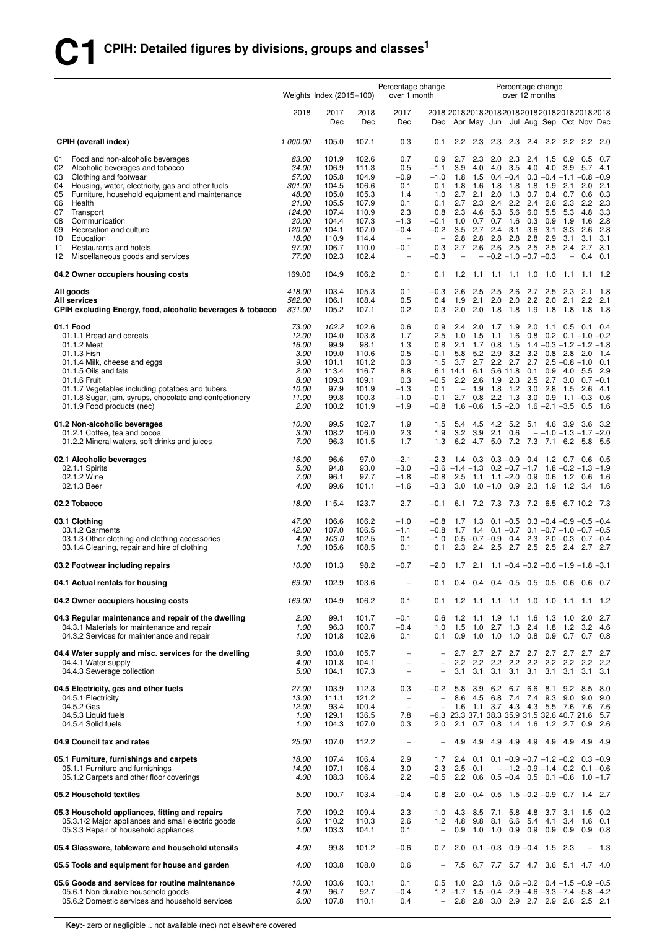|          |                                                                                                           | Percentage change<br>Percentage change<br>Weights Index $(2015=100)$<br>over 12 months<br>over 1 month |                |                |                                                      |                                                      |                                                                     |                                 |                                                               |                    |                                                                         |                                |                                 |                                      |                                     |
|----------|-----------------------------------------------------------------------------------------------------------|--------------------------------------------------------------------------------------------------------|----------------|----------------|------------------------------------------------------|------------------------------------------------------|---------------------------------------------------------------------|---------------------------------|---------------------------------------------------------------|--------------------|-------------------------------------------------------------------------|--------------------------------|---------------------------------|--------------------------------------|-------------------------------------|
|          |                                                                                                           | 2018                                                                                                   | 2017<br>Dec    | 2018<br>Dec    | 2017<br>Dec                                          | Dec                                                  |                                                                     |                                 | Apr May Jun Jul Aug Sep Oct Nov Dec                           |                    |                                                                         |                                |                                 |                                      |                                     |
|          | <b>CPIH (overall index)</b>                                                                               | 1 000.00                                                                                               | 105.0          | 107.1          | 0.3                                                  | 0.1                                                  | 2.2                                                                 | 2.3                             | 2.3                                                           | 2.3                | 2.4                                                                     | 2.2                            | $2.2^{\circ}$                   | 2.2                                  | 2.0                                 |
| 01       | Food and non-alcoholic beverages                                                                          | 83.00                                                                                                  | 101.9          | 102.6          | 0.7                                                  | 0.9                                                  | 2.7                                                                 | 2.3                             | 2.0                                                           | 2.3                |                                                                         | $2.4$ 1.5                      | 0.9                             | 0.5                                  | 0.7                                 |
| 02<br>03 | Alcoholic beverages and tobacco<br>Clothing and footwear                                                  | 34.00<br>57.00                                                                                         | 106.9<br>105.8 | 111.3<br>104.9 | 0.5<br>$-0.9$                                        | $-1.1$<br>$-1.0$                                     | 3.9<br>1.8                                                          | 4.0<br>1.5                      | 4.0                                                           | 3.5<br>$0.4 - 0.4$ | 4.0                                                                     | 4.0<br>$0.3 - 0.4 - 1.1 - 0.8$ | 3.9                             | 5.7                                  | 4.1<br>$-0.9$                       |
| 04       | Housing, water, electricity, gas and other fuels                                                          | 301.00                                                                                                 | 104.5          | 106.6          | 0.1                                                  | 0.1                                                  | 1.8                                                                 | 1.6                             | 1.8                                                           | 1.8                | 1.8                                                                     | 1.9                            | 2.1                             | 2.0                                  | 2.1                                 |
| 05       | Furniture, household equipment and maintenance                                                            | 48.00                                                                                                  | 105.0          | 105.3          | 1.4                                                  | 1.0                                                  | 2.7                                                                 | 2.1                             | 2.0                                                           | 1.3                | 0.7                                                                     | 0.4                            | 0.7                             | 0.6                                  | 0.3                                 |
| 06       | Health                                                                                                    | 21.00                                                                                                  | 105.5          | 107.9          | 0.1                                                  | 0.1                                                  | 2.7                                                                 | 2.3                             | 2.4                                                           | 2.2                | 2.4                                                                     | 2.6                            | 2.3                             | 2.2                                  | 2.3                                 |
| 07<br>08 | Transport<br>Communication                                                                                | 124.00<br>20.00                                                                                        | 107.4<br>104.4 | 110.9<br>107.3 | 2.3<br>$-1.3$                                        | 0.8<br>$-0.1$                                        | 2.3<br>1.0                                                          | 4.6<br>0.7                      | 5.3<br>0.7                                                    | 5.6<br>1.6         | 6.0<br>0.3                                                              | 5.5<br>0.9                     | 5.3<br>1.9                      | 4.8<br>1.6                           | 3.3<br>2.8                          |
| 09       | Recreation and culture                                                                                    | 120.00                                                                                                 | 104.1          | 107.0          | $-0.4$                                               | $-0.2$                                               | 3.5                                                                 | 2.7                             | 2.4                                                           | 3.1                | 3.6                                                                     | 3.1                            | 3.3                             | 2.6                                  | 2.8                                 |
| 10       | Education                                                                                                 | 18.00                                                                                                  | 110.9          | 114.4          | $\overline{\phantom{m}}$                             | $\qquad \qquad -$                                    | 2.8                                                                 | 2.8                             | 2.8                                                           | 2.8                | 2.8                                                                     | 2.9                            | 3.1                             | 3.1                                  | 3.1                                 |
| 11<br>12 | Restaurants and hotels<br>Miscellaneous goods and services                                                | 97.00<br>77.00                                                                                         | 106.7<br>102.3 | 110.0<br>102.4 | -0.1<br>$\overline{\phantom{0}}$                     | 0.3<br>$-0.3$                                        | 2.7                                                                 | 2.6<br>$\overline{\phantom{0}}$ | 2.6                                                           | 2.5                | 2.5<br>$-0.2$ -1.0 -0.7 -0.3                                            | 2.5                            | 2.4<br>$\overline{\phantom{0}}$ | 2.7<br>0.4                           | 3.1<br>0.1                          |
|          | 04.2 Owner occupiers housing costs                                                                        | 169.00                                                                                                 | 104.9          | 106.2          | 0.1                                                  | 0.1                                                  | 1.2                                                                 | 1.1                             | 1.1                                                           |                    | $1.1$ 1.0                                                               | 1.0                            | $-1.1$                          | 1.1                                  | - 1.2                               |
|          | All goods                                                                                                 | 418.00                                                                                                 | 103.4          | 105.3          | 0.1                                                  | $-0.3$                                               | 2.6                                                                 | -2.5                            | 2.5                                                           | 2.6                |                                                                         | 2.7 2.5                        | 2.3                             | 2.1                                  | 1.8                                 |
|          | <b>All services</b><br>CPIH excluding Energy, food, alcoholic beverages & tobacco                         | 582.00<br>831.00                                                                                       | 106.1<br>105.2 | 108.4<br>107.1 | 0.5<br>0.2                                           | 0.4<br>0.3                                           | 1.9<br>2.0                                                          | 2.1<br>2.0                      | 2.0<br>1.8                                                    | 2.0<br>1.8         | 2.2<br>1.9                                                              | 2.0<br>1.8                     | 2.1<br>1.8                      | 2.2<br>1.8                           | 2.1<br>1.8                          |
|          | 01.1 Food                                                                                                 | 73.00                                                                                                  | 102.2          | 102.6          | 0.6                                                  | 0.9                                                  | 2.4                                                                 | 2.0                             | 1.7                                                           | 1.9                | 2.0                                                                     | 1.1                            | 0.5                             | 0.1                                  | 0.4                                 |
|          | 01.1.1 Bread and cereals                                                                                  | 12.00                                                                                                  | 104.0          | 103.8          | 1.7                                                  | 2.5                                                  | 1.0                                                                 | 1.5                             | 1.1                                                           | 1.6                | 0.8                                                                     |                                |                                 | $0.2$ 0.1 $-1.0$                     | $-0.2$                              |
|          | 01.1.2 Meat                                                                                               | 16.00                                                                                                  | 99.9           | 98.1           | 1.3                                                  | 0.8                                                  | 2.1                                                                 | 1.7                             | 0.8                                                           | 1.5                |                                                                         | $1.4 - 0.3 - 1.2 - 1.2$        |                                 |                                      | $-1.8$                              |
|          | 01.1.3 Fish<br>01.1.4 Milk, cheese and eggs                                                               | 3.00<br>9.00                                                                                           | 109.0<br>101.1 | 110.6<br>101.2 | 0.5<br>0.3                                           | $-0.1$<br>1.5                                        | 5.8<br>3.7                                                          | 5.2<br>2.7                      | 2.9<br>2.2                                                    | 3.2<br>2.7         | 3.2<br>2.7                                                              | 0.8                            | 2.8                             | 2.0<br>$2.5 - 0.8 - 1.0$             | 1.4<br>0.1                          |
|          | 01.1.5 Oils and fats                                                                                      | 2.00                                                                                                   | 113.4          | 116.7          | 8.8                                                  |                                                      | 6.1 14.1 6.1                                                        |                                 |                                                               | 5.6 11.8           | 0.1                                                                     | 0.9                            | 4.0                             | 5.5                                  | 2.9                                 |
|          | 01.1.6 Fruit                                                                                              | 8.00                                                                                                   | 109.3          | 109.1          | 0.3                                                  | $-0.5$                                               |                                                                     | $2.2$ $2.6$                     | 1.9                                                           | 2.3                | 2.5                                                                     | 2.7                            | 3.0                             |                                      | $0.7 - 0.1$                         |
|          | 01.1.7 Vegetables including potatoes and tubers<br>01.1.8 Sugar, jam, syrups, chocolate and confectionery | 10.00<br>11.00                                                                                         | 97.9<br>99.8   | 101.9<br>100.3 | $-1.3$<br>$-1.0$                                     | 0.1<br>$-0.1$                                        | $\overline{\phantom{0}}$<br>2.7                                     | 1.9<br>0.8                      | 1.8                                                           | 1.2<br>$2.2$ 1.3   | 3.0<br>3.0                                                              | 2.8<br>0.9                     | - 1.5                           | 2.6<br>$1.1 - 0.3$                   | 4.1<br>0.6                          |
|          | 01.1.9 Food products (nec)                                                                                | 2.00                                                                                                   | 100.2          | 101.9          | $-1.9$                                               | $-0.8$                                               |                                                                     | $1.6 - 0.6$                     |                                                               | $1.5 - 2.0$        |                                                                         | $1.6 - 2.1 - 3.5$              |                                 | 0.5                                  | - 1.6                               |
|          | 01.2 Non-alcoholic beverages<br>01.2.1 Coffee, tea and cocoa                                              | 10.00<br>3.00                                                                                          | 99.5<br>108.2  | 102.7<br>106.0 | 1.9<br>2.3                                           | 1.5<br>1.9                                           | 3.2                                                                 | 5.4 4.5<br>3.9                  | 2.1                                                           | 0.6                | 4.2 5.2 5.1 4.6 3.9 3.6                                                 | $-1.0 -1.3 -1.7 -2.0$          |                                 |                                      | - 3.2                               |
|          | 01.2.2 Mineral waters, soft drinks and juices                                                             | 7.00                                                                                                   | 96.3           | 101.5          | 1.7                                                  | 1.3                                                  |                                                                     |                                 | 6.2 4.7 5.0                                                   |                    | 7.2 7.3 7.1 6.2 5.8                                                     |                                |                                 |                                      | - 5.5                               |
|          | 02.1 Alcoholic beverages                                                                                  | 16.00                                                                                                  | 96.6           | 97.0           | $-2.1$                                               | $-2.3$                                               |                                                                     | $1.4$ 0.3                       | $0.3 - 0.9$                                                   |                    | 0.4                                                                     |                                |                                 | 1.2 0.7 0.6                          | - 0.5                               |
|          | 02.1.1 Spirits<br>02.1.2 Wine                                                                             | 5.00<br>7.00                                                                                           | 94.8<br>96.1   | 93.0<br>97.7   | $-3.0$<br>$-1.8$                                     | $-0.8$                                               | $-3.6$ $-1.4$ $-1.3$                                                | $2.5$ 1.1                       | $1.1 - 2.0$                                                   |                    | $0.2 - 0.7 - 1.7$<br>0.9                                                | 0.6                            |                                 | $1.8 - 0.2 - 1.3$<br>$1.2 \quad 0.6$ | $-1.9$<br>- 1.6                     |
|          | 02.1.3 Beer                                                                                               | 4.00                                                                                                   | 99.6           | 101.1          | $-1.6$                                               | $-3.3$                                               |                                                                     |                                 | $3.0 \quad 1.0 - 1.0$                                         | 0.9                | 2.3                                                                     | 1.9                            | 1.2                             | 3.4                                  | - 1.6                               |
|          | 02.2 Tobacco                                                                                              | 18.00                                                                                                  | 115.4          | 123.7          | 2.7                                                  | $-0.1$                                               |                                                                     |                                 | 6.1 7.2 7.3 7.3 7.2 6.5 6.7 10.2 7.3                          |                    |                                                                         |                                |                                 |                                      |                                     |
|          | 03.1 Clothing                                                                                             | 47.00                                                                                                  | 106.6          | 106.2          | $-1.0$                                               | $-0.8$                                               |                                                                     | $1.7$ 1.3                       |                                                               | $0.1 - 0.5$        |                                                                         | $0.3 - 0.4 - 0.9 - 0.5 - 0.4$  |                                 |                                      |                                     |
|          | 03.1.2 Garments                                                                                           | 42.00<br>4.00                                                                                          | 107.0<br>103.0 | 106.5<br>102.5 | $-1.1$<br>0.1                                        | $-0.8$<br>$-1.0$                                     |                                                                     |                                 | 1.7 1.4 0.1 -0.7 0.1 -0.7 -1.0 -0.7 -0.5<br>$0.5 - 0.7 - 0.9$ | 0.4                | 2.3                                                                     |                                |                                 | $2.0 - 0.3$ 0.7 $-0.4$               |                                     |
|          | 03.1.3 Other clothing and clothing accessories<br>03.1.4 Cleaning, repair and hire of clothing            | 1.00                                                                                                   | 105.6          | 108.5          | 0.1                                                  | 0.1                                                  | 2.3                                                                 | 2.4                             |                                                               |                    | 2.5 2.7 2.5 2.5 2.4 2.7 2.7                                             |                                |                                 |                                      |                                     |
|          | 03.2 Footwear including repairs                                                                           | 10.00                                                                                                  | 101.3          | 98.2           | $-0.7$                                               | $-2.0$                                               |                                                                     |                                 | $1.7$ 2.1 1.1 $-0.4$ $-0.2$ $-0.6$ $-1.9$ $-1.8$ $-3.1$       |                    |                                                                         |                                |                                 |                                      |                                     |
|          | 04.1 Actual rentals for housing                                                                           | 69.00                                                                                                  | 102.9          | 103.6          |                                                      | 0.1                                                  |                                                                     |                                 | 0.4 0.4 0.4 0.5 0.5 0.5 0.6 0.6 0.7                           |                    |                                                                         |                                |                                 |                                      |                                     |
|          | 04.2 Owner occupiers housing costs                                                                        | 169.00                                                                                                 | 104.9          | 106.2          | 0.1                                                  | 0.1                                                  |                                                                     |                                 | 1.2 1.1 1.1 1.1 1.0 1.0 1.1                                   |                    |                                                                         |                                |                                 | $-1.1$                               | 1.2                                 |
|          | 04.3 Regular maintenance and repair of the dwelling                                                       | 2.00                                                                                                   | 99.1           | 101.7          | $-0.1$                                               | 0.6                                                  |                                                                     | $1.2$ 1.1                       | 1.9                                                           |                    | $1.1$ 1.6                                                               | 1.3                            |                                 | $1.0$ 2.0                            | 2.7                                 |
|          | 04.3.1 Materials for maintenance and repair<br>04.3.2 Services for maintenance and repair                 | 1.00<br>1.00                                                                                           | 96.3<br>101.8  | 100.7<br>102.6 | $-0.4$<br>0.1                                        | 1.0<br>0.1                                           | 1.5                                                                 | 1.0                             | 0.9 1.0 1.0 1.0 0.8 0.9 0.7 0.7 0.8                           | $2.7$ 1.3          | 2.4                                                                     | 1.8                            | 1.2                             | 3.2                                  | 4.6                                 |
|          |                                                                                                           |                                                                                                        |                |                |                                                      |                                                      |                                                                     |                                 |                                                               |                    |                                                                         |                                |                                 |                                      |                                     |
|          | 04.4 Water supply and misc. services for the dwelling<br>04.4.1 Water supply                              | 9.00<br>4.00                                                                                           | 103.0<br>101.8 | 105.7<br>104.1 | $\overline{\phantom{0}}$<br>$\overline{\phantom{a}}$ | $\overline{\phantom{0}}$                             | 2.7                                                                 | 2.7<br>$2.2$ 2.2                | 2.2                                                           |                    | 2.7 2.7 2.7 2.7 2.7 2.7<br>2.2 2.2 2.2 2.2 2.2 2.2                      |                                |                                 |                                      | 2.7                                 |
|          | 04.4.3 Sewerage collection                                                                                | 5.00                                                                                                   | 104.1          | 107.3          | $\overline{\phantom{0}}$                             | $\qquad \qquad -$                                    | 3.1                                                                 | 3.1                             | 3.1                                                           | 3.1                | 3.1                                                                     | 3.1                            | 3.1                             | 3.1                                  | 3.1                                 |
|          | 04.5 Electricity, gas and other fuels                                                                     | 27.00                                                                                                  | 103.9          | 112.3          | 0.3                                                  | $-0.2$                                               |                                                                     |                                 | 5.8 3.9 6.2 6.7 6.6 8.1                                       |                    |                                                                         |                                |                                 | 9.2 8.5                              | 8.0                                 |
|          | 04.5.1 Electricity<br>04.5.2 Gas                                                                          | 13.00<br>12.00                                                                                         | 111.1<br>93.4  | 121.2<br>100.4 | $\overline{\phantom{0}}$<br>$\overline{\phantom{0}}$ | $\overline{\phantom{0}}$<br>$\overline{\phantom{0}}$ |                                                                     | 8.6 4.5                         | 1.6 1.1 3.7 4.3 4.3 5.5 7.6 7.6                               |                    | 6.8 7.4 7.4                                                             |                                |                                 | $9.3$ $9.0$ $9.0$                    | 9.0<br>7.6                          |
|          | 04.5.3 Liquid fuels                                                                                       | 1.00                                                                                                   | 129.1          | 136.5          | 7.8                                                  |                                                      | -6.3 23.3 37.1 38.3 35.9 31.5 32.6 40.7 21.6                        |                                 |                                                               |                    |                                                                         |                                |                                 |                                      | 5.7                                 |
|          | 04.5.4 Solid fuels                                                                                        | 1.00                                                                                                   | 104.3          | 107.0          | 0.3                                                  | 2.0                                                  |                                                                     |                                 | 2.1 0.7 0.8 1.4 1.6 1.2 2.7 0.9                               |                    |                                                                         |                                |                                 |                                      | - 2.6                               |
|          | 04.9 Council tax and rates                                                                                | 25.00                                                                                                  | 107.0          | 112.2          | $\overline{\phantom{a}}$                             |                                                      | 4.9                                                                 | 4.9                             |                                                               |                    | 4.9 4.9 4.9 4.9 4.9 4.9 4.9                                             |                                |                                 |                                      |                                     |
|          | 05.1 Furniture, furnishings and carpets                                                                   | 18.00                                                                                                  | 107.4          | 106.4          | 2.9                                                  | 1.7                                                  | 2.4                                                                 |                                 | 0.1 0.1 $-0.9$ $-0.7$ $-1.2$ $-0.2$ 0.3 $-0.9$                |                    |                                                                         |                                |                                 |                                      |                                     |
|          | 05.1.1 Furniture and furnishings<br>05.1.2 Carpets and other floor coverings                              | 14.00<br>4.00                                                                                          | 107.1<br>108.3 | 106.4<br>106.4 | 3.0<br>2.2                                           | 2.3<br>$-0.5$                                        |                                                                     | $2.5 - 0.1$<br>$2.2 \quad 0.6$  |                                                               |                    | $-1.2 -0.9 -1.4 -0.2$ 0.1 -0.6<br>$0.5 - 0.4$ 0.5 0.1 $-0.6$ 1.0 $-1.7$ |                                |                                 |                                      |                                     |
|          | 05.2 Household textiles                                                                                   | 5.00                                                                                                   | 100.7          | 103.4          | $-0.4$                                               | 0.8                                                  |                                                                     |                                 | $2.0 -0.4$ 0.5 1.5 $-0.2 -0.9$ 0.7 1.4 2.7                    |                    |                                                                         |                                |                                 |                                      |                                     |
|          | 05.3 Household appliances, fitting and repairs                                                            | 7.00                                                                                                   | 109.2          | 109.4          | 2.3                                                  | 1.0                                                  | 4.3                                                                 | 8.5                             | 7.1                                                           | 5.8                | 4.8                                                                     | 3.7                            |                                 | $3.1 \quad 1.5$                      | 0.2                                 |
|          | 05.3.1/2 Major appliances and small electric goods                                                        | 6.00                                                                                                   | 110.2          | 110.3          | 2.6                                                  | 1.2                                                  |                                                                     | 4.8 9.8                         | 8.1                                                           |                    | 6.6 5.4 4.1                                                             |                                |                                 | $3.4$ 1.6                            | 0.1                                 |
|          | 05.3.3 Repair of household appliances                                                                     | 1.00                                                                                                   | 103.3          | 104.1          | 0.1                                                  | $\qquad \qquad -$                                    | 0.9                                                                 | 1.0                             | 1.0                                                           | 0.9                | 0.9                                                                     | $0.9$ 0.9 0.9                  |                                 |                                      | 0.8                                 |
|          | 05.4 Glassware, tableware and household utensils                                                          | 4.00                                                                                                   | 99.8           | 101.2          | $-0.6$                                               | 0.7                                                  | 2.0                                                                 |                                 | $0.1 - 0.3$ 0.9 $-0.4$ 1.5 2.3                                |                    |                                                                         |                                |                                 | $\bar{\phantom{a}}$                  | - 1.3                               |
|          | 05.5 Tools and equipment for house and garden                                                             | 4.00                                                                                                   | 103.8          | 108.0          | 0.6                                                  |                                                      | 7.5                                                                 |                                 | 6.7 7.7 5.7 4.7 3.6 5.1 4.7 4.0                               |                    |                                                                         |                                |                                 |                                      |                                     |
|          | 05.6 Goods and services for routine maintenance                                                           | 10.00                                                                                                  | 103.6          | 103.1          | 0.1                                                  | 0.5                                                  |                                                                     |                                 | 1.0 2.3 1.6 0.6 -0.2 0.4 -1.5 -0.9 -0.5                       |                    |                                                                         |                                |                                 |                                      |                                     |
|          | 05.6.1 Non-durable household goods<br>05.6.2 Domestic services and household services                     | 4.00<br>6.00                                                                                           | 96.7<br>107.8  | 92.7<br>110.1  | $-0.4$<br>0.4                                        | $-$                                                  | $1.2$ $-1.7$ $1.5$ $-0.4$ $-2.9$ $-4.6$ $-3.3$ $-7.4$ $-5.8$ $-4.2$ |                                 |                                                               |                    |                                                                         |                                |                                 |                                      | 2.8 2.8 3.0 2.9 2.7 2.9 2.6 2.5 2.1 |
|          |                                                                                                           |                                                                                                        |                |                |                                                      |                                                      |                                                                     |                                 |                                                               |                    |                                                                         |                                |                                 |                                      |                                     |

**Key:**- zero or negligible .. not available (nec) not elsewhere covered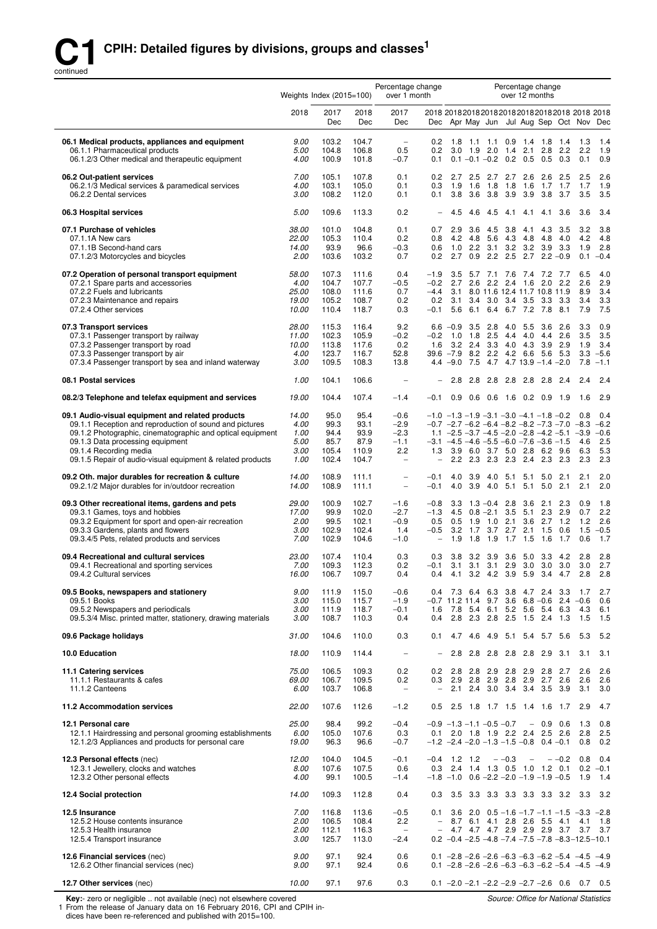

|                                                                                                                                                                                                                                                                                                       | Weights Index $(2015=100)$                      |                                                |                                                |                                                                         | Percentage change<br>Percentage change<br>over 1 month<br>over 12 months |                                                      |                                                                                                                                                                                                                                                                                                                   |                          |                                              |                                  |                                 |                                              |
|-------------------------------------------------------------------------------------------------------------------------------------------------------------------------------------------------------------------------------------------------------------------------------------------------------|-------------------------------------------------|------------------------------------------------|------------------------------------------------|-------------------------------------------------------------------------|--------------------------------------------------------------------------|------------------------------------------------------|-------------------------------------------------------------------------------------------------------------------------------------------------------------------------------------------------------------------------------------------------------------------------------------------------------------------|--------------------------|----------------------------------------------|----------------------------------|---------------------------------|----------------------------------------------|
|                                                                                                                                                                                                                                                                                                       | 2018                                            | 2017<br>Dec                                    | 2018<br>Dec                                    | 2017<br>Dec                                                             |                                                                          |                                                      | Dec Apr May Jun Jul Aug Sep Oct Nov Dec                                                                                                                                                                                                                                                                           |                          |                                              |                                  |                                 |                                              |
| 06.1 Medical products, appliances and equipment<br>06.1.1 Pharmaceutical products<br>06.1.2/3 Other medical and therapeutic equipment                                                                                                                                                                 | 9.00<br>5.00<br>4.00                            | 103.2<br>104.8<br>100.9                        | 104.7<br>106.8<br>101.8                        | $\overline{\phantom{a}}$<br>0.5<br>$-0.7$                               | 0.2<br>0.2<br>0.1                                                        | $3.0$ 1.9 2.0                                        | 1.8 1.1 1.1 0.9 1.4 1.8 1.4<br>$0.1 - 0.1 - 0.2$ 0.2 0.5 0.5                                                                                                                                                                                                                                                      | $1.4$ 2.1                | 2.8                                          | 2.2<br>0.3                       | 1.3<br>2.2<br>0.1               | 1.4<br>1.9<br>0.9                            |
| 06.2 Out-patient services<br>06.2.1/3 Medical services & paramedical services<br>06.2.2 Dental services                                                                                                                                                                                               | 7.00<br>4.00<br>3.00                            | 105.1<br>103.1<br>108.2                        | 107.8<br>105.0<br>112.0                        | 0.1<br>0.1<br>0.1                                                       | 0.2<br>0.3<br>0.1                                                        | $2.7$ 2.5<br>1.9<br>1.6<br>3.8                       | 2.7 2.7<br>1.8<br>1.8<br>3.6 3.8 3.9                                                                                                                                                                                                                                                                              | 2.6<br>1.6<br>3.9        | - 2.6<br>1.7                                 | 2.5<br>1.7<br>3.8 3.7            | 2.5<br>1.7<br>3.5               | 2.6<br>1.9<br>3.5                            |
| 06.3 Hospital services                                                                                                                                                                                                                                                                                | 5.00                                            | 109.6                                          | 113.3                                          | 0.2                                                                     |                                                                          | 4.5<br>4.6                                           | 4.5<br>4.1                                                                                                                                                                                                                                                                                                        | 4.1                      | 4.1                                          | 3.6                              | 3.6                             | 3.4                                          |
| 07.1 Purchase of vehicles<br>07.1.1A New cars<br>07.1.1B Second-hand cars<br>07.1.2/3 Motorcycles and bicycles                                                                                                                                                                                        | 38.00<br>22.00<br>14.00<br>2.00                 | 101.0<br>105.3<br>93.9<br>103.6                | 104.8<br>110.4<br>96.6<br>103.2                | 0.1<br>0.2<br>$-0.3$<br>0.7                                             | 0.7<br>0.8<br>0.6<br>0.2                                                 | 2.9<br>3.6<br>4.2<br>4.8<br>1.0<br>2.2<br>2.7<br>0.9 | 4.5<br>3.8<br>5.6<br>4.3<br>3.1<br>3.2<br>2.2<br>2.5                                                                                                                                                                                                                                                              | 4.1<br>4.8<br>3.2<br>2.7 | 4.3<br>-4.8<br>3.9                           | 3.5<br>4.0<br>3.3<br>$2.2 - 0.9$ | 3.2<br>4.2<br>1.9<br>0.1        | 3.8<br>4.8<br>2.8<br>$-0.4$                  |
| 07.2 Operation of personal transport equipment<br>07.2.1 Spare parts and accessories<br>07.2.2 Fuels and lubricants<br>07.2.3 Maintenance and repairs<br>07.2.4 Other services                                                                                                                        | 58.00<br>4.00<br><i>25.00</i><br>19.00<br>10.00 | 107.3<br>104.7<br>108.0<br>105.2<br>110.4      | 111.6<br>107.7<br>111.6<br>108.7<br>118.7      | 0.4<br>$-0.5$<br>0.7<br>0.2<br>0.3                                      | $-1.9$<br>$-0.2$<br>$-4.4$<br>0.2<br>$-0.1$                              | 3.5<br>2.7<br>2.6<br>5.6                             | 5.7 7.1 7.6 7.4 7.2 7.7<br>2.2 2.4 1.6 2.0 2.2<br>3.1 8.0 11.6 12.4 11.7 10.8 11.9<br>3.1 3.4 3.0 3.4 3.5 3.3 3.3<br>6.1 6.4 6.7 7.2 7.8                                                                                                                                                                          |                          |                                              | 8.1                              | 6.5<br>2.6<br>8.9<br>3.4<br>7.9 | 4.0<br>2.9<br>3.4<br>3.3<br>7.5              |
| 07.3 Transport services<br>07.3.1 Passenger transport by railway<br>07.3.2 Passenger transport by road<br>07.3.3 Passenger transport by air<br>07.3.4 Passenger transport by sea and inland waterway                                                                                                  | 28.00<br>11.00<br>10.00<br>4.00<br>3.00         | 115.3<br>102.3<br>113.8<br>123.7<br>109.5      | 116.4<br>105.9<br>117.6<br>116.7<br>108.3      | 9.2<br>$-0.2$<br>0.2<br>52.8<br>13.8                                    | $-0.2$<br>1.6<br>$39.6 - 7.9$<br>$4.4 - 9.0$                             | $6.6 - 0.9$ 3.5 2.8<br>$1.0$ 1.8<br>$3.2$ 2.4<br>7.5 | 4.0<br>2.5<br>4.4<br>3.3 4.0 4.3 3.9 2.9<br>8.2 2.2 4.2 6.6 5.6 5.3<br>$4.7$ $4.7$ $13.9$ $-1.4$ $-2.0$                                                                                                                                                                                                           | 5.5 3.6 2.6              | $4.0 \quad 4.4$                              | 2.6                              | 3.3<br>3.5<br>1.9<br>3.3<br>7.8 | 0.9<br>3.5<br>3.4<br>$-5.6$<br>$-1.1$        |
| 08.1 Postal services                                                                                                                                                                                                                                                                                  | 1.00                                            | 104.1                                          | 106.6                                          | $\overline{a}$                                                          |                                                                          | 2.8                                                  | 2.8 2.8 2.8 2.8 2.8 2.4                                                                                                                                                                                                                                                                                           |                          |                                              |                                  | 2.4                             | 2.4                                          |
| 08.2/3 Telephone and telefax equipment and services                                                                                                                                                                                                                                                   | 19.00                                           | 104.4                                          | 107.4                                          | $-1.4$                                                                  | $-0.1$                                                                   | 0.9                                                  | $0.6$ $0.6$ 1.6 0.2 0.9                                                                                                                                                                                                                                                                                           |                          |                                              | 1.9                              | 1.6                             | 2.9                                          |
| 09.1 Audio-visual equipment and related products<br>09.1.1 Reception and reproduction of sound and pictures<br>09.1.2 Photographic, cinematographic and optical equipment<br>09.1.3 Data processing equipment<br>09.1.4 Recording media<br>09.1.5 Repair of audio-visual equipment & related products | 14.00<br>4.00<br>1.00<br>5.00<br>3.00<br>1.00   | 95.0<br>99.3<br>94.4<br>85.7<br>105.4<br>102.4 | 95.4<br>93.1<br>93.9<br>87.9<br>110.9<br>104.7 | $-0.6$<br>$-2.9$<br>$-2.3$<br>$-1.1$<br>2.2<br>$\overline{\phantom{0}}$ | 1.3<br>$\overline{\phantom{0}}$                                          |                                                      | $-1.0$ $-1.3$ $-1.9$ $-3.1$ $-3.0$ $-4.1$ $-1.8$ $-0.2$<br>$-0.7$ $-2.7$ $-6.2$ $-6.4$ $-8.2$ $-8.2$ $-7.3$ $-7.0$ $-8.3$<br>1.1 $-2.5$ $-3.7$ $-4.5$ $-2.0$ $-2.8$ $-4.2$ $-5.1$ $-3.9$<br>$-3.1$ $-4.5$ $-4.6$ $-5.5$ $-6.0$ $-7.6$ $-3.6$ $-1.5$<br>3.9 6.0 3.7 5.0 2.8 6.2 9.6<br>2.2 2.3 2.3 2.3 2.4 2.3 2.3 |                          |                                              |                                  | 0.8<br>4.6<br>6.3<br>2.3        | 0.4<br>$-6.2$<br>$-0.6$<br>2.5<br>5.3<br>2.3 |
| 09.2 Oth. major durables for recreation & culture<br>09.2.1/2 Major durables for in/outdoor recreation                                                                                                                                                                                                | 14.00<br>14.00                                  | 108.9<br>108.9                                 | 111.1<br>111.1                                 | $\overline{a}$<br>÷                                                     | $-0.1$<br>$-0.1$                                                         | 4.0<br>3.9<br>4.0<br>3.9                             | 4.0<br>5.1<br>4.0<br>5.1                                                                                                                                                                                                                                                                                          | 5.1<br>5.1               | 5.0<br>5.0                                   | 2.1<br>2.1                       | 2.1<br>2.1                      | 2.0<br>2.0                                   |
| 09.3 Other recreational items, gardens and pets<br>09.3.1 Games, toys and hobbies<br>09.3.2 Equipment for sport and open-air recreation<br>09.3.3 Gardens, plants and flowers<br>09.3.4/5 Pets, related products and services                                                                         | <i>29.00</i><br>17.00<br>2.00<br>3.00<br>7.00   | 100.9<br>99.9<br>99.5<br>102.9<br>102.9        | 102.7<br>102.0<br>102.1<br>102.4<br>104.6      | $-1.6$<br>$-2.7$<br>$-0.9$<br>1.4<br>$-1.0$                             | $-0.8$<br>$-1.3$<br>0.5<br>$-0.5$<br>$\qquad \qquad -$                   | 3.3<br>4.5<br>$1.9$ 1.0<br>0.5<br>3.2<br>1.9<br>1.8  | $1.3 - 0.4$ 2.8<br>$0.8 - 2.1$ 3.5<br>2.1<br>1.7 3.7 2.7<br>1.9                                                                                                                                                                                                                                                   | 3.6<br>5.1<br>$1.7$ 1.5  | 2.1<br>$3.6$ 2.7 1.2<br>$2.1$ 1.5 0.6<br>1.6 | 2.3<br>$2.3$ 2.9<br>1.7          | 0.9<br>0.7<br>1.2<br>1.5<br>0.6 | 1.8<br>2.2<br>2.6<br>$-0.5$<br>1.7           |
| 09.4 Recreational and cultural services<br>09.4.1 Recreational and sporting services<br>09.4.2 Cultural services                                                                                                                                                                                      | <i>23.00</i><br>7.00<br>16.00                   | 107.4<br>109.3<br>106.7                        | 110.4<br>112.3<br>109.7                        | 0.3<br>0.2<br>0.4                                                       | 0.3<br>$-0.1$<br>0.4                                                     | 3.8<br>3.2<br>$3.1 \quad 3.1$                        | 3.9<br>- 3.6<br>3.1 2.9 3.0 3.0 3.0<br>4.1 3.2 4.2 3.9 5.9 3.4 4.7                                                                                                                                                                                                                                                | 5.0                      |                                              | $3.3$ 4.2                        | 2.8<br>3.0<br>2.8               | 2.8<br>2.7<br>2.8                            |
| 09.5 Books, newspapers and stationery<br>09.5.1 Books<br>09.5.2 Newspapers and periodicals<br>09.5.3/4 Misc. printed matter, stationery, drawing materials                                                                                                                                            | 9.00<br>3.00<br>3.00<br>3.00                    | 111.9<br>115.0<br>111.9<br>108.7               | 115.0<br>115.7<br>118.7<br>110.3               | $-0.6$<br>$-1.9$<br>$-0.1$<br>0.4                                       | 1.6<br>0.4                                                               |                                                      | 0.4 7.3 6.4 6.3 3.8 4.7 2.4 3.3<br>$-0.7$ 11.2 11.4 9.7 3.6 6.8 $-0.6$ 2.4 $-0.6$<br>7.8 5.4 6.1 5.2 5.6 5.4 6.3<br>2.8 2.3 2.8 2.5 1.5 2.4 1.3                                                                                                                                                                   |                          |                                              |                                  | 1.7<br>-4.3<br>1.5              | 2.7<br>0.6<br>6.1<br>1.5                     |
| 09.6 Package holidays                                                                                                                                                                                                                                                                                 | 31.00                                           | 104.6                                          | 110.0                                          | 0.3                                                                     | 0.1                                                                      |                                                      | 4.7 4.6 4.9 5.1 5.4 5.7 5.6                                                                                                                                                                                                                                                                                       |                          |                                              |                                  | 5.3                             | 5.2                                          |
| <b>10.0 Education</b>                                                                                                                                                                                                                                                                                 | 18.00                                           | 110.9                                          | 114.4                                          | $\overline{\phantom{a}}$                                                |                                                                          | 2.8<br>2.8                                           | 2.8                                                                                                                                                                                                                                                                                                               | 2.8 2.8 2.9 3.1          |                                              |                                  | 3.1                             | 3.1                                          |
| 11.1 Catering services<br>11.1.1 Restaurants & cafes<br>11.1.2 Canteens                                                                                                                                                                                                                               | 75.00<br>69.00<br>6.00                          | 106.5<br>106.7<br>103.7                        | 109.3<br>109.5<br>106.8                        | 0.2<br>0.2<br>$\overline{\phantom{a}}$                                  | 0.2<br>0.3                                                               |                                                      | 2.8 2.8 2.9 2.8 2.9 2.8 2.7<br>2.9 2.8 2.9 2.8 2.9 2.7 2.6<br>2.1 2.4 3.0 3.4 3.4 3.5 3.9                                                                                                                                                                                                                         |                          |                                              |                                  | 2.6<br>2.6<br>- 3.1             | 2.6<br>2.6<br>3.0                            |
| 11.2 Accommodation services                                                                                                                                                                                                                                                                           | 22.00                                           | 107.6                                          | 112.6                                          | $-1.2$                                                                  | 0.5                                                                      | 2.5                                                  | 1.8 1.7 1.5 1.4 1.6 1.7                                                                                                                                                                                                                                                                                           |                          |                                              |                                  | 2.9                             | 4.7                                          |
| 12.1 Personal care<br>12.1.1 Hairdressing and personal grooming establishments<br>12.1.2/3 Appliances and products for personal care                                                                                                                                                                  | <i>25.00</i><br>6.00<br>19.00                   | 98.4<br>105.0<br>96.3                          | 99.2<br>107.6<br>96.6                          | $-0.4$<br>0.3<br>$-0.7$                                                 | 0.1                                                                      |                                                      | $-0.9$ $-1.3$ $-1.1$ $-0.5$ $-0.7$<br>2.0 1.8 1.9 2.2 2.4 2.5 2.6<br>$-1.2$ $-2.4$ $-2.0$ $-1.3$ $-1.5$ $-0.8$ 0.4 $-0.1$                                                                                                                                                                                         |                          | $-0.9$ 0.6                                   |                                  | 1.3<br>2.8<br>0.8               | 0.8<br>2.5<br>0.2                            |
| 12.3 Personal effects (nec)<br>12.3.1 Jewellery, clocks and watches<br>12.3.2 Other personal effects                                                                                                                                                                                                  | 12.00<br>8.00<br>4.00                           | 104.0<br>107.6<br>99.1                         | 104.5<br>107.5<br>100.5                        | $-0.1$<br>0.6<br>$-1.4$                                                 | $-0.4$ 1.2 1.2<br>0.3                                                    |                                                      | $- -0.3$<br>2.4 1.4 1.3 0.5 1.0 1.2 0.1<br>$-1.8$ $-1.0$ 0.6 $-2.2$ $-2.0$ $-1.9$ $-1.9$ $-0.5$                                                                                                                                                                                                                   | $\overline{\phantom{a}}$ |                                              | $-0.2$ 0.8                       | 1.9                             | 0.4<br>$0.2 -0.1$<br>1.4                     |
| 12.4 Social protection                                                                                                                                                                                                                                                                                | 14.00                                           | 109.3                                          | 112.8                                          | 0.4                                                                     | 0.3                                                                      |                                                      | 3.5 3.3 3.3 3.3 3.3 3.3 3.2 3.3                                                                                                                                                                                                                                                                                   |                          |                                              |                                  |                                 | - 3.2                                        |
| 12.5 Insurance<br>12.5.2 House contents insurance<br>12.5.3 Health insurance<br>12.5.4 Transport insurance                                                                                                                                                                                            | 7.00<br>2.00<br>2.00<br>3.00                    | 116.8<br>106.5<br>112.1<br>125.7               | 113.6<br>108.4<br>116.3<br>113.0               | $-0.5$<br>2.2<br>$\overline{\phantom{a}}$<br>$-2.4$                     | 0.1<br>$\overline{\phantom{0}}$<br>$\overline{\phantom{0}}$              |                                                      | 3.6 2.0 $0.5 - 1.6 - 1.7 - 1.1 - 1.5 - 3.3 - 2.8$<br>8.7 6.1 4.1 2.8 2.6 5.5 4.1 4.1<br>4.7 4.7 4.7 2.9 2.9 2.9 3.7 3.7<br>$0.2 -0.4 -2.5 -4.8 -7.4 -7.5 -7.8 -8.3 -12.5 -10.1$                                                                                                                                   |                          |                                              |                                  |                                 | 1.8<br>3.7                                   |
| 12.6 Financial services (nec)<br>12.6.2 Other financial services (nec)                                                                                                                                                                                                                                | 9.00<br>9.00                                    | 97.1<br>97.1                                   | 92.4<br>92.4                                   | 0.6<br>0.6                                                              |                                                                          |                                                      | 0.1 $-2.8$ $-2.6$ $-2.6$ $-6.3$ $-6.3$ $-6.2$ $-5.4$ $-4.5$ $-4.9$<br>$0.1 -2.8 -2.6 -2.6 -6.3 -6.3 -6.2 -5.4 -4.5 -4.9$                                                                                                                                                                                          |                          |                                              |                                  |                                 |                                              |
| 12.7 Other services (nec)                                                                                                                                                                                                                                                                             | 10.00                                           | 97.1                                           | 97.6                                           | 0.3                                                                     |                                                                          |                                                      | $0.1 -2.0 -2.1 -2.2 -2.9 -2.7 -2.6$ 0.6 0.7 0.5                                                                                                                                                                                                                                                                   |                          |                                              |                                  |                                 |                                              |

**Key:**- zero or negligible .. not available (nec) not elsewhere covered<br>1 From the release of January data on 16 February 2016, CPI and CPIH indices have been re-referenced and published with 2015=100.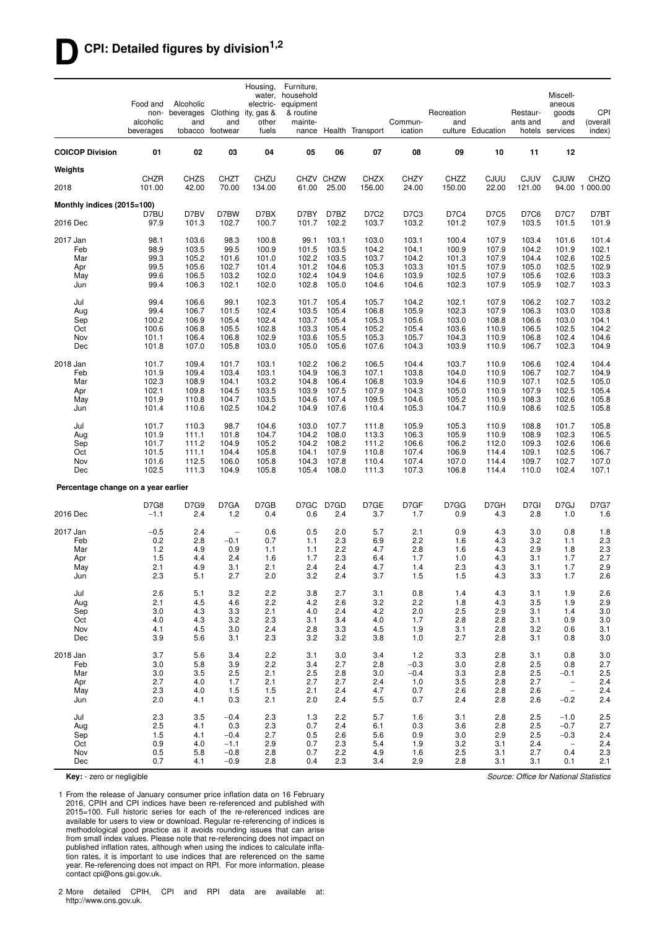### **DCPI: Detailed figures by division1,2**

|                                     | Food and<br>non-<br>alcoholic<br>beverages | Alcoholic<br>beverages Clothing<br>and | and<br>tobacco footwear  | Housing,<br>water,<br>electric-<br>ity, gas &<br>other<br>fuels | Furniture,<br>household<br>equipment<br>& routine<br>mainte- |                    | nance Health Transport | Commun-<br>ication   | Recreation<br>and | culture Education | Restaur-<br>ants and  | Miscell-<br>aneous<br>goods<br>and<br>hotels services | CPI<br>(overall<br>index) |
|-------------------------------------|--------------------------------------------|----------------------------------------|--------------------------|-----------------------------------------------------------------|--------------------------------------------------------------|--------------------|------------------------|----------------------|-------------------|-------------------|-----------------------|-------------------------------------------------------|---------------------------|
| <b>COICOP Division</b>              | 01                                         | 02                                     | 03                       | 04                                                              | 05                                                           | 06                 | 07                     | 08                   | 09                | 10                | 11                    | 12                                                    |                           |
| Weights                             |                                            |                                        |                          |                                                                 |                                                              |                    |                        |                      |                   |                   |                       |                                                       |                           |
| 2018                                | <b>CHZR</b><br>101.00                      | <b>CHZS</b><br>42.00                   | CHZT<br>70.00            | CHZU<br>134.00                                                  | 61.00                                                        | CHZV CHZW<br>25.00 | <b>CHZX</b><br>156.00  | <b>CHZY</b><br>24.00 | CHZZ<br>150.00    | CJUU<br>22.00     | <b>CJUV</b><br>121.00 | <b>CJUW</b>                                           | CHZQ<br>94.00 1 000.00    |
| Monthly indices (2015=100)          |                                            |                                        |                          |                                                                 |                                                              |                    |                        |                      |                   |                   |                       |                                                       |                           |
| 2016 Dec                            | D7BU<br>97.9                               | D7BV<br>101.3                          | D7BW<br>102.7            | D7BX<br>100.7                                                   | D7BY<br>101.7                                                | D7BZ<br>102.2      | D7C2<br>103.7          | D7C3<br>103.2        | D7C4<br>101.2     | D7C5<br>107.9     | D7C6<br>103.5         | D7C7<br>101.5                                         | D7BT<br>101.9             |
| 2017 Jan                            | 98.1                                       | 103.6                                  | 98.3                     | 100.8                                                           | 99.1                                                         | 103.1              | 103.0                  | 103.1                | 100.4             | 107.9             | 103.4                 | 101.6                                                 | 101.4                     |
| Feb                                 | 98.9                                       | 103.5                                  | 99.5                     | 100.9                                                           | 101.5                                                        | 103.5              | 104.2                  | 104.1                | 100.9             | 107.9             | 104.2                 | 101.9                                                 | 102.1                     |
| Mar<br>Apr                          | 99.3<br>99.5                               | 105.2<br>105.6                         | 101.6<br>102.7           | 101.0<br>101.4                                                  | 102.2<br>101.2                                               | 103.5<br>104.6     | 103.7<br>105.3         | 104.2<br>103.3       | 101.3<br>101.5    | 107.9<br>107.9    | 104.4<br>105.0        | 102.6<br>102.5                                        | 102.5<br>102.9            |
| May                                 | 99.6                                       | 106.5                                  | 103.2                    | 102.0                                                           | 102.4                                                        | 104.9              | 104.6                  | 103.9                | 102.5             | 107.9             | 105.6                 | 102.6                                                 | 103.3                     |
| Jun                                 | 99.4                                       | 106.3                                  | 102.1                    | 102.0                                                           | 102.8                                                        | 105.0              | 104.6                  | 104.6                | 102.3             | 107.9             | 105.9                 | 102.7                                                 | 103.3                     |
| Jul                                 | 99.4                                       | 106.6                                  | 99.1                     | 102.3                                                           | 101.7                                                        | 105.4              | 105.7                  | 104.2                | 102.1             | 107.9             | 106.2                 | 102.7                                                 | 103.2                     |
| Aug                                 | 99.4                                       | 106.7                                  | 101.5                    | 102.4                                                           | 103.5                                                        | 105.4              | 106.8                  | 105.9                | 102.3             | 107.9             | 106.3                 | 103.0                                                 | 103.8                     |
| Sep                                 | 100.2                                      | 106.9                                  | 105.4                    | 102.4                                                           | 103.7                                                        | 105.4              | 105.3                  | 105.6                | 103.0             | 108.8             | 106.6                 | 103.0                                                 | 104.1                     |
| Oct<br>Nov                          | 100.6<br>101.1                             | 106.8<br>106.4                         | 105.5<br>106.8           | 102.8<br>102.9                                                  | 103.3<br>103.6                                               | 105.4<br>105.5     | 105.2<br>105.3         | 105.4<br>105.7       | 103.6<br>104.3    | 110.9<br>110.9    | 106.5<br>106.8        | 102.5<br>102.4                                        | 104.2<br>104.6            |
| Dec                                 | 101.8                                      | 107.0                                  | 105.8                    | 103.0                                                           | 105.0                                                        | 105.6              | 107.6                  | 104.3                | 103.9             | 110.9             | 106.7                 | 102.3                                                 | 104.9                     |
| 2018 Jan                            | 101.7                                      | 109.4                                  | 101.7                    | 103.1                                                           | 102.2                                                        | 106.2              | 106.5                  | 104.4                | 103.7             | 110.9             | 106.6                 | 102.4                                                 | 104.4                     |
| Feb                                 | 101.9                                      | 109.4                                  | 103.4                    | 103.1                                                           | 104.9                                                        | 106.3              | 107.1                  | 103.8                | 104.0             | 110.9             | 106.7                 | 102.7                                                 | 104.9                     |
| Mar                                 | 102.3                                      | 108.9                                  | 104.1                    | 103.2                                                           | 104.8                                                        | 106.4              | 106.8                  | 103.9                | 104.6             | 110.9             | 107.1                 | 102.5                                                 | 105.0                     |
| Apr<br>May                          | 102.1<br>101.9                             | 109.8<br>110.8                         | 104.5<br>104.7           | 103.5<br>103.5                                                  | 103.9<br>104.6                                               | 107.5<br>107.4     | 107.9<br>109.5         | 104.3<br>104.6       | 105.0<br>105.2    | 110.9<br>110.9    | 107.9<br>108.3        | 102.5<br>102.6                                        | 105.4<br>105.8            |
| Jun                                 | 101.4                                      | 110.6                                  | 102.5                    | 104.2                                                           | 104.9                                                        | 107.6              | 110.4                  | 105.3                | 104.7             | 110.9             | 108.6                 | 102.5                                                 | 105.8                     |
| Jul                                 | 101.7                                      | 110.3                                  | 98.7                     | 104.6                                                           | 103.0                                                        | 107.7              | 111.8                  | 105.9                | 105.3             | 110.9             | 108.8                 | 101.7                                                 | 105.8                     |
| Aug                                 | 101.9                                      | 111.1                                  | 101.8                    | 104.7                                                           | 104.2                                                        | 108.0              | 113.3                  | 106.3                | 105.9             | 110.9             | 108.9                 | 102.3                                                 | 106.5                     |
| Sep                                 | 101.7                                      | 111.2                                  | 104.9                    | 105.2                                                           | 104.2                                                        | 108.2              | 111.2                  | 106.6                | 106.2             | 112.0             | 109.3                 | 102.6                                                 | 106.6                     |
| Oct<br>Nov                          | 101.5<br>101.6                             | 111.1<br>112.5                         | 104.4<br>106.0           | 105.8<br>105.8                                                  | 104.1<br>104.3                                               | 107.9<br>107.8     | 110.8<br>110.4         | 107.4<br>107.4       | 106.9<br>107.0    | 114.4<br>114.4    | 109.1<br>109.7        | 102.5<br>102.7                                        | 106.7<br>107.0            |
| Dec                                 | 102.5                                      | 111.3                                  | 104.9                    | 105.8                                                           | 105.4                                                        | 108.0              | 111.3                  | 107.3                | 106.8             | 114.4             | 110.0                 | 102.4                                                 | 107.1                     |
| Percentage change on a year earlier |                                            |                                        |                          |                                                                 |                                                              |                    |                        |                      |                   |                   |                       |                                                       |                           |
|                                     | D7G8                                       | D7G9                                   | D7GA                     | D7GB                                                            |                                                              | D7GC D7GD          | D7GE                   | D7GF                 | D7GG              | D7GH              | D7GI                  | D7GJ                                                  | <b>D7G7</b>               |
| 2016 Dec                            | $-1.1$                                     | 2.4                                    | 1.2                      | 0.4                                                             | 0.6                                                          | 2.4                | 3.7                    | 1.7                  | 0.9               | 4.3               | 2.8                   | 1.0                                                   | 1.6                       |
| 2017 Jan                            | $-0.5$                                     | 2.4                                    | $\overline{\phantom{a}}$ | 0.6                                                             | 0.5                                                          | 2.0                | 5.7                    | 2.1                  | 0.9               | 4.3               | 3.0                   | 0.8                                                   | 1.8                       |
| Feb<br>Mar                          | 0.2<br>1.2                                 | 2.8<br>4.9                             | $-0.1$                   | 0.7<br>1.1                                                      | 1.1                                                          | 2.3<br>2.2         | 6.9<br>4.7             | 2.2<br>2.8           | 1.6<br>1.6        | 4.3               | 3.2<br>2.9            | 1.1<br>1.8                                            | 2.3<br>2.3                |
| Apr                                 | 1.5                                        | 4.4                                    | 0.9<br>2.4               | 1.6                                                             | 1.1<br>1.7                                                   | 2.3                | 6.4                    | 1.7                  | 1.0               | 4.3<br>4.3        | 3.1                   | 1.7                                                   | 2.7                       |
| May                                 | 2.1                                        | 4.9                                    | 3.1                      | 2.1                                                             | 2.4                                                          | 2.4                | 4.7                    | 1.4                  | 2.3               | 4.3               | 3.1                   | 1.7                                                   | 2.9                       |
| Jun                                 | 2.3                                        | 5.1                                    | 2.7                      | 2.0                                                             | 3.2                                                          | 2.4                | 3.7                    | 1.5                  | 1.5               | 4.3               | 3.3                   | 1.7                                                   | 2.6                       |
| Jul                                 | 2.6                                        | 5.1                                    | 3.2                      | 2.2                                                             | 3.8                                                          | 2.7                | 3.1                    | 0.8                  | 1.4               | 4.3               | 3.1                   | 1.9                                                   | 2.6                       |
| Aug                                 | 2.1                                        | 4.5                                    | 4.6                      | 2.2                                                             | 4.2                                                          | 2.6                | 3.2                    | 2.2                  | 1.8               | 4.3               | 3.5                   | 1.9                                                   | 2.9                       |
| Sep<br>Oct                          | 3.0<br>4.0                                 | 4.3<br>4.3                             | 3.3<br>3.2               | 2.1<br>2.3                                                      | 4.0<br>3.1                                                   | 2.4<br>3.4         | 4.2<br>4.0             | 2.0<br>1.7           | 2.5<br>2.8        | 2.9<br>2.8        | 3.1<br>3.1            | 1.4<br>0.9                                            | 3.0<br>3.0                |
| Nov                                 | 4.1                                        | 4.5                                    | 3.0                      | 2.4                                                             | 2.8                                                          | 3.3                | 4.5                    | 1.9                  | 3.1               | 2.8               | 3.2                   | 0.6                                                   | 3.1                       |
| Dec                                 | 3.9                                        | 5.6                                    | 3.1                      | 2.3                                                             | 3.2                                                          | 3.2                | 3.8                    | 1.0                  | 2.7               | 2.8               | 3.1                   | 0.8                                                   | 3.0                       |
| 2018 Jan                            | 3.7                                        | 5.6                                    | 3.4                      | 2.2                                                             | 3.1                                                          | 3.0                | 3.4                    | 1.2                  | 3.3               | 2.8               | 3.1                   | 0.8                                                   | 3.0                       |
| Feb                                 | 3.0                                        | 5.8                                    | 3.9                      | 2.2                                                             | 3.4                                                          | 2.7                | 2.8                    | $-0.3$               | $3.0\,$           | 2.8               | 2.5                   | 0.8                                                   | 2.7                       |
| Mar<br>Apr                          | 3.0<br>2.7                                 | 3.5<br>4.0                             | 2.5<br>1.7               | 2.1<br>2.1                                                      | 2.5<br>2.7                                                   | 2.8<br>2.7         | 3.0<br>2.4             | $-0.4$<br>1.0        | 3.3<br>3.5        | 2.8<br>2.8        | 2.5<br>2.7            | $-0.1$<br>$\overline{\phantom{a}}$                    | 2.5<br>2.4                |
| May                                 | 2.3                                        | 4.0                                    | 1.5                      | 1.5                                                             | 2.1                                                          | 2.4                | 4.7                    | 0.7                  | 2.6               | 2.8               | 2.6                   | $\overline{\phantom{a}}$                              | 2.4                       |
| Jun                                 | 2.0                                        | 4.1                                    | 0.3                      | 2.1                                                             | 2.0                                                          | 2.4                | 5.5                    | 0.7                  | 2.4               | 2.8               | 2.6                   | $-0.2$                                                | 2.4                       |
| Jul                                 | 2.3                                        | 3.5                                    | $-0.4$                   | 2.3                                                             | 1.3                                                          | 2.2                | 5.7                    | 1.6                  | 3.1               | 2.8               | 2.5                   | $-1.0$                                                | 2.5                       |
| Aug                                 | 2.5                                        | 4.1                                    | 0.3                      | 2.3                                                             | 0.7                                                          | 2.4                | 6.1                    | 0.3                  | 3.6               | 2.8               | 2.5                   | $-0.7$                                                | 2.7                       |
| Sep<br>Oct                          | 1.5<br>0.9                                 | 4.1<br>4.0                             | $-0.4$<br>$-1.1$         | 2.7<br>2.9                                                      | 0.5<br>0.7                                                   | 2.6<br>2.3         | 5.6<br>5.4             | 0.9<br>1.9           | 3.0<br>3.2        | 2.9<br>3.1        | 2.5<br>2.4            | $-0.3$<br>$\overline{\phantom{0}}$                    | 2.4<br>2.4                |
| Nov                                 | 0.5                                        | 5.8                                    | $-0.8$                   | 2.8                                                             | 0.7                                                          | 2.2                | 4.9                    | 1.6                  | 2.5               | 3.1               | 2.7                   | 0.4                                                   | 2.3                       |
| Dec                                 | 0.7                                        | 4.1                                    | $-0.9$                   | 2.8                                                             | 0.4                                                          | 2.3                | 3.4                    | 2.9                  | 2.8               | 3.1               | 3.1                   | 0.1                                                   | 2.1                       |

**Key:** - zero or negligible

1 From the release of January consumer price inflation data on 16 February 2016, CPIH and CPI indices have been re-referenced and published with 2015=100. Full historic series for each of the re-referenced indices are available for users to view or download. Regular re-referencing of indices is methodological good practice as it avoids rounding issues that can arise from small index values. Please note that re-referencing does not impact on published inflation rates, although when using the indices to calculate inflation rates, it is important to use indices that are referenced on the same year. Re-referencing does not impact on RPI. For more information, please contact cpi@ons.gsi.gov.uk.

2 More detailed CPIH, CPI and RPI data are available at: http://www.ons.gov.uk.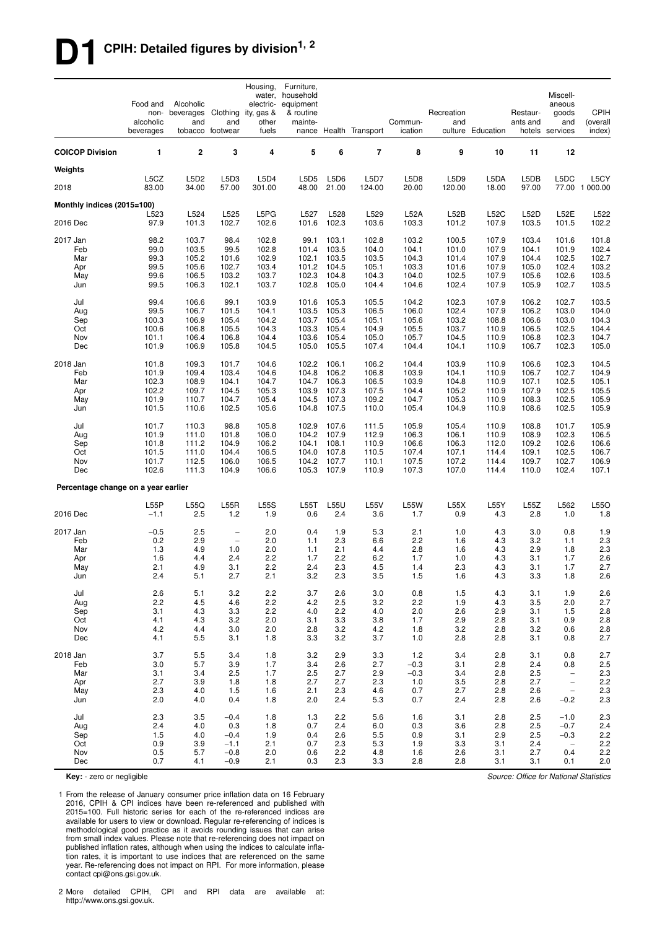# **D1 CPIH: Detailed figures by division1, 2**

|                                     | Food and<br>non-<br>alcoholic<br>beverages | Alcoholic<br>beverages Clothing<br>and | and<br>tobacco footwear | Housing,<br>water,<br>electric-<br>ity, gas &<br>other<br>fuels | Furniture,<br>household<br>equipment<br>& routine<br>mainte- |                | nance Health Transport | Commun-<br>ication | Recreation<br>and | culture Education | Restaur-<br>ants and | Miscell-<br>aneous<br>goods<br>and<br>hotels services | <b>CPIH</b><br>(overall<br>index) |
|-------------------------------------|--------------------------------------------|----------------------------------------|-------------------------|-----------------------------------------------------------------|--------------------------------------------------------------|----------------|------------------------|--------------------|-------------------|-------------------|----------------------|-------------------------------------------------------|-----------------------------------|
| <b>COICOP Division</b>              | 1                                          | $\overline{\mathbf{2}}$                | 3                       | $\overline{4}$                                                  | 5                                                            | 6              | $\overline{7}$         | 8                  | 9                 | 10                | 11                   | 12                                                    |                                   |
| Weights                             |                                            |                                        |                         |                                                                 |                                                              |                |                        |                    |                   |                   |                      |                                                       |                                   |
| 2018                                | L5CZ<br>83.00                              | L5D2<br>34.00                          | L5D3<br>57.00           | L5D4<br>301.00                                                  | L5D5<br>48.00                                                | L5D6<br>21.00  | <b>L5D7</b><br>124.00  | L5D8<br>20.00      | L5D9<br>120.00    | L5DA<br>18.00     | L5DB<br>97.00        | L5DC                                                  | L5CY<br>77.00 1 000.00            |
| Monthly indices (2015=100)          |                                            |                                        |                         |                                                                 |                                                              |                |                        |                    |                   |                   |                      |                                                       |                                   |
| 2016 Dec                            | L523<br>97.9                               | L524<br>101.3                          | L525<br>102.7           | L5PG<br>102.6                                                   | L527<br>101.6                                                | L528<br>102.3  | L529<br>103.6          | L52A<br>103.3      | L52B<br>101.2     | L52C<br>107.9     | L52D<br>103.5        | L52E<br>101.5                                         | L522<br>102.2                     |
| 2017 Jan                            | 98.2                                       | 103.7                                  | 98.4                    | 102.8                                                           | 99.1                                                         | 103.1          | 102.8                  | 103.2              | 100.5             | 107.9             | 103.4                | 101.6                                                 | 101.8                             |
| Feb                                 | 99.0                                       | 103.5                                  | 99.5                    | 102.8                                                           | 101.4                                                        | 103.5          | 104.0                  | 104.1              | 101.0             | 107.9             | 104.1                | 101.9                                                 | 102.4                             |
| Mar<br>Apr                          | 99.3<br>99.5                               | 105.2<br>105.6                         | 101.6<br>102.7          | 102.9<br>103.4                                                  | 102.1<br>101.2                                               | 103.5<br>104.5 | 103.5<br>105.1         | 104.3<br>103.3     | 101.4<br>101.6    | 107.9<br>107.9    | 104.4<br>105.0       | 102.5<br>102.4                                        | 102.7<br>103.2                    |
| May                                 | 99.6                                       | 106.5                                  | 103.2                   | 103.7                                                           | 102.3                                                        | 104.8          | 104.3                  | 104.0              | 102.5             | 107.9             | 105.6                | 102.6                                                 | 103.5                             |
| Jun                                 | 99.5                                       | 106.3                                  | 102.1                   | 103.7                                                           | 102.8                                                        | 105.0          | 104.4                  | 104.6              | 102.4             | 107.9             | 105.9                | 102.7                                                 | 103.5                             |
| Jul                                 | 99.4                                       | 106.6                                  | 99.1                    | 103.9                                                           | 101.6                                                        | 105.3          | 105.5                  | 104.2              | 102.3             | 107.9             | 106.2                | 102.7                                                 | 103.5                             |
| Aug<br>Sep                          | 99.5<br>100.3                              | 106.7<br>106.9                         | 101.5<br>105.4          | 104.1<br>104.2                                                  | 103.5<br>103.7                                               | 105.3<br>105.4 | 106.5<br>105.1         | 106.0<br>105.6     | 102.4<br>103.2    | 107.9<br>108.8    | 106.2<br>106.6       | 103.0<br>103.0                                        | 104.0<br>104.3                    |
| Oct                                 | 100.6                                      | 106.8                                  | 105.5                   | 104.3                                                           | 103.3                                                        | 105.4          | 104.9                  | 105.5              | 103.7             | 110.9             | 106.5                | 102.5                                                 | 104.4                             |
| Nov                                 | 101.1                                      | 106.4                                  | 106.8                   | 104.4                                                           | 103.6                                                        | 105.4          | 105.0                  | 105.7              | 104.5             | 110.9             | 106.8                | 102.3                                                 | 104.7                             |
| Dec                                 | 101.9                                      | 106.9                                  | 105.8                   | 104.5                                                           | 105.0                                                        | 105.5          | 107.4                  | 104.4              | 104.1             | 110.9             | 106.7                | 102.3                                                 | 105.0                             |
| 2018 Jan                            | 101.8                                      | 109.3                                  | 101.7                   | 104.6                                                           | 102.2                                                        | 106.1          | 106.2                  | 104.4              | 103.9             | 110.9             | 106.6                | 102.3                                                 | 104.5                             |
| Feb                                 | 101.9                                      | 109.4                                  | 103.4                   | 104.6                                                           | 104.8                                                        | 106.2          | 106.8                  | 103.9              | 104.1             | 110.9             | 106.7                | 102.7                                                 | 104.9                             |
| Mar<br>Apr                          | 102.3<br>102.2                             | 108.9<br>109.7                         | 104.1<br>104.5          | 104.7<br>105.3                                                  | 104.7<br>103.9                                               | 106.3<br>107.3 | 106.5<br>107.5         | 103.9<br>104.4     | 104.8<br>105.2    | 110.9<br>110.9    | 107.1<br>107.9       | 102.5<br>102.5                                        | 105.1<br>105.5                    |
| May                                 | 101.9                                      | 110.7                                  | 104.7                   | 105.4                                                           | 104.5                                                        | 107.3          | 109.2                  | 104.7              | 105.3             | 110.9             | 108.3                | 102.5                                                 | 105.9                             |
| Jun                                 | 101.5                                      | 110.6                                  | 102.5                   | 105.6                                                           | 104.8                                                        | 107.5          | 110.0                  | 105.4              | 104.9             | 110.9             | 108.6                | 102.5                                                 | 105.9                             |
| Jul                                 | 101.7                                      | 110.3                                  | 98.8                    | 105.8                                                           | 102.9                                                        | 107.6          | 111.5                  | 105.9              | 105.4             | 110.9             | 108.8                | 101.7                                                 | 105.9                             |
| Aug                                 | 101.9                                      | 111.0                                  | 101.8                   | 106.0                                                           | 104.2                                                        | 107.9          | 112.9                  | 106.3              | 106.1             | 110.9             | 108.9                | 102.3                                                 | 106.5                             |
| Sep<br>Oct                          | 101.8<br>101.5                             | 111.2<br>111.0                         | 104.9<br>104.4          | 106.2<br>106.5                                                  | 104.1<br>104.0                                               | 108.1<br>107.8 | 110.9<br>110.5         | 106.6<br>107.4     | 106.3<br>107.1    | 112.0<br>114.4    | 109.2<br>109.1       | 102.6<br>102.5                                        | 106.6<br>106.7                    |
| Nov                                 | 101.7                                      | 112.5                                  | 106.0                   | 106.5                                                           | 104.2                                                        | 107.7          | 110.1                  | 107.5              | 107.2             | 114.4             | 109.7                | 102.7                                                 | 106.9                             |
| Dec                                 | 102.6                                      | 111.3                                  | 104.9                   | 106.6                                                           | 105.3                                                        | 107.9          | 110.9                  | 107.3              | 107.0             | 114.4             | 110.0                | 102.4                                                 | 107.1                             |
| Percentage change on a year earlier |                                            |                                        |                         |                                                                 |                                                              |                |                        |                    |                   |                   |                      |                                                       |                                   |
|                                     | L55P                                       | L55Q                                   | L55R                    | <b>L55S</b>                                                     | L55T                                                         | L55U           | <b>L55V</b>            | <b>L55W</b>        | L55X              | L55Y              | L55Z                 | L562                                                  | L55O                              |
| 2016 Dec                            | $-1.1$                                     | 2.5                                    | 1.2                     | 1.9                                                             | 0.6                                                          | 2.4            | 3.6                    | 1.7                | 0.9               | 4.3               | 2.8                  | 1.0                                                   | 1.8                               |
| 2017 Jan                            | $-0.5$                                     | 2.5                                    | $\qquad \qquad -$       | 2.0                                                             | 0.4                                                          | 1.9            | 5.3                    | 2.1                | 1.0               | 4.3               | 3.0                  | 0.8                                                   | 1.9                               |
| Feb                                 | 0.2<br>1.3                                 | 2.9<br>4.9                             | $\qquad \qquad -$       | 2.0<br>2.0                                                      | 1.1                                                          | 2.3            | 6.6                    | 2.2                | 1.6               | 4.3<br>4.3        | 3.2<br>2.9           | 1.1                                                   | 2.3<br>2.3                        |
| Mar<br>Apr                          | 1.6                                        | 4.4                                    | 1.0<br>2.4              | 2.2                                                             | 1.1<br>1.7                                                   | 2.1<br>2.2     | 4.4<br>6.2             | 2.8<br>1.7         | 1.6<br>1.0        | 4.3               | 3.1                  | 1.8<br>1.7                                            | 2.6                               |
| May                                 | 2.1                                        | 4.9                                    | 3.1                     | 2.2                                                             | 2.4                                                          | 2.3            | 4.5                    | 1.4                | 2.3               | 4.3               | 3.1                  | 1.7                                                   | 2.7                               |
| Jun                                 | 2.4                                        | 5.1                                    | 2.7                     | 2.1                                                             | $3.2\,$                                                      | 2.3            | 3.5                    | 1.5                | 1.6               | 4.3               | 3.3                  | $1.8$                                                 | 2.6                               |
| Jul                                 | 2.6                                        | 5.1                                    | 3.2                     | 2.2                                                             | 3.7                                                          | 2.6            | 3.0                    | 0.8                | 1.5               | 4.3               | 3.1                  | 1.9                                                   | 2.6                               |
| Aug<br>Sep                          | 2.2<br>3.1                                 | 4.5<br>4.3                             | 4.6<br>3.3              | 2.2<br>2.2                                                      | 4.2<br>4.0                                                   | 2.5<br>2.2     | 3.2<br>4.0             | 2.2<br>2.0         | 1.9<br>2.6        | 4.3<br>2.9        | 3.5<br>3.1           | 2.0<br>1.5                                            | 2.7<br>2.8                        |
| Oct                                 | 4.1                                        | 4.3                                    | 3.2                     | 2.0                                                             | 3.1                                                          | 3.3            | 3.8                    | 1.7                | 2.9               | 2.8               | 3.1                  | 0.9                                                   | 2.8                               |
| Nov                                 | 4.2                                        | 4.4                                    | 3.0                     | 2.0                                                             | 2.8                                                          | 3.2            | 4.2                    | 1.8                | 3.2               | 2.8               | 3.2                  | 0.6                                                   | $2.8\,$                           |
| Dec                                 | 4.1                                        | 5.5                                    | 3.1                     | 1.8                                                             | 3.3                                                          | 3.2            | 3.7                    | 1.0                | 2.8               | 2.8               | 3.1                  | 0.8                                                   | 2.7                               |
| 2018 Jan                            | 3.7                                        | 5.5                                    | 3.4                     | 1.8                                                             | 3.2                                                          | 2.9            | 3.3                    | 1.2                | 3.4               | 2.8               | 3.1                  | 0.8                                                   | 2.7                               |
| Feb<br>Mar                          | 3.0<br>3.1                                 | 5.7<br>3.4                             | 3.9<br>2.5              | 1.7<br>1.7                                                      | 3.4<br>2.5                                                   | 2.6<br>2.7     | 2.7<br>2.9             | $-0.3$<br>$-0.3$   | 3.1<br>3.4        | 2.8<br>2.8        | 2.4<br>2.5           | 0.8<br>$\overline{\phantom{a}}$                       | $2.5\,$<br>2.3                    |
| Apr                                 | 2.7                                        | 3.9                                    | 1.8                     | 1.8                                                             | 2.7                                                          | 2.7            | 2.3                    | 1.0                | 3.5               | 2.8               | 2.7                  | $\overline{\phantom{a}}$                              | 2.2                               |
| May                                 | 2.3                                        | 4.0                                    | 1.5                     | 1.6                                                             | 2.1                                                          | 2.3            | 4.6                    | 0.7                | 2.7               | 2.8               | 2.6                  | $\overline{\phantom{a}}$                              | $2.3\,$                           |
| Jun                                 | 2.0                                        | 4.0                                    | 0.4                     | 1.8                                                             | 2.0                                                          | 2.4            | 5.3                    | 0.7                | 2.4               | 2.8               | 2.6                  | $-0.2$                                                | $2.3\,$                           |
| Jul                                 | 2.3                                        | 3.5                                    | $-0.4$                  | 1.8                                                             | 1.3                                                          | 2.2            | 5.6                    | 1.6                | 3.1               | 2.8               | 2.5                  | $-1.0$                                                | $2.3\,$                           |
| Aug<br>Sep                          | 2.4<br>1.5                                 | 4.0<br>4.0                             | 0.3<br>$-0.4$           | 1.8<br>1.9                                                      | 0.7<br>0.4                                                   | 2.4<br>2.6     | 6.0<br>5.5             | 0.3<br>0.9         | 3.6<br>3.1        | 2.8<br>2.9        | 2.5<br>2.5           | $-0.7$<br>$-0.3$                                      | 2.4<br>2.2                        |
| Oct                                 | 0.9                                        | 3.9                                    | $-1.1$                  | 2.1                                                             | 0.7                                                          | 2.3            | 5.3                    | 1.9                | 3.3               | 3.1               | 2.4                  | $\overline{\phantom{m}}$                              | 2.2                               |
| Nov                                 | 0.5                                        | 5.7                                    | $-0.8$                  | 2.0                                                             | 0.6                                                          | 2.2            | 4.8                    | 1.6                | 2.6               | 3.1               | 2.7                  | 0.4                                                   | 2.2                               |
| Dec                                 | 0.7                                        | 4.1                                    | $-0.9$                  | 2.1                                                             | 0.3                                                          | 2.3            | 3.3                    | 2.8                | 2.8               | 3.1               | 3.1                  | 0.1                                                   | 2.0                               |

**Key:** - zero or negligible

1 From the release of January consumer price inflation data on 16 February 2016, CPIH & CPI indices have been re-referenced and published with 2015=100. Full historic series for each of the re-referenced indices are available for users to view or download. Regular re-referencing of indices is methodological good practice as it avoids rounding issues that can arise from small index values. Please note that re-referencing does not impact on published inflation rates, although when using the indices to calculate inflation rates, it is important to use indices that are referenced on the same year. Re-referencing does not impact on RPI. For more information, please contact cpi@ons.gsi.gov.uk.

2 More detailed CPIH, CPI and RPI data are available at: http://www.ons.gsi.gov.uk.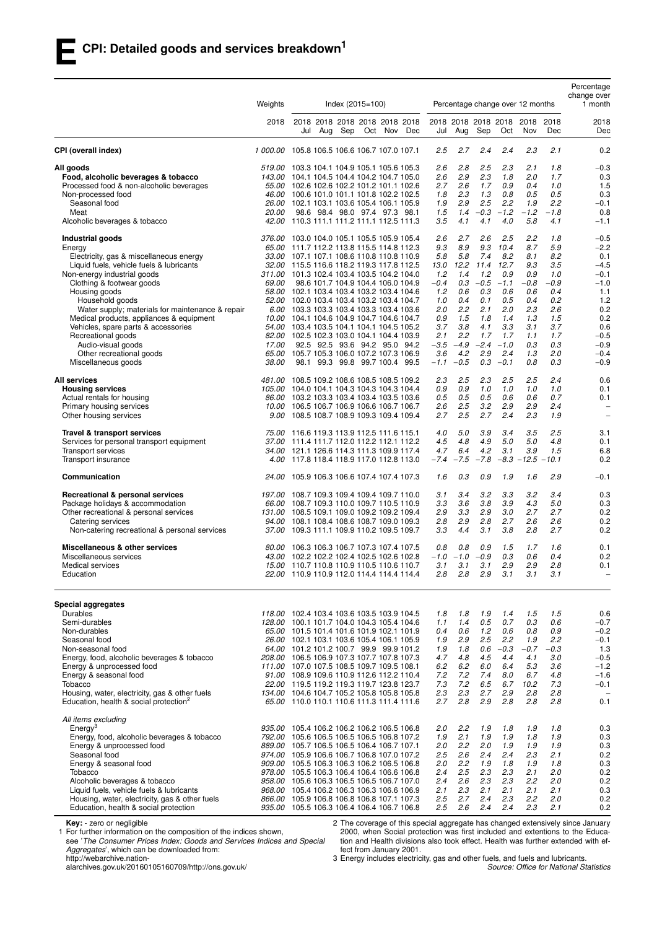|                                                                                                                                                                                                                                                                                                                                                                                                                                                         | Weights                           |                   | $Index (2015 = 100)$                                                                                                                                                                                                                                                                                                                                                                                                                                                                                                                                                                                                                                        | Percentage change over 12 months                                                                                                                                                                                                |                                                                                                                                                                                                                            |                                                                                                        |                                                                                                          | Percentage<br>change over<br>1 month                                                                                             |
|---------------------------------------------------------------------------------------------------------------------------------------------------------------------------------------------------------------------------------------------------------------------------------------------------------------------------------------------------------------------------------------------------------------------------------------------------------|-----------------------------------|-------------------|-------------------------------------------------------------------------------------------------------------------------------------------------------------------------------------------------------------------------------------------------------------------------------------------------------------------------------------------------------------------------------------------------------------------------------------------------------------------------------------------------------------------------------------------------------------------------------------------------------------------------------------------------------------|---------------------------------------------------------------------------------------------------------------------------------------------------------------------------------------------------------------------------------|----------------------------------------------------------------------------------------------------------------------------------------------------------------------------------------------------------------------------|--------------------------------------------------------------------------------------------------------|----------------------------------------------------------------------------------------------------------|----------------------------------------------------------------------------------------------------------------------------------|
|                                                                                                                                                                                                                                                                                                                                                                                                                                                         | 2018                              | Sep<br>Jul<br>Aug | 2018 2018 2018 2018 2018 2018<br>Oct Nov<br>Dec                                                                                                                                                                                                                                                                                                                                                                                                                                                                                                                                                                                                             | 2018 2018 2018 2018<br>Aug<br>Jul                                                                                                                                                                                               | Sep<br>Oct                                                                                                                                                                                                                 | 2018<br>Nov                                                                                            | 2018<br>Dec                                                                                              | 2018<br>Dec                                                                                                                      |
| CPI (overall index)                                                                                                                                                                                                                                                                                                                                                                                                                                     |                                   |                   | 1 000.00 105.8 106.5 106.6 106.7 107.0 107.1                                                                                                                                                                                                                                                                                                                                                                                                                                                                                                                                                                                                                | 2.7<br>2.5                                                                                                                                                                                                                      | 2.4<br>2.4                                                                                                                                                                                                                 | 2.3                                                                                                    | 2.1                                                                                                      | 0.2                                                                                                                              |
| All goods<br>Food, alcoholic beverages & tobacco<br>Processed food & non-alcoholic beverages<br>Non-processed food<br>Seasonal food<br>Meat                                                                                                                                                                                                                                                                                                             | <i>20.00</i>                      |                   | 519.00 103.3 104.1 104.9 105.1 105.6 105.3<br>143.00 104.1 104.5 104.4 104.2 104.7 105.0<br>55.00 102.6 102.6 102.2 101.2 101.1 102.6<br>46.00 100.6 101.0 101.1 101.8 102.2 102.5<br>26.00 102.1 103.1 103.6 105.4 106.1 105.9<br>98.6 98.4 98.0 97.4 97.3 98.1                                                                                                                                                                                                                                                                                                                                                                                            | 2.6<br>2.8<br>2.9<br>2.6<br>2.6<br>2.7<br>2.3<br>1.8<br>2.9<br>1.9<br>1.5<br>1.4                                                                                                                                                | 2.5<br>2.3<br>2.3<br>1.8<br>1.7<br>0.9<br>1.3<br>0.8<br>2.5<br>2.2<br>$-0.3$<br>$-1.2$                                                                                                                                     | 2.1<br>2.0<br>0.4<br>0.5<br>1.9<br>$-1.2$                                                              | 1.8<br>1.7<br>1.0<br>0.5<br>2.2<br>$-1.8$                                                                | $-0.3$<br>0.3<br>1.5<br>0.3<br>$-0.1$<br>0.8                                                                                     |
| Alcoholic beverages & tobacco                                                                                                                                                                                                                                                                                                                                                                                                                           |                                   |                   | 42.00 110.3 111.1 111.2 111.1 112.5 111.3                                                                                                                                                                                                                                                                                                                                                                                                                                                                                                                                                                                                                   | 3.5<br>4.1                                                                                                                                                                                                                      | 4.1<br>4.0                                                                                                                                                                                                                 | 5.8                                                                                                    | 4.1                                                                                                      | $-1.1$                                                                                                                           |
| Industrial goods<br>Energy<br>Electricity, gas & miscellaneous energy<br>Liquid fuels, vehicle fuels & lubricants<br>Non-energy industrial goods<br>Clothing & footwear goods<br>Housing goods<br>Household goods<br>Water supply; materials for maintenance & repair<br>Medical products, appliances & equipment<br>Vehicles, spare parts & accessories<br>Recreational goods<br>Audio-visual goods<br>Other recreational goods<br>Miscellaneous goods | 376.00<br>69.00<br>17.00<br>38.00 |                   | 103.0 104.0 105.1 105.5 105.9 105.4<br>65.00 111.7 112.2 113.8 115.5 114.8 112.3<br>33.00 107.1 107.1 108.6 110.8 110.8 110.9<br>32.00 115.5 116.6 118.2 119.3 117.8 112.5<br>311.00 101.3 102.4 103.4 103.5 104.2 104.0<br>98.6 101.7 104.9 104.4 106.0 104.9<br>58.00 102.1 103.4 103.4 103.2 103.4 104.6<br>52.00 102.0 103.4 103.4 103.2 103.4 104.7<br>6.00 103.3 103.3 103.4 103.3 103.4 103.6<br>10.00 104.1 104.6 104.9 104.7 104.6 104.7<br>54.00 103.4 103.5 104.1 104.1 104.5 105.2<br>82.00 102.5 102.3 103.0 104.1 104.4 103.9<br>92.5 92.5 93.6 94.2 95.0 94.2<br>65.00 105.7 105.3 106.0 107.2 107.3 106.9<br>98.1 99.3 99.8 99.7 100.4 99.5 | 2.6<br>2.7<br>9.3<br>8.9<br>5.8<br>5.8<br>12.2<br>13.0<br>1.2<br>1.4<br>$-0.4$<br>0.3<br>0.6<br>1.2<br>0.4<br>1.0<br>2.2<br>2.0<br>1.5<br>0.9<br>3.7<br>3.8<br>2.2<br>2.1<br>$-3.5$<br>$-4.9$<br>3.6<br>4.2<br>$-0.5$<br>$-1.1$ | 2.6<br>2.5<br>9.3<br>10.4<br>7.4<br>8.2<br>11.4<br>12.7<br>1.2<br>0.9<br>$-0.5 - 1.1$<br>0.3<br>0.6<br>0.1<br>0.5<br>2.1<br>2.0<br>1.8<br>1.4<br>4.1<br>3.3<br>1.7<br>1.7<br>$-2.4$<br>$-1.0$<br>2.9<br>2.4<br>$0.3 - 0.1$ | 2.2<br>8.7<br>8.1<br>9.3<br>0.9<br>-0.8<br>0.6<br>0.4<br>2.3<br>1.3<br>3.1<br>1.1<br>0.3<br>1.3<br>0.8 | 1.8<br>5.9<br>8.2<br>3.5<br>1.0<br>$-0.9$<br>0.4<br>0.2<br>2.6<br>1.5<br>3.7<br>1.7<br>0.3<br>2.0<br>0.3 | $-0.5$<br>$-2.2$<br>0.1<br>$-4.5$<br>$-0.1$<br>$-1.0$<br>1.1<br>1.2<br>0.2<br>0.2<br>0.6<br>$-0.5$<br>$-0.9$<br>$-0.4$<br>$-0.9$ |
| <b>All services</b><br><b>Housing services</b><br>Actual rentals for housing<br>Primary housing services<br>Other housing services                                                                                                                                                                                                                                                                                                                      |                                   |                   | 481.00 108.5 109.2 108.6 108.5 108.5 109.2<br>105.00 104.0 104.1 104.3 104.3 104.3 104.4<br>86.00 103.2 103.3 103.4 103.4 103.5 103.6<br>10.00 106.5 106.7 106.9 106.6 106.7 106.7<br>9.00 108.5 108.7 108.9 109.3 109.4 109.4                                                                                                                                                                                                                                                                                                                                                                                                                              | 2.5<br>2.3<br>0.9<br>0.9<br>0.5<br>0.5<br>2.5<br>2.6<br>2.5<br>2.7                                                                                                                                                              | 2.3<br>2.5<br>1.0<br>1.0<br>0.5<br>0.6<br>3.2<br>2.9<br>2.7<br>2.4                                                                                                                                                         | 2.5<br>1.0<br>0.6<br>2.9<br>2.3                                                                        | 2.4<br>1.0<br>0.7<br>2.4<br>1.9                                                                          | 0.6<br>0.1<br>0.1<br>$\overline{\phantom{a}}$<br>$\overline{\phantom{a}}$                                                        |
| Travel & transport services<br>Services for personal transport equipment<br>Transport services<br>Transport insurance                                                                                                                                                                                                                                                                                                                                   |                                   |                   | 75.00 116.6 119.3 113.9 112.5 111.6 115.1<br>37.00 111.4 111.7 112.0 112.2 112.1 112.2<br>34.00 121.1 126.6 114.3 111.3 109.9 117.4<br>4.00 117.8 118.4 118.9 117.0 112.8 113.0                                                                                                                                                                                                                                                                                                                                                                                                                                                                             | 5.0<br>4.0<br>4.5<br>4.8<br>6.4<br>4.7<br>$-7.4$<br>$-7.5$                                                                                                                                                                      | 3.9<br>3.4<br>4.9<br>5.0<br>4.2<br>3.1<br>$-7.8$                                                                                                                                                                           | 3.5<br>5.0<br>3.9<br>$-8.3 - 12.5 - 10.1$                                                              | 2.5<br>4.8<br>1.5                                                                                        | 3.1<br>0.1<br>6.8<br>0.2                                                                                                         |
| Communication                                                                                                                                                                                                                                                                                                                                                                                                                                           | 24.00                             |                   | 105.9 106.3 106.6 107.4 107.4 107.3                                                                                                                                                                                                                                                                                                                                                                                                                                                                                                                                                                                                                         | 1.6<br>0.3                                                                                                                                                                                                                      | 0.9<br>1.9                                                                                                                                                                                                                 | 1.6                                                                                                    | 2.9                                                                                                      | -0.1                                                                                                                             |
| Recreational & personal services<br>Package holidays & accommodation<br>Other recreational & personal services<br>Catering services<br>Non-catering recreational & personal services                                                                                                                                                                                                                                                                    | 197.00<br>94.00                   |                   | 108.7 109.3 109.4 109.4 109.7 110.0<br>66.00 108.7 109.3 110.0 109.7 110.5 110.9<br>131.00 108.5 109.1 109.0 109.2 109.2 109.4<br>108.1 108.4 108.6 108.7 109.0 109.3<br>37.00 109.3 111.1 109.9 110.2 109.5 109.7                                                                                                                                                                                                                                                                                                                                                                                                                                          | 3.4<br>3.1<br>3.6<br>3.3<br>2.9<br>3.3<br>2.8<br>2.9<br>3.3<br>4.4                                                                                                                                                              | 3.2<br>3.3<br>3.8<br>3.9<br>2.9<br>3.0<br>2.8<br>2.7<br>3.1<br>3.8                                                                                                                                                         | 3.2<br>4.3<br>2.7<br>2.6<br>2.8                                                                        | 3.4<br>5.0<br>2.7<br>2.6<br>2.7                                                                          | 0.3<br>0.3<br>0.2<br>0.2<br>0.2                                                                                                  |
| Miscellaneous & other services<br>Miscellaneous services<br>Medical services<br>Education                                                                                                                                                                                                                                                                                                                                                               | 80.00                             |                   | 106.3 106.3 106.7 107.3 107.4 107.5<br>43.00 102.2 102.2 102.4 102.5 102.6 102.8<br>15.00 110.7 110.8 110.9 110.5 110.6 110.7<br>22.00 110.9 110.9 112.0 114.4 114.4 114.4                                                                                                                                                                                                                                                                                                                                                                                                                                                                                  | 0.8<br>0.8<br>-1.0<br>$-1.0$<br>3.1<br>3.1<br>2.8<br>2.8                                                                                                                                                                        | 1.5<br>0.9<br>0.3<br>$-0.9$<br>2.9<br>3.1<br>2.9<br>3.1                                                                                                                                                                    | 1.7<br>0.6<br>2.9<br>3.1                                                                               | 1.6<br>0.4<br>2.8<br>3.1                                                                                 | 0.1<br>0.2<br>0.1                                                                                                                |
| Special aggregates<br>Durables<br>Semi-durables<br>Non-durables<br>Seasonal food<br>Non-seasonal food<br>Energy, food, alcoholic beverages & tobacco<br>Energy & unprocessed food<br>Energy & seasonal food<br>Tobacco<br>Housing, water, electricity, gas & other fuels<br>Education, health & social protection <sup>2</sup>                                                                                                                          |                                   |                   | 118.00 102.4 103.4 103.6 103.5 103.9 104.5<br>128.00 100.1 101.7 104.0 104.3 105.4 104.6<br>65.00 101.5 101.4 101.6 101.9 102.1 101.9<br>26.00 102.1 103.1 103.6 105.4 106.1 105.9<br>64.00 101.2 101.2 100.7 99.9 99.9 101.2<br>208.00 106.5 106.9 107.3 107.7 107.8 107.3<br>111.00 107.0 107.5 108.5 109.7 109.5 108.1<br>91.00 108.9 109.6 110.9 112.6 112.2 110.4<br>22.00 119.5 119.2 119.3 119.7 123.8 123.7<br>134.00 104.6 104.7 105.2 105.8 105.8 105.8<br>65.00 110.0 110.1 110.6 111.3 111.4 111.6                                                                                                                                              | 1.8<br>1.8<br>1.4<br>1.1<br>0.6<br>0.4<br>1.9<br>2.9<br>1.8<br>1.9<br>4.7<br>4.8<br>6.2<br>6.2<br>7.2<br>7.2<br>7.3<br>7.2<br>2.3<br>2.3<br>2.7<br>2.8                                                                          | 1.9<br>1.4<br>0.5<br>0.7<br>1.2<br>0.6<br>2.5<br>2.2<br>0.6<br>$-0.3$<br>4.5<br>4.4<br>6.0<br>6.4<br>7.4<br>8.0<br>6.5<br>6.7<br>2.7<br>2.9<br>2.9<br>2.8                                                                  | 1.5<br>0.3<br>0.8<br>1.9<br>$-0.7$<br>4.1<br>5.3<br>6.7<br>10.2<br>2.8<br>2.8                          | 1.5<br>0.6<br>0.9<br>2.2<br>$-0.3$<br>3.0<br>3.6<br>4.8<br>7.3<br>2.8<br>2.8                             | 0.6<br>$-0.7$<br>$-0.2$<br>$-0.1$<br>1.3<br>$-0.5$<br>$-1.2$<br>$-1.6$<br>$-0.1$<br>0.1                                          |
| All items excluding<br>$E$ nergy <sup>3</sup><br>Energy, food, alcoholic beverages & tobacco<br>Energy & unprocessed food<br>Seasonal food<br>Energy & seasonal food<br>Tobacco<br>Alcoholic beverages & tobacco<br>Liquid fuels, vehicle fuels & lubricants<br>Housing, water, electricity, gas & other fuels<br>Education, health & social protection                                                                                                 |                                   |                   | 935.00 105.4 106.2 106.2 106.2 106.5 106.8<br>792.00 105.6 106.5 106.5 106.5 106.8 107.2<br>889.00 105.7 106.5 106.5 106.4 106.7 107.1<br>974.00 105.9 106.6 106.7 106.8 107.0 107.2<br>909.00 105.5 106.3 106.3 106.2 106.5 106.8<br>978.00 105.5 106.3 106.4 106.4 106.6 106.8<br>958.00 105.6 106.3 106.5 106.5 106.7 107.0<br>968.00 105.4 106.2 106.3 106.3 106.6 106.9<br>866.00 105.9 106.8 106.8 106.8 107.1 107.3<br>935.00 105.5 106.3 106.4 106.4 106.7 106.8                                                                                                                                                                                    | 2.0<br>2.2<br>1.9<br>2.1<br>2.0<br>$2.2\,$<br>2.5<br>2.6<br>2.0<br>$2.2\,$<br>2.4<br>$2.5\,$<br>2.6<br>2.4<br>2.1<br>2.3<br>2.5<br>2.7<br>2.5<br>2.6                                                                            | 1.9<br>1.8<br>1.9<br>1.9<br>2.0<br>1.9<br>2.4<br>2.4<br>1.9<br>1.8<br>2.3<br>2.3<br>2.3<br>2.3<br>2.1<br>2.1<br>2.4<br>2.3<br>2.4<br>2.4                                                                                   | 1.9<br>1.8<br>1.9<br>2.3<br>1.9<br>2.1<br>2.2<br>2.1<br>2.2<br>2.3                                     | 1.8<br>1.9<br>1.9<br>2.1<br>1.8<br>2.0<br>2.0<br>2.1<br>2.0<br>2.1                                       | 0.3<br>0.3<br>0.3<br>0.2<br>0.3<br>0.2<br>0.2<br>0.3<br>0.2<br>0.2                                                               |

**Key:** - zero or negligible

1 For further information on the composition of the indices shown,

see '*The Consumer Prices Index: Goods and Services Indices and Special Aggregates*', which can be downloaded from: http://webarchive.nation-

alarchives.gov.uk/20160105160709/http://ons.gov.uk/

2 The coverage of this special aggregate has changed extensively since January 2000, when Social protection was first included and extentions to the Education and Health divisions also took effect. Health was further extended with effect from January 2001.

3 Energy includes electricity, gas and other fuels, and fuels and lubricants.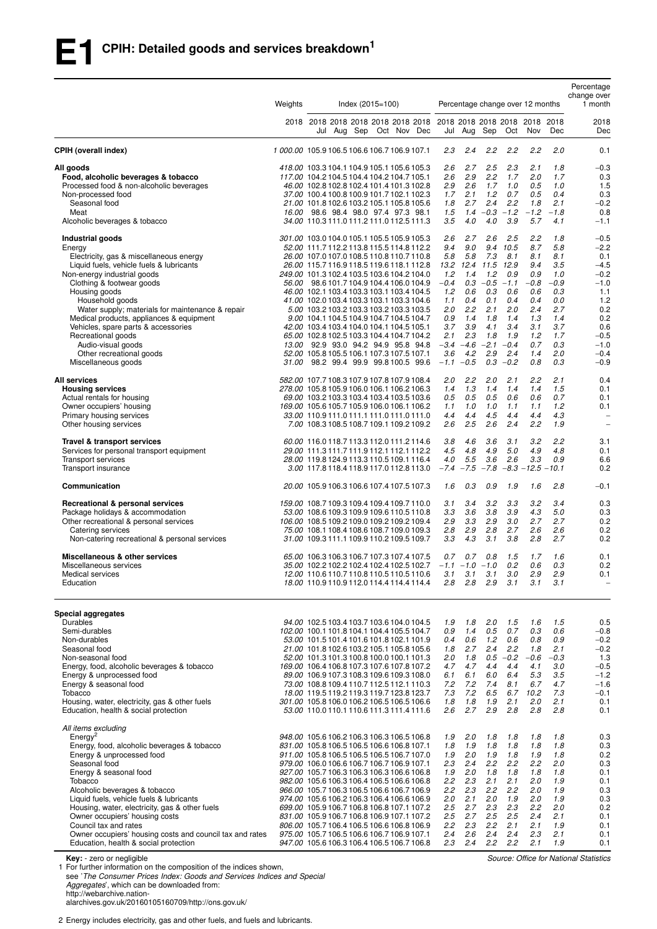|                                                                                                                                                                                                                                                                                                                                                                                                                                                                             | Weights |                                                                                                                                                                                                                                                                                                                                                                                                                                                                                                                                                                                                                                                                                     | $Index (2015 = 100)$ |  | Percentage change over 12 months                                                        |                                                                                           |                                                                                                                                                 |                                                                                                   |                                                                                                          | Percentage<br>change over<br>1 month                                                                     |                                                                                                                                  |
|-----------------------------------------------------------------------------------------------------------------------------------------------------------------------------------------------------------------------------------------------------------------------------------------------------------------------------------------------------------------------------------------------------------------------------------------------------------------------------|---------|-------------------------------------------------------------------------------------------------------------------------------------------------------------------------------------------------------------------------------------------------------------------------------------------------------------------------------------------------------------------------------------------------------------------------------------------------------------------------------------------------------------------------------------------------------------------------------------------------------------------------------------------------------------------------------------|----------------------|--|-----------------------------------------------------------------------------------------|-------------------------------------------------------------------------------------------|-------------------------------------------------------------------------------------------------------------------------------------------------|---------------------------------------------------------------------------------------------------|----------------------------------------------------------------------------------------------------------|----------------------------------------------------------------------------------------------------------|----------------------------------------------------------------------------------------------------------------------------------|
|                                                                                                                                                                                                                                                                                                                                                                                                                                                                             |         | Jul Aug Sep Oct Nov Dec                                                                                                                                                                                                                                                                                                                                                                                                                                                                                                                                                                                                                                                             |                      |  |                                                                                         |                                                                                           | Jul Aug Sep                                                                                                                                     | Oct                                                                                               | Nov                                                                                                      | Dec                                                                                                      | 2018<br>Dec                                                                                                                      |
| CPIH (overall index)                                                                                                                                                                                                                                                                                                                                                                                                                                                        |         | 1000.00 105.9106.5106.6106.7106.9107.1                                                                                                                                                                                                                                                                                                                                                                                                                                                                                                                                                                                                                                              |                      |  | 2.3                                                                                     | 2.4                                                                                       | 2.2                                                                                                                                             | 2.2                                                                                               | 2.2                                                                                                      | 2.0                                                                                                      | 0.1                                                                                                                              |
| All goods<br>Food, alcoholic beverages & tobacco<br>Processed food & non-alcoholic beverages<br>Non-processed food<br>Seasonal food<br>Meat<br>Alcoholic beverages & tobacco                                                                                                                                                                                                                                                                                                |         | 418.00 103.3 104.1 104.9 105.1 105.6 105.3<br>117.00 104.2 104.5 104.4 104.2 104.7 105.1<br>46.00 102.8 102.8 102.4 101.4 101.3 102.8<br>37.00 100.4 100.8 100.9 101.7 102.1 102.3<br>21.00 101.8 102.6 103.2 105.1 105.8 105.6<br>16.00 98.6 98.4 98.0 97.4 97.3 98.1<br>34.00 110.3 111.0 111.2 111.0 112.5 111.3                                                                                                                                                                                                                                                                                                                                                                 |                      |  | 2.6<br>2.6<br>2.9<br>1.7<br>1.8<br>1.5<br>3.5                                           | 2.7<br>2.9<br>2.6<br>2.1<br>2.7<br>4.0                                                    | 2.5<br>2.2<br>1.7<br>1.2<br>2.4<br>$1.4 -0.3 -1.2$<br>4.0                                                                                       | 2.3<br>1.7<br>1.0<br>0.7<br>2.2<br>3.9                                                            | 2.1<br>2.0<br>0.5<br>0.5<br>1.8<br>$-1.2$<br>5.7                                                         | 1.8<br>1.7<br>1.0<br>0.4<br>2.1<br>$-1.8$<br>4.1                                                         | $-0.3$<br>0.3<br>1.5<br>0.3<br>$-0.2$<br>0.8<br>$-1.1$                                                                           |
| Industrial goods<br>Energy<br>Electricity, gas & miscellaneous energy<br>Liquid fuels, vehicle fuels & lubricants<br>Non-energy industrial goods<br>Clothing & footwear goods<br>Housing goods<br>Household goods<br>Water supply; materials for maintenance & repair<br>Medical products, appliances & equipment<br>Vehicles, spare parts & accessories<br>Recreational goods<br>Audio-visual goods<br>Other recreational goods<br>Miscellaneous goods                     |         | 301.00 103.0 104.0 105.1 105.5 105.9 105.3<br>52.00 111.7 112.2 113.8 115.5 114.8 112.2<br>26.00 107.0 107.0 108.5 110.8 110.7 110.8<br>26.00 115.7 116.9 118.5 119.6 118.1 112.8<br>249.00 101.3 102.4 103.5 103.6 104.2 104.0<br>56.00 98.6 101.7 104.9 104.4 106.0 104.9<br>46.00 102.1 103.4 103.3 103.1 103.4 104.5<br>41.00 102.0 103.4 103.3 103.1 103.3 104.6<br>5.00 103.2 103.2 103.3 103.2 103.3 103.5<br>9.00 104.1 104.5 104.9 104.7 104.5 104.7<br>42.00 103.4 103.4 104.0 104.1 104.5 105.1<br>65.00 102.8 102.5 103.3 104.4 104.7 104.2<br>13.00 92.9 93.0 94.2 94.9 95.8 94.8<br>52.00 105.8 105.5 106.1 107.3 107.5 107.1<br>31.00 98.2 99.4 99.9 99.8 100.5 99.6 |                      |  | 2.6<br>9.4<br>5.8<br>1.2<br>$-0.4$<br>1.2<br>1.1<br>2.0<br>0.9<br>3.7<br>2.1<br>3.6     | 2.7<br>9.0<br>5.8<br>1.4<br>0.6<br>0.4<br>2.2<br>1.4<br>3.9<br>2.3<br>4.2<br>$-1.1 - 0.5$ | 2.6<br>9.4<br>7.3<br>13.2 12.4 11.5<br>1.2<br>$0.3 - 0.5 - 1.1$<br>0.3<br>0.1<br>2.1<br>1.8<br>4.1<br>1.8<br>$-3.4$ $-4.6$ $-2.1$ $-0.4$<br>2.9 | 2.5<br>10.5<br>8.1<br>12.9<br>0.9<br>0.6<br>0.4<br>2.0<br>1.4<br>3.4<br>1.9<br>2.4<br>$0.3 - 0.2$ | 2.2<br>8.7<br>8.1<br>9.4<br>0.9<br>$-0.8$<br>0.6<br>0.4<br>2.4<br>1.3<br>3.1<br>1.2<br>0.7<br>1.4<br>0.8 | 1.8<br>5.8<br>8.1<br>3.5<br>1.0<br>$-0.9$<br>0.3<br>0.0<br>2.7<br>1.4<br>3.7<br>1.7<br>0.3<br>2.0<br>0.3 | $-0.5$<br>$-2.2$<br>0.1<br>$-4.5$<br>$-0.2$<br>$-1.0$<br>1.1<br>1.2<br>0.2<br>0.2<br>0.6<br>$-0.5$<br>$-1.0$<br>$-0.4$<br>$-0.9$ |
| All services<br><b>Housing services</b><br>Actual rentals for housing<br>Owner occupiers' housing<br>Primary housing services<br>Other housing services                                                                                                                                                                                                                                                                                                                     |         | 582.00 107.7 108.3 107.9 107.8 107.9 108.4<br>278.00 105.8 105.9 106.0 106.1 106.2 106.3<br>69.00 103.2 103.3 103.4 103.4 103.5 103.6<br>169.00 105.6 105.7 105.9 106.0 106.1 106.2<br>33.00 110.9111.0111.1111.0111.0111.0<br>7.00 108.3 108.5 108.7 109.1 109.2 109.2                                                                                                                                                                                                                                                                                                                                                                                                             |                      |  | 2.0<br>1.4<br>0.5<br>1.1<br>4.4<br>2.6                                                  | 2.2<br>1.3<br>0.5<br>1.0<br>4.4<br>2.5                                                    | 2.0<br>1.4<br>0.5<br>1.0<br>4.5<br>2.6                                                                                                          | 2.1<br>1.4<br>0.6<br>1.1<br>4.4<br>2.4                                                            | 2.2<br>1.4<br>0.6<br>1.1<br>4.4<br>2.2                                                                   | 2.1<br>1.5<br>0.7<br>1.2<br>4.3<br>1.9                                                                   | 0.4<br>0.1<br>0.1<br>0.1<br>$\qquad \qquad -$<br>$\equiv$                                                                        |
| Travel & transport services<br>Services for personal transport equipment<br>Transport services<br>Transport insurance                                                                                                                                                                                                                                                                                                                                                       |         | 60.00 116.0118.7 113.3 112.0 111.2 114.6<br>29.00 111.3 111.7 111.9 112.1 112.1 112.2<br>28.00 119.8 124.9 113.3 110.5 109.1 116.4<br>3.00 117.8 118.4 118.9 117.0 112.8 113.0                                                                                                                                                                                                                                                                                                                                                                                                                                                                                                      |                      |  | 3.8<br>4.5<br>4.0                                                                       | 4.6<br>4.8<br>5.5<br>$-7.4 -7.5$                                                          | 3.6<br>4.9<br>3.6                                                                                                                               | 3.1<br>5.0<br>2.6                                                                                 | 3.2<br>4.9<br>3.3<br>$-7.8$ $-8.3$ $-12.5$ $-10.1$                                                       | 2.2<br>4.8<br>0.9                                                                                        | 3.1<br>0.1<br>6.6<br>0.2                                                                                                         |
| Communication                                                                                                                                                                                                                                                                                                                                                                                                                                                               |         | 20.00 105.9 106.3 106.6 107.4 107.5 107.3                                                                                                                                                                                                                                                                                                                                                                                                                                                                                                                                                                                                                                           |                      |  | 1.6                                                                                     | 0.3                                                                                       | 0.9                                                                                                                                             | 1.9                                                                                               | 1.6                                                                                                      | 2.8                                                                                                      | $-0.1$                                                                                                                           |
| Recreational & personal services<br>Package holidays & accommodation<br>Other recreational & personal services<br>Catering services<br>Non-catering recreational & personal services                                                                                                                                                                                                                                                                                        |         | 159.00 108.7 109.3 109.4 109.4 109.7 110.0<br>53.00 108.6 109.3 109.9 109.6 110.5 110.8<br>106.00 108.5 109.2 109.0 109.2 109.2 109.4<br>75.00 108.1 108.4 108.6 108.7 109.0 109.3<br>31.00 109.3 111.1 109.9 110.2 109.5 109.7                                                                                                                                                                                                                                                                                                                                                                                                                                                     |                      |  | 3.1<br>3.3<br>2.9<br>2.8<br>3.3                                                         | 3.4<br>3.6<br>3.3<br>2.9<br>4.3                                                           | 3.2<br>3.8<br>2.9<br>2.8<br>3.1                                                                                                                 | 3.3<br>3.9<br>3.0<br>2.7<br>3.8                                                                   | 3.2<br>4.3<br>2.7<br>2.6<br>2.8                                                                          | 3.4<br>5.0<br>2.7<br>2.6<br>2.7                                                                          | 0.3<br>0.3<br>0.2<br>0.2<br>0.2                                                                                                  |
| Miscellaneous & other services<br>Miscellaneous services<br>Medical services<br>Education                                                                                                                                                                                                                                                                                                                                                                                   |         | 65.00 106.3 106.3 106.7 107.3 107.4 107.5<br>35.00 102.2 102.2 102.4 102.4 102.5 102.7<br>12.00 110.6 110.7 110.8 110.5 110.5 110.6<br>18.00 110.9 110.9 112.0 114.4 114.4 114.4                                                                                                                                                                                                                                                                                                                                                                                                                                                                                                    |                      |  | 0.7<br>2.8                                                                              | 0.7<br>2.8                                                                                | 0.8<br>$-1.1$ $-1.0$ $-1.0$<br>$3.1$ $3.1$ $3.1$<br>2.9                                                                                         | 1.5<br>0.2<br>3.0<br>3.1                                                                          | 1.7<br>0.6<br>2.9<br>3.1                                                                                 | 1.6<br>0.3<br>2.9<br>3.1                                                                                 | 0.1<br>0.2<br>0.1                                                                                                                |
| Special aggregates<br>Durables<br>Semi-durables<br>Non-durables<br>Seasonal food<br>Non-seasonal food<br>Energy, food, alcoholic beverages & tobacco<br>Energy & unprocessed food<br>Energy & seasonal food<br>Tobacco<br>Housing, water, electricity, gas & other fuels<br>Education, health & social protection                                                                                                                                                           |         | 94.00 102.5 103.4 103.7 103.6 104.0 104.5<br>102.00 100.1 101.8 104.1 104.4 105.5 104.7<br>53.00 101.5 101.4 101.6 101.8 102.1 101.9<br>21.00 101.8 102.6 103.2 105.1 105.8 105.6<br>52.00 101.3 101.3 100.8 100.0 100.1 101.3<br>169.00 106.4 106.8 107.3 107.6 107.8 107.2<br>89.00 106.9 107.3 108.3 109.6 109.3 108.0<br>73.00 108.8 109.4 110.7 112.5 112.1 110.3<br>18.00 119.5 119.2 119.3 119.7 123.8 123.7<br>301.00 105.8 106.0 106.2 106.5 106.5 106.6<br>53.00 110.0110.1 110.6 111.3 111.4 111.6                                                                                                                                                                       |                      |  | 1.9<br>0.9<br>0.4<br>1.8<br>2.0<br>4.7<br>6.1<br>7.2<br>7.3<br>1.8<br>2.6               | 1.8<br>1.4<br>0.6<br>2.7<br>1.8<br>4.7<br>6.1<br>7.2<br>7.2<br>1.8<br>2.7                 | 2.0<br>0.5<br>1.2<br>2.4<br>4.4<br>6.0<br>7.4<br>6.5<br>1.9<br>2.9                                                                              | 1.5<br>0.7<br>0.6<br>2.2<br>$0.5 - 0.2$<br>4.4<br>6.4<br>8.1<br>6.7<br>2.1<br>2.8                 | 1.6<br>0.3<br>0.8<br>1.8<br>-0.6<br>4.1<br>5.3<br>6.7<br>10.2<br>2.0<br>2.8                              | 1.5<br>0.6<br>0.9<br>2.1<br>$-0.3$<br>3.0<br>3.5<br>4.7<br>7.3<br>2.1<br>2.8                             | 0.5<br>$-0.8$<br>$-0.2$<br>$-0.2$<br>1.3<br>$-0.5$<br>$-1.2$<br>$-1.6$<br>$-0.1$<br>0.1<br>0.1                                   |
| All items excluding<br>Energy <sup>2</sup><br>Energy, food, alcoholic beverages & tobacco<br>Energy & unprocessed food<br>Seasonal food<br>Energy & seasonal food<br>Tobacco<br>Alcoholic beverages & tobacco<br>Liquid fuels, vehicle fuels & lubricants<br>Housing, water, electricity, gas & other fuels<br>Owner occupiers' housing costs<br>Council tax and rates<br>Owner occupiers' housing costs and council tax and rates<br>Education, health & social protection |         | 948.00 105.6 106.2 106.3 106.3 106.5 106.8<br>831.00 105.8 106.5 106.5 106.6 106.8 107.1<br>911.00 105.8 106.5 106.5 106.5 106.7 107.0<br>979.00 106.0 106.6 106.7 106.7 106.9 107.1<br>927.00 105.7 106.3 106.3 106.3 106.6 106.8<br>982.00 105.6 106.3 106.4 106.5 106.6 106.8<br>966.00 105.7 106.3 106.5 106.6 106.7 106.9<br>974.00 105.6 106.2 106.3 106.4 106.6 106.9<br>699.00 105.9 106.7 106.8 106.8 107.1 107.2<br>831.00 105.9 106.7 106.8 106.9 107.1 107.2<br>806.00 105.7 106.4 106.5 106.6 106.8 106.9<br>975.00 105.7 106.5 106.6 106.7 106.9 107.1<br>947.00 105.6 106.3 106.4 106.5 106.7 106.8                                                                  |                      |  | 1.9<br>1.8<br>1.9<br>2.3<br>1.9<br>2.2<br>2.2<br>2.0<br>2.5<br>2.5<br>2.2<br>2.4<br>2.3 | 2.0<br>1.9<br>2.0<br>2.4<br>2.0<br>2.3<br>2.3<br>2.1<br>2.7<br>2.7<br>2.3<br>2.6          | 1.8<br>1.8<br>1.9<br>2.2<br>1.8<br>2.1<br>2.2<br>2.0<br>2.3<br>2.5<br>2.2<br>2.4<br>$2.4$ $2.2$ $2.2$                                           | 1.8<br>1.8<br>1.8<br>2.2<br>1.8<br>2.1<br>2.2<br>1.9<br>2.3<br>2.5<br>2.1<br>2.4                  | 1.8<br>1.8<br>1.9<br>2.2<br>1.8<br>2.0<br>2.0<br>2.0<br>2.2<br>2.4<br>2.1<br>2.3<br>2.1                  | 1.8<br>1.8<br>1.8<br>2.0<br>1.8<br>1.9<br>1.9<br>1.9<br>2.0<br>2.1<br>1.9<br>2.1<br>1.9                  | 0.3<br>0.3<br>0.2<br>0.3<br>0.1<br>0.1<br>0.3<br>0.3<br>0.2<br>0.1<br>0.1<br>0.1<br>0.1                                          |

**Key:** - zero or negligible<br>1 For further information on the composition of the indices shown,

see '*The Consumer Prices Index: Goods and Services Indices and Special Aggregates*', which can be downloaded from:

http://webarchive.nation-

alarchives.gov.uk/20160105160709/http://ons.gov.uk/

2 Energy includes electricity, gas and other fuels, and fuels and lubricants.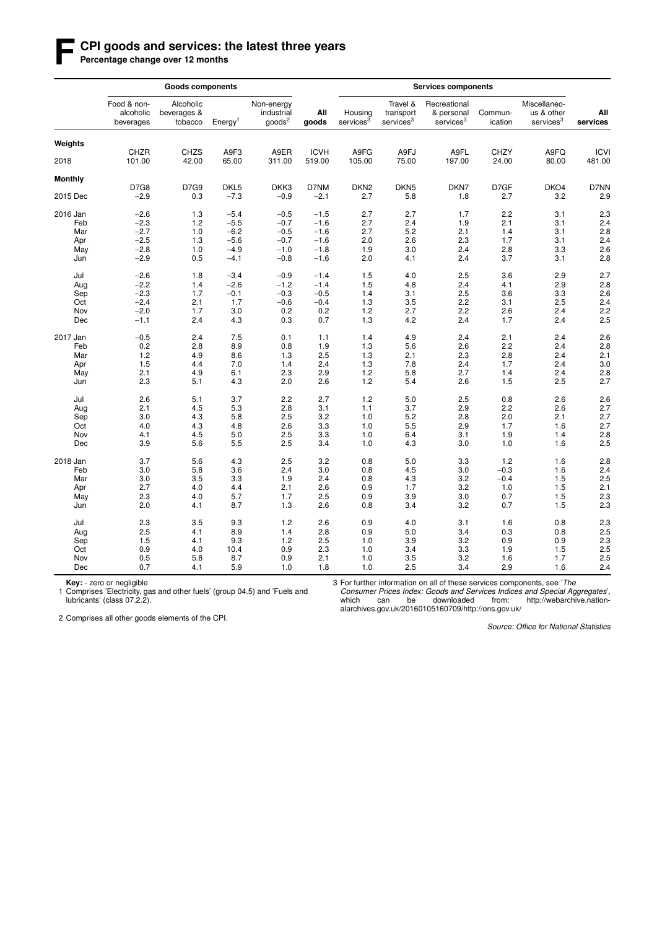### **F CPI goods and services: the latest three years**

Percentage change over 12 months

| Food & non-<br>Alcoholic<br>Non-energy<br>Travel &<br>Recreational<br>Miscellaneo-<br>All<br>alcoholic<br>beverages &<br>industrial<br>Housing<br>Commun-<br>us & other<br>transport<br>& personal<br>goods <sup>2</sup><br>services <sup>3</sup><br>services <sup>3</sup><br>services <sup>3</sup><br>services <sup>3</sup><br>tobacco<br>Energy <sup>1</sup><br>goods<br>ication<br>beverages<br>Weights<br>CHZR<br><b>CHZS</b><br>A9F3<br>A9ER<br><b>ICVH</b><br>A9FG<br>A9FJ<br>A9FL<br><b>CHZY</b><br>A9FQ<br>2018<br>101.00<br>42.00<br>65.00<br>311.00<br>519.00<br>105.00<br>75.00<br>197.00<br>24.00<br>80.00<br><b>Monthly</b><br>D7G9<br><b>D7G8</b><br>DKL <sub>5</sub><br>DKK3<br>D7NM<br>DKN <sub>2</sub><br>DKN <sub>5</sub><br>DKN7<br>D7GF<br>DKO4<br>$-2.9$<br>$-7.3$<br>2015 Dec<br>0.3<br>$-0.9$<br>$-2.1$<br>2.7<br>5.8<br>2.7<br>3.2<br>1.8<br>2016 Jan<br>$-2.6$<br>1.3<br>$-5.4$<br>$-0.5$<br>2.7<br>2.7<br>1.7<br>2.2<br>3.1<br>$-1.5$<br>$-5.5$<br>$-2.3$<br>1.2<br>$-0.7$<br>2.7<br>2.4<br>1.9<br>2.1<br>3.1<br>Feb<br>$-1.6$<br>$-2.7$<br>1.0<br>$-6.2$<br>$-0.5$<br>$-1.6$<br>2.7<br>5.2<br>2.1<br>3.1<br>Mar<br>1.4<br>$-2.5$<br>1.3<br>$-5.6$<br>$-0.7$<br>2.0<br>2.6<br>2.3<br>1.7<br>3.1<br>Apr<br>$-1.6$<br>$-2.8$<br>1.0<br>$-4.9$<br>$-1.0$<br>3.0<br>2.4<br>2.8<br>3.3<br>May<br>$-1.8$<br>1.9<br>$-2.9$<br>0.5<br>$-0.8$<br>$-1.6$<br>2.0<br>3.7<br>$-4.1$<br>4.1<br>2.4<br>3.1<br>Jun<br>$-3.4$<br>$-0.9$<br>1.5<br>4.0<br>2.5<br>3.6<br>2.9<br>Jul<br>$-2.6$<br>1.8<br>$-1.4$<br>2.9<br>$-2.2$<br>$-2.6$<br>$-1.2$<br>$-1.4$<br>1.5<br>4.8<br>2.4<br>Aug<br>1.4<br>4.1<br>$-2.3$<br>1.7<br>$-0.1$<br>$-0.3$<br>$-0.5$<br>1.4<br>3.1<br>2.5<br>3.6<br>3.3<br>Sep<br>$-2.4$<br>2.1<br>1.7<br>$-0.6$<br>$-0.4$<br>1.3<br>3.5<br>2.2<br>3.1<br>2.5<br>Oct<br>2.7<br>Nov<br>$-2.0$<br>1.7<br>3.0<br>0.2<br>0.2<br>1.2<br>2.2<br>2.6<br>2.4<br>$-1.1$<br>2.4<br>4.3<br>0.3<br>0.7<br>1.3<br>4.2<br>2.4<br>1.7<br>2.4<br>Dec<br>7.5<br>4.9<br>2.4<br>2.1<br>2.4<br>2017 Jan<br>$-0.5$<br>2.4<br>0.1<br>1.1<br>1.4<br>Feb<br>0.2<br>2.8<br>8.9<br>0.8<br>1.9<br>1.3<br>5.6<br>2.6<br>2.2<br>2.4<br>1.2<br>4.9<br>1.3<br>2.5<br>1.3<br>2.1<br>2.3<br>2.8<br>2.4<br>Mar<br>8.6<br>1.5<br>4.4<br>7.0<br>1.4<br>2.4<br>1.3<br>7.8<br>2.4<br>1.7<br>2.4<br>Apr<br>2.1<br>4.9<br>6.1<br>2.3<br>2.9<br>1.2<br>5.8<br>2.7<br>1.4<br>2.4<br>May<br>2.3<br>5.1<br>2.0<br>2.6<br>1.2<br>5.4<br>2.6<br>1.5<br>2.5<br>Jun<br>4.3<br>3.7<br>2.2<br>2.7<br>1.2<br>5.0<br>2.5<br>2.6<br>Jul<br>2.6<br>5.1<br>0.8<br>4.5<br>3.7<br>2.1<br>5.3<br>2.8<br>3.1<br>1.1<br>2.9<br>2.2<br>2.6<br>Aug<br>2.5<br>5.2<br>Sep<br>3.0<br>4.3<br>5.8<br>3.2<br>1.0<br>2.8<br>2.0<br>2.1<br>Oct<br>4.0<br>4.3<br>4.8<br>2.6<br>3.3<br>1.0<br>5.5<br>2.9<br>1.7<br>1.6<br>2.5<br>4.1<br>4.5<br>5.0<br>3.3<br>1.0<br>6.4<br>3.1<br>1.9<br>1.4<br>Nov | All<br>services<br><b>ICVI</b><br>481.00<br>D7NN<br>2.9<br>2.3 |
|------------------------------------------------------------------------------------------------------------------------------------------------------------------------------------------------------------------------------------------------------------------------------------------------------------------------------------------------------------------------------------------------------------------------------------------------------------------------------------------------------------------------------------------------------------------------------------------------------------------------------------------------------------------------------------------------------------------------------------------------------------------------------------------------------------------------------------------------------------------------------------------------------------------------------------------------------------------------------------------------------------------------------------------------------------------------------------------------------------------------------------------------------------------------------------------------------------------------------------------------------------------------------------------------------------------------------------------------------------------------------------------------------------------------------------------------------------------------------------------------------------------------------------------------------------------------------------------------------------------------------------------------------------------------------------------------------------------------------------------------------------------------------------------------------------------------------------------------------------------------------------------------------------------------------------------------------------------------------------------------------------------------------------------------------------------------------------------------------------------------------------------------------------------------------------------------------------------------------------------------------------------------------------------------------------------------------------------------------------------------------------------------------------------------------------------------------------------------------------------------------------------------------------------------------------------------------------------------------------------------------------------------------------------------------------------------------------------------------------------------------------------------------------------------------------------------------------------------------|----------------------------------------------------------------|
|                                                                                                                                                                                                                                                                                                                                                                                                                                                                                                                                                                                                                                                                                                                                                                                                                                                                                                                                                                                                                                                                                                                                                                                                                                                                                                                                                                                                                                                                                                                                                                                                                                                                                                                                                                                                                                                                                                                                                                                                                                                                                                                                                                                                                                                                                                                                                                                                                                                                                                                                                                                                                                                                                                                                                                                                                                                      |                                                                |
|                                                                                                                                                                                                                                                                                                                                                                                                                                                                                                                                                                                                                                                                                                                                                                                                                                                                                                                                                                                                                                                                                                                                                                                                                                                                                                                                                                                                                                                                                                                                                                                                                                                                                                                                                                                                                                                                                                                                                                                                                                                                                                                                                                                                                                                                                                                                                                                                                                                                                                                                                                                                                                                                                                                                                                                                                                                      |                                                                |
|                                                                                                                                                                                                                                                                                                                                                                                                                                                                                                                                                                                                                                                                                                                                                                                                                                                                                                                                                                                                                                                                                                                                                                                                                                                                                                                                                                                                                                                                                                                                                                                                                                                                                                                                                                                                                                                                                                                                                                                                                                                                                                                                                                                                                                                                                                                                                                                                                                                                                                                                                                                                                                                                                                                                                                                                                                                      |                                                                |
|                                                                                                                                                                                                                                                                                                                                                                                                                                                                                                                                                                                                                                                                                                                                                                                                                                                                                                                                                                                                                                                                                                                                                                                                                                                                                                                                                                                                                                                                                                                                                                                                                                                                                                                                                                                                                                                                                                                                                                                                                                                                                                                                                                                                                                                                                                                                                                                                                                                                                                                                                                                                                                                                                                                                                                                                                                                      |                                                                |
|                                                                                                                                                                                                                                                                                                                                                                                                                                                                                                                                                                                                                                                                                                                                                                                                                                                                                                                                                                                                                                                                                                                                                                                                                                                                                                                                                                                                                                                                                                                                                                                                                                                                                                                                                                                                                                                                                                                                                                                                                                                                                                                                                                                                                                                                                                                                                                                                                                                                                                                                                                                                                                                                                                                                                                                                                                                      |                                                                |
|                                                                                                                                                                                                                                                                                                                                                                                                                                                                                                                                                                                                                                                                                                                                                                                                                                                                                                                                                                                                                                                                                                                                                                                                                                                                                                                                                                                                                                                                                                                                                                                                                                                                                                                                                                                                                                                                                                                                                                                                                                                                                                                                                                                                                                                                                                                                                                                                                                                                                                                                                                                                                                                                                                                                                                                                                                                      |                                                                |
|                                                                                                                                                                                                                                                                                                                                                                                                                                                                                                                                                                                                                                                                                                                                                                                                                                                                                                                                                                                                                                                                                                                                                                                                                                                                                                                                                                                                                                                                                                                                                                                                                                                                                                                                                                                                                                                                                                                                                                                                                                                                                                                                                                                                                                                                                                                                                                                                                                                                                                                                                                                                                                                                                                                                                                                                                                                      | 2.4                                                            |
|                                                                                                                                                                                                                                                                                                                                                                                                                                                                                                                                                                                                                                                                                                                                                                                                                                                                                                                                                                                                                                                                                                                                                                                                                                                                                                                                                                                                                                                                                                                                                                                                                                                                                                                                                                                                                                                                                                                                                                                                                                                                                                                                                                                                                                                                                                                                                                                                                                                                                                                                                                                                                                                                                                                                                                                                                                                      | 2.8                                                            |
|                                                                                                                                                                                                                                                                                                                                                                                                                                                                                                                                                                                                                                                                                                                                                                                                                                                                                                                                                                                                                                                                                                                                                                                                                                                                                                                                                                                                                                                                                                                                                                                                                                                                                                                                                                                                                                                                                                                                                                                                                                                                                                                                                                                                                                                                                                                                                                                                                                                                                                                                                                                                                                                                                                                                                                                                                                                      | 2.4                                                            |
|                                                                                                                                                                                                                                                                                                                                                                                                                                                                                                                                                                                                                                                                                                                                                                                                                                                                                                                                                                                                                                                                                                                                                                                                                                                                                                                                                                                                                                                                                                                                                                                                                                                                                                                                                                                                                                                                                                                                                                                                                                                                                                                                                                                                                                                                                                                                                                                                                                                                                                                                                                                                                                                                                                                                                                                                                                                      | 2.6                                                            |
|                                                                                                                                                                                                                                                                                                                                                                                                                                                                                                                                                                                                                                                                                                                                                                                                                                                                                                                                                                                                                                                                                                                                                                                                                                                                                                                                                                                                                                                                                                                                                                                                                                                                                                                                                                                                                                                                                                                                                                                                                                                                                                                                                                                                                                                                                                                                                                                                                                                                                                                                                                                                                                                                                                                                                                                                                                                      | 2.8                                                            |
|                                                                                                                                                                                                                                                                                                                                                                                                                                                                                                                                                                                                                                                                                                                                                                                                                                                                                                                                                                                                                                                                                                                                                                                                                                                                                                                                                                                                                                                                                                                                                                                                                                                                                                                                                                                                                                                                                                                                                                                                                                                                                                                                                                                                                                                                                                                                                                                                                                                                                                                                                                                                                                                                                                                                                                                                                                                      | 2.7                                                            |
|                                                                                                                                                                                                                                                                                                                                                                                                                                                                                                                                                                                                                                                                                                                                                                                                                                                                                                                                                                                                                                                                                                                                                                                                                                                                                                                                                                                                                                                                                                                                                                                                                                                                                                                                                                                                                                                                                                                                                                                                                                                                                                                                                                                                                                                                                                                                                                                                                                                                                                                                                                                                                                                                                                                                                                                                                                                      | 2.8                                                            |
|                                                                                                                                                                                                                                                                                                                                                                                                                                                                                                                                                                                                                                                                                                                                                                                                                                                                                                                                                                                                                                                                                                                                                                                                                                                                                                                                                                                                                                                                                                                                                                                                                                                                                                                                                                                                                                                                                                                                                                                                                                                                                                                                                                                                                                                                                                                                                                                                                                                                                                                                                                                                                                                                                                                                                                                                                                                      | 2.6                                                            |
|                                                                                                                                                                                                                                                                                                                                                                                                                                                                                                                                                                                                                                                                                                                                                                                                                                                                                                                                                                                                                                                                                                                                                                                                                                                                                                                                                                                                                                                                                                                                                                                                                                                                                                                                                                                                                                                                                                                                                                                                                                                                                                                                                                                                                                                                                                                                                                                                                                                                                                                                                                                                                                                                                                                                                                                                                                                      | 2.4                                                            |
|                                                                                                                                                                                                                                                                                                                                                                                                                                                                                                                                                                                                                                                                                                                                                                                                                                                                                                                                                                                                                                                                                                                                                                                                                                                                                                                                                                                                                                                                                                                                                                                                                                                                                                                                                                                                                                                                                                                                                                                                                                                                                                                                                                                                                                                                                                                                                                                                                                                                                                                                                                                                                                                                                                                                                                                                                                                      | 2.2                                                            |
|                                                                                                                                                                                                                                                                                                                                                                                                                                                                                                                                                                                                                                                                                                                                                                                                                                                                                                                                                                                                                                                                                                                                                                                                                                                                                                                                                                                                                                                                                                                                                                                                                                                                                                                                                                                                                                                                                                                                                                                                                                                                                                                                                                                                                                                                                                                                                                                                                                                                                                                                                                                                                                                                                                                                                                                                                                                      | 2.5                                                            |
|                                                                                                                                                                                                                                                                                                                                                                                                                                                                                                                                                                                                                                                                                                                                                                                                                                                                                                                                                                                                                                                                                                                                                                                                                                                                                                                                                                                                                                                                                                                                                                                                                                                                                                                                                                                                                                                                                                                                                                                                                                                                                                                                                                                                                                                                                                                                                                                                                                                                                                                                                                                                                                                                                                                                                                                                                                                      | 2.6                                                            |
|                                                                                                                                                                                                                                                                                                                                                                                                                                                                                                                                                                                                                                                                                                                                                                                                                                                                                                                                                                                                                                                                                                                                                                                                                                                                                                                                                                                                                                                                                                                                                                                                                                                                                                                                                                                                                                                                                                                                                                                                                                                                                                                                                                                                                                                                                                                                                                                                                                                                                                                                                                                                                                                                                                                                                                                                                                                      | 2.8                                                            |
|                                                                                                                                                                                                                                                                                                                                                                                                                                                                                                                                                                                                                                                                                                                                                                                                                                                                                                                                                                                                                                                                                                                                                                                                                                                                                                                                                                                                                                                                                                                                                                                                                                                                                                                                                                                                                                                                                                                                                                                                                                                                                                                                                                                                                                                                                                                                                                                                                                                                                                                                                                                                                                                                                                                                                                                                                                                      | 2.1                                                            |
|                                                                                                                                                                                                                                                                                                                                                                                                                                                                                                                                                                                                                                                                                                                                                                                                                                                                                                                                                                                                                                                                                                                                                                                                                                                                                                                                                                                                                                                                                                                                                                                                                                                                                                                                                                                                                                                                                                                                                                                                                                                                                                                                                                                                                                                                                                                                                                                                                                                                                                                                                                                                                                                                                                                                                                                                                                                      | 3.0                                                            |
|                                                                                                                                                                                                                                                                                                                                                                                                                                                                                                                                                                                                                                                                                                                                                                                                                                                                                                                                                                                                                                                                                                                                                                                                                                                                                                                                                                                                                                                                                                                                                                                                                                                                                                                                                                                                                                                                                                                                                                                                                                                                                                                                                                                                                                                                                                                                                                                                                                                                                                                                                                                                                                                                                                                                                                                                                                                      | 2.8                                                            |
|                                                                                                                                                                                                                                                                                                                                                                                                                                                                                                                                                                                                                                                                                                                                                                                                                                                                                                                                                                                                                                                                                                                                                                                                                                                                                                                                                                                                                                                                                                                                                                                                                                                                                                                                                                                                                                                                                                                                                                                                                                                                                                                                                                                                                                                                                                                                                                                                                                                                                                                                                                                                                                                                                                                                                                                                                                                      | 2.7                                                            |
|                                                                                                                                                                                                                                                                                                                                                                                                                                                                                                                                                                                                                                                                                                                                                                                                                                                                                                                                                                                                                                                                                                                                                                                                                                                                                                                                                                                                                                                                                                                                                                                                                                                                                                                                                                                                                                                                                                                                                                                                                                                                                                                                                                                                                                                                                                                                                                                                                                                                                                                                                                                                                                                                                                                                                                                                                                                      | 2.6                                                            |
|                                                                                                                                                                                                                                                                                                                                                                                                                                                                                                                                                                                                                                                                                                                                                                                                                                                                                                                                                                                                                                                                                                                                                                                                                                                                                                                                                                                                                                                                                                                                                                                                                                                                                                                                                                                                                                                                                                                                                                                                                                                                                                                                                                                                                                                                                                                                                                                                                                                                                                                                                                                                                                                                                                                                                                                                                                                      | 2.7                                                            |
|                                                                                                                                                                                                                                                                                                                                                                                                                                                                                                                                                                                                                                                                                                                                                                                                                                                                                                                                                                                                                                                                                                                                                                                                                                                                                                                                                                                                                                                                                                                                                                                                                                                                                                                                                                                                                                                                                                                                                                                                                                                                                                                                                                                                                                                                                                                                                                                                                                                                                                                                                                                                                                                                                                                                                                                                                                                      | 2.7                                                            |
|                                                                                                                                                                                                                                                                                                                                                                                                                                                                                                                                                                                                                                                                                                                                                                                                                                                                                                                                                                                                                                                                                                                                                                                                                                                                                                                                                                                                                                                                                                                                                                                                                                                                                                                                                                                                                                                                                                                                                                                                                                                                                                                                                                                                                                                                                                                                                                                                                                                                                                                                                                                                                                                                                                                                                                                                                                                      | 2.7                                                            |
|                                                                                                                                                                                                                                                                                                                                                                                                                                                                                                                                                                                                                                                                                                                                                                                                                                                                                                                                                                                                                                                                                                                                                                                                                                                                                                                                                                                                                                                                                                                                                                                                                                                                                                                                                                                                                                                                                                                                                                                                                                                                                                                                                                                                                                                                                                                                                                                                                                                                                                                                                                                                                                                                                                                                                                                                                                                      | 2.8                                                            |
| Dec<br>3.9<br>5.6<br>5.5<br>2.5<br>3.4<br>1.0<br>4.3<br>3.0<br>1.0<br>1.6                                                                                                                                                                                                                                                                                                                                                                                                                                                                                                                                                                                                                                                                                                                                                                                                                                                                                                                                                                                                                                                                                                                                                                                                                                                                                                                                                                                                                                                                                                                                                                                                                                                                                                                                                                                                                                                                                                                                                                                                                                                                                                                                                                                                                                                                                                                                                                                                                                                                                                                                                                                                                                                                                                                                                                            | 2.5                                                            |
| 2.5<br>2018 Jan<br>3.7<br>5.6<br>4.3<br>3.2<br>0.8<br>5.0<br>3.3<br>1.2<br>1.6                                                                                                                                                                                                                                                                                                                                                                                                                                                                                                                                                                                                                                                                                                                                                                                                                                                                                                                                                                                                                                                                                                                                                                                                                                                                                                                                                                                                                                                                                                                                                                                                                                                                                                                                                                                                                                                                                                                                                                                                                                                                                                                                                                                                                                                                                                                                                                                                                                                                                                                                                                                                                                                                                                                                                                       | 2.8                                                            |
| 5.8<br>2.4<br>3.0<br>4.5<br>1.6<br>Feb<br>3.0<br>3.6<br>0.8<br>3.0<br>$-0.3$                                                                                                                                                                                                                                                                                                                                                                                                                                                                                                                                                                                                                                                                                                                                                                                                                                                                                                                                                                                                                                                                                                                                                                                                                                                                                                                                                                                                                                                                                                                                                                                                                                                                                                                                                                                                                                                                                                                                                                                                                                                                                                                                                                                                                                                                                                                                                                                                                                                                                                                                                                                                                                                                                                                                                                         | 2.4                                                            |
| 3.5<br>Mar<br>3.0<br>3.3<br>1.9<br>2.4<br>0.8<br>4.3<br>3.2<br>$-0.4$<br>1.5                                                                                                                                                                                                                                                                                                                                                                                                                                                                                                                                                                                                                                                                                                                                                                                                                                                                                                                                                                                                                                                                                                                                                                                                                                                                                                                                                                                                                                                                                                                                                                                                                                                                                                                                                                                                                                                                                                                                                                                                                                                                                                                                                                                                                                                                                                                                                                                                                                                                                                                                                                                                                                                                                                                                                                         | 2.5                                                            |
| 4.0<br>1.7<br>1.5<br>2.7<br>4.4<br>2.1<br>2.6<br>0.9<br>3.2<br>1.0<br>Apr                                                                                                                                                                                                                                                                                                                                                                                                                                                                                                                                                                                                                                                                                                                                                                                                                                                                                                                                                                                                                                                                                                                                                                                                                                                                                                                                                                                                                                                                                                                                                                                                                                                                                                                                                                                                                                                                                                                                                                                                                                                                                                                                                                                                                                                                                                                                                                                                                                                                                                                                                                                                                                                                                                                                                                            | 2.1                                                            |
| 1.5<br>3.9<br>2.3<br>4.0<br>5.7<br>1.7<br>2.5<br>0.9<br>3.0<br>0.7<br>May                                                                                                                                                                                                                                                                                                                                                                                                                                                                                                                                                                                                                                                                                                                                                                                                                                                                                                                                                                                                                                                                                                                                                                                                                                                                                                                                                                                                                                                                                                                                                                                                                                                                                                                                                                                                                                                                                                                                                                                                                                                                                                                                                                                                                                                                                                                                                                                                                                                                                                                                                                                                                                                                                                                                                                            | 2.3                                                            |
| 2.0<br>4.1<br>8.7<br>1.3<br>2.6<br>0.8<br>3.4<br>3.2<br>0.7<br>1.5<br>Jun                                                                                                                                                                                                                                                                                                                                                                                                                                                                                                                                                                                                                                                                                                                                                                                                                                                                                                                                                                                                                                                                                                                                                                                                                                                                                                                                                                                                                                                                                                                                                                                                                                                                                                                                                                                                                                                                                                                                                                                                                                                                                                                                                                                                                                                                                                                                                                                                                                                                                                                                                                                                                                                                                                                                                                            | 2.3                                                            |
| 3.5<br>9.3<br>1.2<br>2.6<br>0.9<br>4.0<br>3.1<br>Jul<br>2.3<br>1.6<br>0.8                                                                                                                                                                                                                                                                                                                                                                                                                                                                                                                                                                                                                                                                                                                                                                                                                                                                                                                                                                                                                                                                                                                                                                                                                                                                                                                                                                                                                                                                                                                                                                                                                                                                                                                                                                                                                                                                                                                                                                                                                                                                                                                                                                                                                                                                                                                                                                                                                                                                                                                                                                                                                                                                                                                                                                            | 2.3                                                            |
| 2.5<br>2.8<br>0.9<br>5.0<br>3.4<br>0.8<br>Aug<br>4.1<br>8.9<br>1.4<br>0.3                                                                                                                                                                                                                                                                                                                                                                                                                                                                                                                                                                                                                                                                                                                                                                                                                                                                                                                                                                                                                                                                                                                                                                                                                                                                                                                                                                                                                                                                                                                                                                                                                                                                                                                                                                                                                                                                                                                                                                                                                                                                                                                                                                                                                                                                                                                                                                                                                                                                                                                                                                                                                                                                                                                                                                            | 2.5                                                            |
| 2.5<br>3.9<br>Sep<br>1.5<br>4.1<br>9.3<br>1.2<br>1.0<br>3.2<br>0.9<br>0.9                                                                                                                                                                                                                                                                                                                                                                                                                                                                                                                                                                                                                                                                                                                                                                                                                                                                                                                                                                                                                                                                                                                                                                                                                                                                                                                                                                                                                                                                                                                                                                                                                                                                                                                                                                                                                                                                                                                                                                                                                                                                                                                                                                                                                                                                                                                                                                                                                                                                                                                                                                                                                                                                                                                                                                            | 2.3                                                            |
| 1.5<br>Oct<br>0.9<br>4.0<br>0.9<br>2.3<br>1.0<br>3.4<br>3.3<br>1.9<br>10.4                                                                                                                                                                                                                                                                                                                                                                                                                                                                                                                                                                                                                                                                                                                                                                                                                                                                                                                                                                                                                                                                                                                                                                                                                                                                                                                                                                                                                                                                                                                                                                                                                                                                                                                                                                                                                                                                                                                                                                                                                                                                                                                                                                                                                                                                                                                                                                                                                                                                                                                                                                                                                                                                                                                                                                           | 2.5                                                            |
| 0.5<br>5.8<br>8.7<br>2.1<br>3.5<br>3.2<br>Nov<br>0.9<br>1.0<br>1.6<br>1.7                                                                                                                                                                                                                                                                                                                                                                                                                                                                                                                                                                                                                                                                                                                                                                                                                                                                                                                                                                                                                                                                                                                                                                                                                                                                                                                                                                                                                                                                                                                                                                                                                                                                                                                                                                                                                                                                                                                                                                                                                                                                                                                                                                                                                                                                                                                                                                                                                                                                                                                                                                                                                                                                                                                                                                            |                                                                |
| Dec<br>4.1<br>5.9<br>1.0<br>1.8<br>2.5<br>3.4<br>2.9<br>1.6<br>0.7<br>1.0                                                                                                                                                                                                                                                                                                                                                                                                                                                                                                                                                                                                                                                                                                                                                                                                                                                                                                                                                                                                                                                                                                                                                                                                                                                                                                                                                                                                                                                                                                                                                                                                                                                                                                                                                                                                                                                                                                                                                                                                                                                                                                                                                                                                                                                                                                                                                                                                                                                                                                                                                                                                                                                                                                                                                                            | 2.5<br>2.4                                                     |

**Key:** - zero or negligible<br>1 Comprises 'Electricity, gas and other fuels' (group 04.5) and 'Fuels and lubricants' (class 07.2.2).

3 For further information on all of these services components, see 'The

*Consumer Prices Index: Goods and Services Indices and Special Aggregates*', which can be downloaded from: http://webarchive.nationalarchives.gov.uk/20160105160709/http://ons.gov.uk/

2 Comprises all other goods elements of the CPI.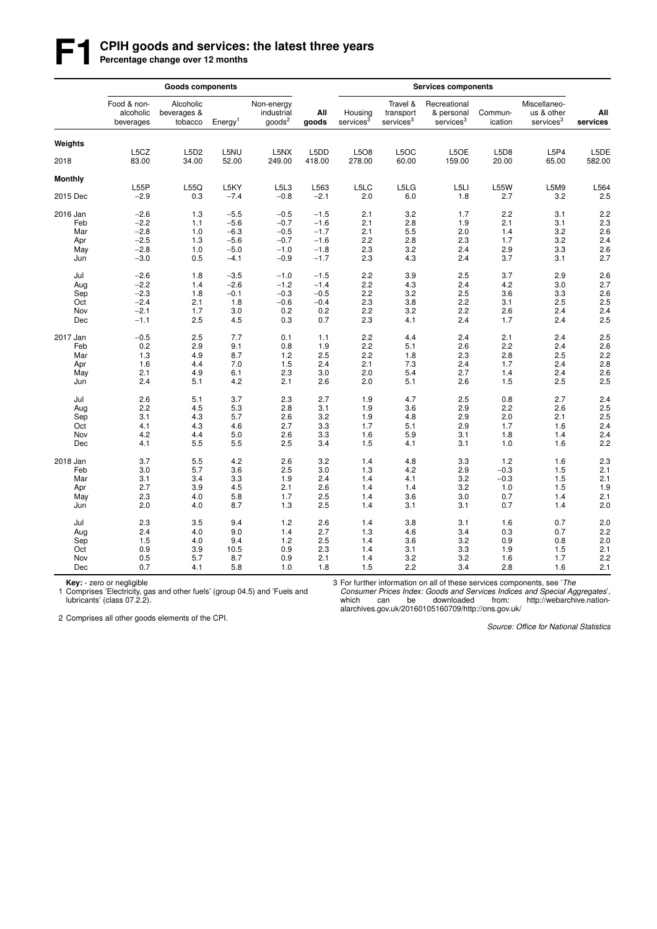# **F1 CPIH goods and services: the latest three years**<br>Percentage change over 12 months

|                |                                       | <b>Goods components</b>             |                     |                                                |                |                                  |                                                | <b>Services components</b>                          |                    |                                                     |                 |  |  |  |  |
|----------------|---------------------------------------|-------------------------------------|---------------------|------------------------------------------------|----------------|----------------------------------|------------------------------------------------|-----------------------------------------------------|--------------------|-----------------------------------------------------|-----------------|--|--|--|--|
|                | Food & non-<br>alcoholic<br>beverages | Alcoholic<br>beverages &<br>tobacco | Energy <sup>1</sup> | Non-energy<br>industrial<br>goods <sup>2</sup> | All<br>goods   | Housing<br>services <sup>3</sup> | Travel &<br>transport<br>services <sup>3</sup> | Recreational<br>& personal<br>services <sup>3</sup> | Commun-<br>ication | Miscellaneo-<br>us & other<br>services <sup>3</sup> | All<br>services |  |  |  |  |
| Weights        |                                       |                                     |                     |                                                |                |                                  |                                                |                                                     |                    |                                                     |                 |  |  |  |  |
| 2018           | L5CZ<br>83.00                         | L5D2<br>34.00                       | L5NU<br>52.00       | L5NX<br>249.00                                 | L5DD<br>418.00 | L5O8<br>278.00                   | L5OC<br>60.00                                  | L5OE<br>159.00                                      | L5D8<br>20.00      | L5P4<br>65.00                                       | L5DE<br>582.00  |  |  |  |  |
| <b>Monthly</b> |                                       |                                     |                     |                                                |                |                                  |                                                |                                                     |                    |                                                     |                 |  |  |  |  |
| 2015 Dec       | L55P<br>$-2.9$                        | L55Q<br>0.3                         | L5KY<br>$-7.4$      | L5L3<br>$-0.8$                                 | L563<br>$-2.1$ | L5LC<br>2.0                      | L5LG<br>6.0                                    | L5LI<br>1.8                                         | <b>L55W</b><br>2.7 | L5M9<br>3.2                                         | L564<br>2.5     |  |  |  |  |
| 2016 Jan       | $-2.6$                                | 1.3                                 | $-5.5$              | $-0.5$                                         | $-1.5$         | 2.1                              | 3.2                                            | 1.7                                                 | 2.2                | 3.1                                                 | 2.2             |  |  |  |  |
| Feb            | $-2.2$                                | 1.1                                 | $-5.6$              | $-0.7$                                         | $-1.6$         | 2.1                              | 2.8                                            | 1.9                                                 | 2.1                | 3.1                                                 | 2.3             |  |  |  |  |
| Mar            | $-2.8$                                | 1.0                                 | $-6.3$              | $-0.5$                                         | $-1.7$         | 2.1                              | 5.5                                            | 2.0                                                 | 1.4                | 3.2                                                 | 2.6             |  |  |  |  |
| Apr            | $-2.5$                                | 1.3                                 | $-5.6$              | $-0.7$                                         | $-1.6$         | 2.2                              | 2.8                                            | 2.3                                                 | 1.7                | 3.2                                                 | 2.4             |  |  |  |  |
| May            | $-2.8$                                | 1.0                                 | $-5.0$              | $-1.0$                                         | $-1.8$         | 2.3                              | 3.2                                            | 2.4                                                 | 2.9                | 3.3                                                 | 2.6             |  |  |  |  |
| Jun            | $-3.0$                                | 0.5                                 | $-4.1$              | $-0.9$                                         | $-1.7$         | 2.3                              | 4.3                                            | 2.4                                                 | 3.7                | 3.1                                                 | 2.7             |  |  |  |  |
| Jul            | $-2.6$                                | 1.8                                 | $-3.5$              | $-1.0$                                         | $-1.5$         | 2.2                              | 3.9                                            | 2.5                                                 | 3.7                | 2.9                                                 | 2.6             |  |  |  |  |
| Aug            | $-2.2$                                | 1.4                                 | $-2.6$              | $-1.2$                                         | $-1.4$         | 2.2                              | 4.3                                            | 2.4                                                 | 4.2                | 3.0                                                 | 2.7             |  |  |  |  |
| Sep            | $-2.3$                                | 1.8                                 | $-0.1$              | $-0.3$                                         | $-0.5$         | 2.2                              | 3.2                                            | 2.5                                                 | 3.6                | 3.3                                                 | 2.6             |  |  |  |  |
| Oct            | $-2.4$                                | 2.1                                 | 1.8                 | $-0.6$                                         | $-0.4$         | 2.3                              | 3.8                                            | 2.2                                                 | 3.1                | 2.5                                                 | 2.5             |  |  |  |  |
| Nov            | $-2.1$                                | 1.7                                 | 3.0                 | 0.2                                            | 0.2            | 2.2                              | 3.2                                            | 2.2                                                 | 2.6                | 2.4                                                 | 2.4             |  |  |  |  |
| Dec            | $-1.1$                                | 2.5                                 | 4.5                 | 0.3                                            | 0.7            | 2.3                              | 4.1                                            | 2.4                                                 | 1.7                | 2.4                                                 | 2.5             |  |  |  |  |
| 2017 Jan       | $-0.5$                                | 2.5                                 | 7.7                 | 0.1                                            | 1.1            | 2.2                              | 4.4                                            | 2.4                                                 | 2.1                | 2.4                                                 | 2.5             |  |  |  |  |
| Feb            | 0.2                                   | 2.9                                 | 9.1                 | 0.8                                            | 1.9            | 2.2                              | 5.1                                            | 2.6                                                 | 2.2                | 2.4                                                 | 2.6             |  |  |  |  |
| Mar            | 1.3                                   | 4.9                                 | 8.7                 | 1.2                                            | 2.5            | 2.2                              | 1.8                                            | 2.3                                                 | 2.8                | 2.5                                                 | 2.2             |  |  |  |  |
| Apr            | 1.6                                   | 4.4                                 | 7.0                 | 1.5                                            | 2.4            | 2.1                              | 7.3                                            | 2.4                                                 | 1.7                | 2.4                                                 | 2.8             |  |  |  |  |
| May            | 2.1                                   | 4.9                                 | 6.1                 | 2.3                                            | 3.0            | 2.0                              | 5.4                                            | 2.7                                                 | 1.4                | 2.4                                                 | 2.6             |  |  |  |  |
| Jun            | 2.4                                   | 5.1                                 | 4.2                 | 2.1                                            | 2.6            | 2.0                              | 5.1                                            | 2.6                                                 | 1.5                | 2.5                                                 | 2.5             |  |  |  |  |
| Jul            | 2.6                                   | 5.1                                 | 3.7                 | 2.3                                            | 2.7            | 1.9                              | 4.7                                            | 2.5                                                 | 0.8                | 2.7                                                 | 2.4             |  |  |  |  |
| Aug            | 2.2                                   | 4.5                                 | 5.3                 | 2.8                                            | 3.1            | 1.9                              | 3.6                                            | 2.9                                                 | 2.2                | 2.6                                                 | 2.5             |  |  |  |  |
| Sep            | 3.1                                   | 4.3                                 | 5.7                 | 2.6                                            | 3.2            | 1.9                              | 4.8                                            | 2.9                                                 | 2.0                | 2.1                                                 | 2.5             |  |  |  |  |
| Oct            | 4.1                                   | 4.3                                 | 4.6                 | 2.7                                            | 3.3            | 1.7                              | 5.1                                            | 2.9                                                 | 1.7                | 1.6                                                 | 2.4             |  |  |  |  |
| Nov            | 4.2                                   | 4.4                                 | 5.0                 | 2.6                                            | 3.3            | 1.6                              | 5.9                                            | 3.1                                                 | 1.8                | 1.4                                                 | 2.4             |  |  |  |  |
| Dec            | 4.1                                   | 5.5                                 | 5.5                 | 2.5                                            | 3.4            | 1.5                              | 4.1                                            | 3.1                                                 | 1.0                | 1.6                                                 | 2.2             |  |  |  |  |
| 2018 Jan       | 3.7                                   | 5.5                                 | 4.2                 | 2.6                                            | 3.2            | 1.4                              | 4.8                                            | 3.3                                                 | 1.2                | 1.6                                                 | 2.3             |  |  |  |  |
| Feb            | 3.0                                   | 5.7                                 | 3.6                 | 2.5                                            | 3.0            | 1.3                              | 4.2                                            | 2.9                                                 | $-0.3$             | 1.5                                                 | 2.1             |  |  |  |  |
| Mar            | 3.1                                   | 3.4                                 | 3.3                 | 1.9                                            | 2.4            | 1.4                              | 4.1                                            | 3.2                                                 | $-0.3$             | 1.5                                                 | 2.1             |  |  |  |  |
| Apr            | 2.7                                   | 3.9                                 | 4.5                 | 2.1                                            | 2.6            | 1.4                              | 1.4                                            | 3.2                                                 | 1.0                | 1.5                                                 | 1.9             |  |  |  |  |
| May            | 2.3                                   | 4.0                                 | 5.8                 | 1.7                                            | 2.5            | 1.4                              | 3.6                                            | 3.0                                                 | 0.7                | 1.4                                                 | 2.1             |  |  |  |  |
| Jun            | 2.0                                   | 4.0                                 | 8.7                 | 1.3                                            | 2.5            | 1.4                              | 3.1                                            | 3.1                                                 | 0.7                | 1.4                                                 | 2.0             |  |  |  |  |
| Jul            | 2.3                                   | 3.5                                 | 9.4                 | 1.2                                            | 2.6            | 1.4                              | 3.8                                            | 3.1                                                 | 1.6                | 0.7                                                 | 2.0             |  |  |  |  |
| Aug            | 2.4                                   | 4.0                                 | 9.0                 | 1.4                                            | 2.7            | 1.3                              | 4.6                                            | 3.4                                                 | 0.3                | 0.7                                                 | 2.2             |  |  |  |  |
| Sep            | 1.5                                   | 4.0                                 | 9.4                 | 1.2                                            | 2.5            | 1.4                              | 3.6                                            | 3.2                                                 | 0.9                | 0.8                                                 | 2.0             |  |  |  |  |
| Oct            | 0.9                                   | 3.9                                 | 10.5                | 0.9                                            | 2.3            | 1.4                              | 3.1                                            | 3.3                                                 | 1.9                | 1.5                                                 | 2.1             |  |  |  |  |
| Nov            | 0.5                                   | 5.7                                 | 8.7                 | 0.9                                            | 2.1            | 1.4                              | 3.2                                            | 3.2                                                 | 1.6                | 1.7                                                 | 2.2             |  |  |  |  |
| Dec            | 0.7                                   | 4.1                                 | 5.8                 | 1.0                                            | 1.8            | 1.5                              | 2.2                                            | 3.4                                                 | 2.8                | 1.6                                                 | 2.1             |  |  |  |  |

**Key:** - zero or negligible<br>1 Comprises 'Electricity, gas and other fuels' (group 04.5) and 'Fuels and lubricants' (class 07.2.2).

3 For further information on all of these services components, see 'The

*Consumer Prices Index: Goods and Services Indices and Special Aggregates*', which can be downloaded from: http://webarchive.nationalarchives.gov.uk/20160105160709/http://ons.gov.uk/

2 Comprises all other goods elements of the CPI.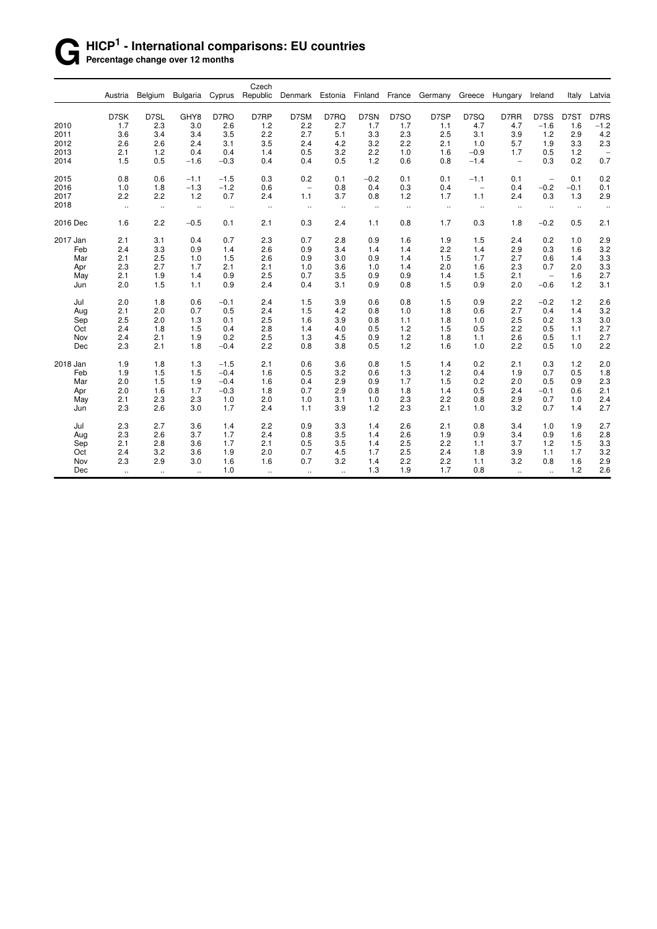### **G HICP<sup>1</sup> - International comparisons: EU countries Percentage change over 12 months**

|          |           |                      |                      |          | Czech     |                          |                      |           |                      |                      |                          |                          |                             |         |                          |
|----------|-----------|----------------------|----------------------|----------|-----------|--------------------------|----------------------|-----------|----------------------|----------------------|--------------------------|--------------------------|-----------------------------|---------|--------------------------|
|          | Austria   | Belgium              | <b>Bulgaria</b>      | Cyprus   | Republic  | Denmark Estonia Finland  |                      |           | France               | Germany              | Greece                   | Hungary                  | Ireland                     | Italy   | Latvia                   |
|          | D7SK      | D7SL                 | GHY8                 | D7RO     | D7RP      | D7SM                     | D7RQ                 | D7SN      | D7SO                 | D7SP                 | D7SQ                     | D7RR                     | D7SS                        | D7ST    | D7RS                     |
| 2010     | 1.7       | 2.3                  | 3.0                  | 2.6      | 1.2       | 2.2                      | 2.7                  | 1.7       | 1.7                  | 1.1                  | 4.7                      | 4.7                      | $-1.6$                      | 1.6     | $-1.2$                   |
| 2011     | 3.6       | 3.4                  | 3.4                  | 3.5      | 2.2       | 2.7                      | 5.1                  | 3.3       | 2.3                  | 2.5                  | 3.1                      | 3.9                      | 1.2                         | 2.9     | 4.2                      |
| 2012     | 2.6       | 2.6                  | 2.4                  | 3.1      | 3.5       | 2.4                      | 4.2                  | 3.2       | 2.2                  | 2.1                  | 1.0                      | 5.7                      | 1.9                         | 3.3     | 2.3                      |
| 2013     | 2.1       | 1.2                  | 0.4                  | 0.4      | 1.4       | 0.5                      | 3.2                  | 2.2       | 1.0                  | 1.6                  | $-0.9$                   | 1.7                      | 0.5                         | $1.2$   | $\overline{\phantom{0}}$ |
| 2014     | 1.5       | 0.5                  | $-1.6$               | $-0.3$   | 0.4       | 0.4                      | 0.5                  | 1.2       | 0.6                  | 0.8                  | $-1.4$                   | $\overline{\phantom{a}}$ | 0.3                         | 0.2     | 0.7                      |
| 2015     | 0.8       | 0.6                  | $-1.1$               | $-1.5$   | 0.3       | 0.2                      | 0.1                  | $-0.2$    | 0.1                  | 0.1                  | $-1.1$                   | 0.1                      | $\overline{\phantom{a}}$    | 0.1     | 0.2                      |
| 2016     | 1.0       | 1.8                  | $-1.3$               | $-1.2$   | 0.6       | $\overline{\phantom{a}}$ | 0.8                  | 0.4       | 0.3                  | 0.4                  | $\overline{\phantom{a}}$ | 0.4                      | $-0.2$                      | $-0.1$  | 0.1                      |
| 2017     | 2.2       | 2.2                  | 1.2                  | 0.7      | 2.4       | 1.1                      | 3.7                  | 0.8       | 1.2                  | 1.7                  | 1.1                      | 2.4                      | 0.3                         | 1.3     | 2.9                      |
| 2018     | $\ldots$  | $\ddotsc$            | $\ddot{\phantom{1}}$ | $\ldots$ | $\ddotsc$ | $\cdot\cdot$             | $\ddot{\phantom{1}}$ | $\cdot$ . | $\ddot{\phantom{1}}$ | $\ddot{\phantom{1}}$ | $\ddotsc$                | $\ldots$                 | $\ddotsc$                   | $\cdot$ | $\ddotsc$                |
| 2016 Dec | 1.6       | 2.2                  | $-0.5$               | 0.1      | 2.1       | 0.3                      | 2.4                  | 1.1       | 0.8                  | 1.7                  | 0.3                      | 1.8                      | $-0.2$                      | 0.5     | 2.1                      |
| 2017 Jan | 2.1       | 3.1                  | 0.4                  | 0.7      | 2.3       | 0.7                      | 2.8                  | 0.9       | 1.6                  | 1.9                  | 1.5                      | 2.4                      | 0.2                         | 1.0     | 2.9                      |
| Feb      | 2.4       | 3.3                  | 0.9                  | 1.4      | 2.6       | 0.9                      | 3.4                  | 1.4       | 1.4                  | 2.2                  | 1.4                      | 2.9                      | 0.3                         | 1.6     | 3.2                      |
| Mar      | 2.1       | 2.5                  | 1.0                  | 1.5      | 2.6       | 0.9                      | 3.0                  | 0.9       | 1.4                  | 1.5                  | 1.7                      | 2.7                      | 0.6                         | 1.4     | 3.3                      |
| Apr      | 2.3       | 2.7                  | 1.7                  | 2.1      | 2.1       | 1.0                      | 3.6                  | 1.0       | 1.4                  | 2.0                  | 1.6                      | 2.3                      | 0.7                         | 2.0     | 3.3                      |
| May      | 2.1       | 1.9                  | 1.4                  | 0.9      | 2.5       | 0.7                      | 3.5                  | 0.9       | 0.9                  | 1.4                  | 1.5                      | 2.1                      | $\overline{\phantom{a}}$    | 1.6     | 2.7                      |
| Jun      | 2.0       | 1.5                  | 1.1                  | 0.9      | 2.4       | 0.4                      | 3.1                  | 0.9       | 0.8                  | 1.5                  | 0.9                      | 2.0                      | $-0.6$                      | 1.2     | 3.1                      |
| Jul      | 2.0       | 1.8                  | 0.6                  | $-0.1$   | 2.4       | 1.5                      | 3.9                  | 0.6       | 0.8                  | 1.5                  | 0.9                      | 2.2                      | $-0.2$                      | 1.2     | 2.6                      |
| Aug      | 2.1       | 2.0                  | 0.7                  | 0.5      | 2.4       | 1.5                      | 4.2                  | 0.8       | 1.0                  | 1.8                  | 0.6                      | 2.7                      | 0.4                         | 1.4     | 3.2                      |
| Sep      | 2.5       | 2.0                  | 1.3                  | 0.1      | 2.5       | 1.6                      | 3.9                  | 0.8       | 1.1                  | 1.8                  | 1.0                      | 2.5                      | 0.2                         | 1.3     | 3.0                      |
| Oct      | 2.4       | 1.8                  | 1.5                  | 0.4      | 2.8       | 1.4                      | 4.0                  | 0.5       | 1.2                  | 1.5                  | 0.5                      | 2.2                      | 0.5                         | 1.1     | 2.7                      |
| Nov      | 2.4       | 2.1                  | 1.9                  | 0.2      | 2.5       | 1.3                      | 4.5                  | 0.9       | 1.2                  | 1.8                  | 1.1                      | 2.6                      | 0.5                         | 1.1     | 2.7                      |
| Dec      | 2.3       | 2.1                  | 1.8                  | $-0.4$   | 2.2       | 0.8                      | 3.8                  | 0.5       | 1.2                  | 1.6                  | 1.0                      | 2.2                      | 0.5                         | 1.0     | 2.2                      |
| 2018 Jan | 1.9       | 1.8                  | 1.3                  | $-1.5$   | 2.1       | 0.6                      | 3.6                  | 0.8       | 1.5                  | 1.4                  | 0.2                      | 2.1                      | 0.3                         | 1.2     | 2.0                      |
| Feb      | 1.9       | 1.5                  | 1.5                  | $-0.4$   | 1.6       | 0.5                      | 3.2                  | 0.6       | 1.3                  | 1.2                  | 0.4                      | 1.9                      | 0.7                         | 0.5     | 1.8                      |
| Mar      | 2.0       | 1.5                  | 1.9                  | $-0.4$   | 1.6       | 0.4                      | 2.9                  | 0.9       | 1.7                  | 1.5                  | 0.2                      | 2.0                      | 0.5                         | 0.9     | 2.3                      |
| Apr      | 2.0       | 1.6                  | 1.7                  | $-0.3$   | 1.8       | 0.7                      | 2.9                  | 0.8       | 1.8                  | 1.4                  | 0.5                      | 2.4                      | $-0.1$                      | 0.6     | 2.1                      |
| May      | 2.1       | 2.3                  | 2.3                  | 1.0      | 2.0       | 1.0                      | 3.1                  | 1.0       | 2.3                  | 2.2                  | 0.8                      | 2.9                      | 0.7                         | 1.0     | 2.4                      |
| Jun      | 2.3       | 2.6                  | 3.0                  | 1.7      | 2.4       | 1.1                      | 3.9                  | 1.2       | 2.3                  | 2.1                  | 1.0                      | 3.2                      | 0.7                         | 1.4     | 2.7                      |
| Jul      | 2.3       | 2.7                  | 3.6                  | 1.4      | 2.2       | 0.9                      | 3.3                  | 1.4       | 2.6                  | 2.1                  | 0.8                      | 3.4                      | 1.0                         | 1.9     | 2.7                      |
| Aug      | 2.3       | 2.6                  | 3.7                  | 1.7      | 2.4       | 0.8                      | 3.5                  | 1.4       | 2.6                  | 1.9                  | 0.9                      | 3.4                      | 0.9                         | 1.6     | 2.8                      |
| Sep      | 2.1       | 2.8                  | 3.6                  | 1.7      | 2.1       | 0.5                      | 3.5                  | 1.4       | 2.5                  | 2.2                  | 1.1                      | 3.7                      | 1.2                         | 1.5     | 3.3                      |
| Oct      | 2.4       | 3.2                  | 3.6                  | 1.9      | 2.0       | 0.7                      | 4.5                  | 1.7       | 2.5                  | 2.4                  | 1.8                      | 3.9                      | 1.1                         | 1.7     | 3.2                      |
| Nov      | 2.3       | 2.9                  | 3.0                  | 1.6      | 1.6       | 0.7                      | 3.2                  | 1.4       | 2.2                  | 2.2                  | 1.1                      | 3.2                      | 0.8                         | 1.6     | 2.9                      |
| Dec      | $\ddotsc$ | $\ddot{\phantom{1}}$ | $\mathbf{r}$         | 1.0      | $\sim$    | $\ddotsc$                | $\ddotsc$            | 1.3       | 1.9                  | 1.7                  | 0.8                      | $\mathbf{u}$             | $\mathcal{L}_{\mathcal{A}}$ | 1.2     | 2.6                      |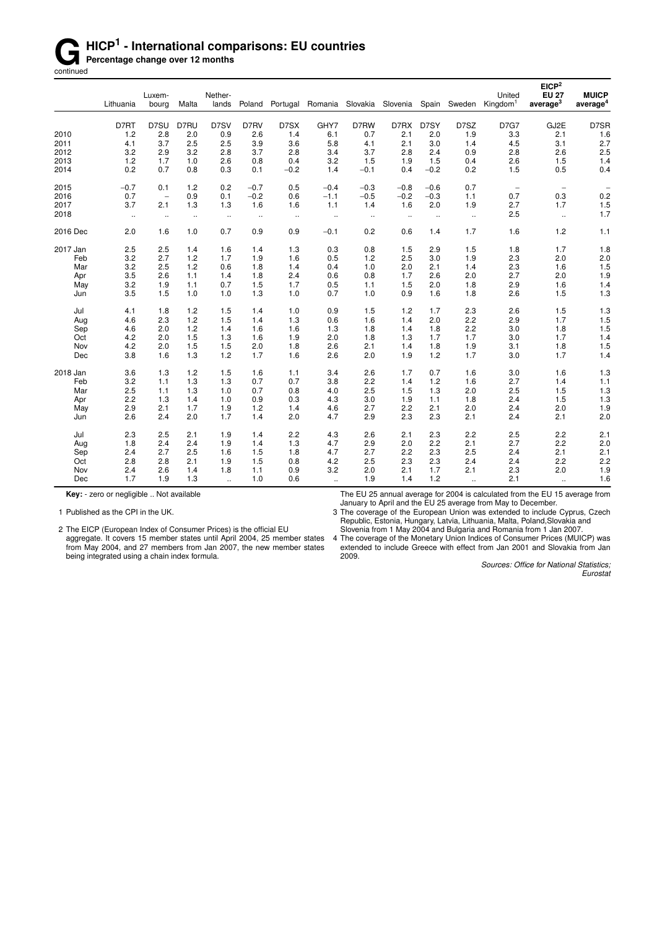# **G** HICP<sup>1</sup> - International comparisons: EU countries<br> **Gontinued**<br> **Gontinued**

**Percentage change over 12 months** 

continued

|          |           | Luxem-               |                      | Nether-              |                      |          |                                    |           |                      |        |              | United                   | EICP <sup>2</sup><br><b>EU 27</b> | <b>MUICP</b>         |
|----------|-----------|----------------------|----------------------|----------------------|----------------------|----------|------------------------------------|-----------|----------------------|--------|--------------|--------------------------|-----------------------------------|----------------------|
|          | Lithuania | bourg                | Malta                | lands                | Poland               |          | Portugal Romania Slovakia Slovenia |           |                      |        | Spain Sweden | Kingdom <sup>1</sup>     | average <sup>3</sup>              | average <sup>4</sup> |
|          | D7RT      | D7SU                 | D7RU                 | D7SV                 | D7RV                 | D7SX     | GHY7                               | D7RW      | D7RX                 | D7SY   | D7SZ         | <b>D7G7</b>              | GJ2E                              | D7SR                 |
| 2010     | 1.2       | 2.8                  | 2.0                  | 0.9                  | 2.6                  | 1.4      | 6.1                                | 0.7       | 2.1                  | 2.0    | 1.9          | 3.3                      | 2.1                               | 1.6                  |
| 2011     | 4.1       | 3.7                  | 2.5                  | 2.5                  | 3.9                  | 3.6      | 5.8                                | 4.1       | 2.1                  | 3.0    | 1.4          | 4.5                      | 3.1                               | 2.7                  |
| 2012     | 3.2       | 2.9                  | 3.2                  | 2.8                  | 3.7                  | 2.8      | 3.4                                | 3.7       | 2.8                  | 2.4    | 0.9          | 2.8                      | 2.6                               | 2.5                  |
| 2013     | 1.2       | 1.7                  | 1.0                  | 2.6                  | 0.8                  | 0.4      | 3.2                                | 1.5       | 1.9                  | 1.5    | 0.4          | 2.6                      | 1.5                               | 1.4                  |
| 2014     | 0.2       | 0.7                  | 0.8                  | 0.3                  | 0.1                  | $-0.2$   | 1.4                                | $-0.1$    | 0.4                  | $-0.2$ | 0.2          | 1.5                      | 0.5                               | 0.4                  |
| 2015     | $-0.7$    | 0.1                  | 1.2                  | 0.2                  | $-0.7$               | 0.5      | $-0.4$                             | $-0.3$    | $-0.8$               | $-0.6$ | 0.7          | $\overline{\phantom{a}}$ | $\overline{\phantom{a}}$          |                      |
| 2016     | 0.7       | $\qquad \qquad -$    | 0.9                  | 0.1                  | $-0.2$               | 0.6      | $-1.1$                             | $-0.5$    | $-0.2$               | $-0.3$ | 1.1          | 0.7                      | 0.3                               | 0.2                  |
| 2017     | 3.7       | 2.1                  | 1.3                  | 1.3                  | 1.6                  | 1.6      | 1.1                                | 1.4       | 1.6                  | 2.0    | 1.9          | 2.7                      | 1.7                               | 1.5                  |
| 2018     | $\ddotsc$ | $\ddot{\phantom{1}}$ | $\ddot{\phantom{a}}$ | $\ddotsc$            | $\ddot{\phantom{1}}$ | $\ldots$ | $\ddot{\phantom{a}}$               | $\ddotsc$ | $\ddot{\phantom{1}}$ | $\sim$ | $\sim$       | 2.5                      | $\mathbf{r}$                      | 1.7                  |
| 2016 Dec | 2.0       | 1.6                  | 1.0                  | 0.7                  | 0.9                  | 0.9      | $-0.1$                             | 0.2       | 0.6                  | 1.4    | 1.7          | 1.6                      | 1.2                               | 1.1                  |
| 2017 Jan | 2.5       | 2.5                  | 1.4                  | 1.6                  | 1.4                  | 1.3      | 0.3                                | 0.8       | 1.5                  | 2.9    | 1.5          | 1.8                      | 1.7                               | 1.8                  |
| Feb      | 3.2       | 2.7                  | 1.2                  | 1.7                  | 1.9                  | 1.6      | 0.5                                | 1.2       | 2.5                  | 3.0    | 1.9          | 2.3                      | 2.0                               | 2.0                  |
| Mar      | 3.2       | 2.5                  | 1.2                  | 0.6                  | 1.8                  | 1.4      | 0.4                                | 1.0       | 2.0                  | 2.1    | 1.4          | 2.3                      | 1.6                               | 1.5                  |
| Apr      | 3.5       | 2.6                  | 1.1                  | 1.4                  | 1.8                  | 2.4      | 0.6                                | 0.8       | 1.7                  | 2.6    | 2.0          | 2.7                      | 2.0                               | 1.9                  |
| May      | 3.2       | 1.9                  | 1.1                  | 0.7                  | 1.5                  | 1.7      | 0.5                                | 1.1       | 1.5                  | 2.0    | 1.8          | 2.9                      | 1.6                               | 1.4                  |
| Jun      | 3.5       | 1.5                  | 1.0                  | 1.0                  | 1.3                  | 1.0      | 0.7                                | 1.0       | 0.9                  | 1.6    | 1.8          | 2.6                      | 1.5                               | 1.3                  |
| Jul      | 4.1       | 1.8                  | 1.2                  | 1.5                  | 1.4                  | 1.0      | 0.9                                | 1.5       | 1.2                  | 1.7    | 2.3          | 2.6                      | 1.5                               | 1.3                  |
| Aug      | 4.6       | 2.3                  | 1.2                  | 1.5                  | 1.4                  | 1.3      | 0.6                                | 1.6       | 1.4                  | 2.0    | 2.2          | 2.9                      | 1.7                               | 1.5                  |
| Sep      | 4.6       | 2.0                  | 1.2                  | 1.4                  | 1.6                  | 1.6      | 1.3                                | 1.8       | 1.4                  | 1.8    | 2.2          | 3.0                      | 1.8                               | 1.5                  |
| Oct      | 4.2       | 2.0                  | 1.5                  | 1.3                  | 1.6                  | 1.9      | 2.0                                | 1.8       | 1.3                  | 1.7    | 1.7          | 3.0                      | 1.7                               | 1.4                  |
| Nov      | 4.2       | 2.0                  | 1.5                  | 1.5                  | 2.0                  | 1.8      | 2.6                                | 2.1       | 1.4                  | 1.8    | 1.9          | 3.1                      | 1.8                               | 1.5                  |
| Dec      | 3.8       | 1.6                  | 1.3                  | 1.2                  | 1.7                  | 1.6      | 2.6                                | 2.0       | 1.9                  | 1.2    | 1.7          | 3.0                      | 1.7                               | 1.4                  |
| 2018 Jan | 3.6       | 1.3                  | 1.2                  | 1.5                  | 1.6                  | 1.1      | 3.4                                | 2.6       | 1.7                  | 0.7    | 1.6          | 3.0                      | 1.6                               | 1.3                  |
| Feb      | 3.2       | 1.1                  | 1.3                  | 1.3                  | 0.7                  | 0.7      | 3.8                                | 2.2       | 1.4                  | 1.2    | 1.6          | 2.7                      | 1.4                               | 1.1                  |
| Mar      | 2.5       | 1.1                  | 1.3                  | 1.0                  | 0.7                  | 0.8      | 4.0                                | 2.5       | 1.5                  | 1.3    | 2.0          | 2.5                      | 1.5                               | 1.3                  |
| Apr      | 2.2       | 1.3                  | 1.4                  | 1.0                  | 0.9                  | 0.3      | 4.3                                | 3.0       | 1.9                  | 1.1    | 1.8          | 2.4                      | 1.5                               | 1.3                  |
| May      | 2.9       | 2.1                  | 1.7                  | 1.9                  | 1.2                  | 1.4      | 4.6                                | 2.7       | 2.2                  | 2.1    | 2.0          | 2.4                      | 2.0                               | 1.9                  |
| Jun      | 2.6       | 2.4                  | 2.0                  | 1.7                  | 1.4                  | 2.0      | 4.7                                | 2.9       | 2.3                  | 2.3    | 2.1          | 2.4                      | 2.1                               | 2.0                  |
| Jul      | 2.3       | 2.5                  | 2.1                  | 1.9                  | 1.4                  | 2.2      | 4.3                                | 2.6       | 2.1                  | 2.3    | 2.2          | 2.5                      | 2.2                               | 2.1                  |
| Aug      | 1.8       | 2.4                  | 2.4                  | 1.9                  | 1.4                  | 1.3      | 4.7                                | 2.9       | 2.0                  | 2.2    | 2.1          | 2.7                      | 2.2                               | 2.0                  |
| Sep      | 2.4       | 2.7                  | 2.5                  | 1.6                  | 1.5                  | 1.8      | 4.7                                | 2.7       | 2.2                  | 2.3    | 2.5          | 2.4                      | 2.1                               | 2.1                  |
| Oct      | 2.8       | 2.8                  | 2.1                  | 1.9                  | 1.5                  | 0.8      | 4.2                                | 2.5       | 2.3                  | 2.3    | 2.4          | 2.4                      | 2.2                               | 2.2                  |
| Nov      | 2.4       | 2.6                  | 1.4                  | 1.8                  | 1.1                  | 0.9      | 3.2                                | 2.0       | 2.1                  | 1.7    | 2.1          | 2.3                      | 2.0                               | 1.9                  |
| Dec      | 1.7       | 1.9                  | 1.3                  | $\ddot{\phantom{a}}$ | 1.0                  | 0.6      | $\mathbf{r}$                       | 1.9       | 1.4                  | 1.2    | $\mathbf{a}$ | 2.1                      | $\mathbf{r}$                      | 1.6                  |

**Key:** - zero or negligible .. Not available

1 Published as the CPI in the UK.

2 The EICP (European Index of Consumer Prices) is the official EU

aggregate. It covers 15 member states until April 2004, 25 member states from May 2004, and 27 members from Jan 2007, the new member states being integrated using a chain index formula.

The EU 25 annual average for 2004 is calculated from the EU 15 average from January to April and the EU 25 average from May to December.

3 The coverage of the European Union was extended to include Cyprus, Czech Republic, Estonia, Hungary, Latvia, Lithuania, Malta, Poland,Slovakia and

Slovenia from 1 May 2004 and Bulgaria and Romania from 1 Jan 2007. 4 The coverage of the Monetary Union Indices of Consumer Prices (MUICP) was

extended to include Greece with effect from Jan 2001 and Slovakia from Jan 2009.

*Sources: Office for National Statistics; Eurostat*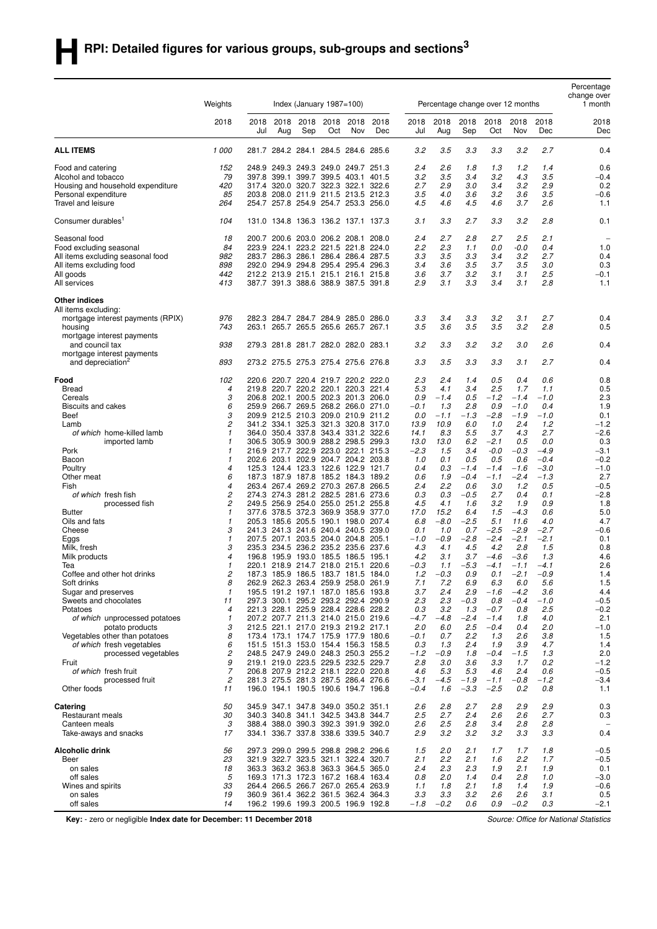|                                                             |                   |             |                               |                               |             |                                                                            |             |                  |               |                                  |                  |                |               | Percentage<br>change over |
|-------------------------------------------------------------|-------------------|-------------|-------------------------------|-------------------------------|-------------|----------------------------------------------------------------------------|-------------|------------------|---------------|----------------------------------|------------------|----------------|---------------|---------------------------|
|                                                             | Weights           |             |                               | Index (January $1987 = 100$ ) |             |                                                                            |             |                  |               | Percentage change over 12 months |                  |                |               | 1 month                   |
|                                                             | 2018              | 2018<br>Jul | 2018<br>Aug                   | 2018<br>Sep                   | 2018<br>Oct | 2018<br>Nov                                                                | 2018<br>Dec | 2018<br>Jul      | 2018<br>Aug   | 2018<br>Sep                      | 2018<br>Oct      | 2018<br>Nov    | 2018<br>Dec   | 2018<br>Dec               |
| <b>ALL ITEMS</b>                                            | 1 000             | 281.7       |                               |                               |             | 284.2 284.1 284.5 284.6 285.6                                              |             | 3.2              | 3.5           | 3.3                              | 3.3              | 3.2            | 2.7           | 0.4                       |
| Food and catering                                           | 152               |             |                               |                               |             | 248.9 249.3 249.3 249.0 249.7 251.3                                        |             | 2.4              | 2.6           | 1.8                              | 1.3              | 1.2            | 1.4           | 0.6                       |
| Alcohol and tobacco                                         | 79                |             |                               |                               |             | 397.8 399.1 399.7 399.5 403.1 401.5                                        |             | 3.2              | 3.5           | 3.4                              | 3.2              | 4.3            | 3.5           | $-0.4$                    |
| Housing and household expenditure                           | 420               |             |                               |                               |             | 317.4 320.0 320.7 322.3 322.1 322.6                                        |             | 2.7              | 2.9           | 3.0                              | 3.4              | 3.2            | 2.9           | 0.2                       |
| Personal expenditure<br>Travel and leisure                  | 85<br>264         |             |                               |                               |             | 203.8 208.0 211.9 211.5 213.5 212.3<br>254.7 257.8 254.9 254.7 253.3 256.0 |             | 3.5<br>4.5       | 4.0<br>4.6    | 3.6<br>4.5                       | 3.2<br>4.6       | 3.6<br>3.7     | 3.5<br>2.6    | $-0.6$<br>1.1             |
| Consumer durables <sup>1</sup>                              | 104               |             |                               |                               |             | 131.0 134.8 136.3 136.2 137.1 137.3                                        |             | 3.1              | 3.3           | 2.7                              | 3.3              | 3.2            | 2.8           | 0.1                       |
| Seasonal food                                               | 18                |             |                               |                               |             | 200.7 200.6 203.0 206.2 208.1 208.0                                        |             | 2.4              | 2.7           | 2.8                              | 2.7              | 2.5            | 2.1           |                           |
| Food excluding seasonal                                     | 84                |             |                               |                               |             | 223.9 224.1 223.2 221.5 221.8 224.0                                        |             | 2.2              | 2.3           | 1.1                              | 0.0              | $-0.0$         | 0.4           | 1.0                       |
| All items excluding seasonal food                           | 982               |             |                               |                               |             | 283.7 286.3 286.1 286.4 286.4 287.5                                        |             | 3.3              | 3.5           | 3.3                              | 3.4              | 3.2            | 2.7           | 0.4                       |
| All items excluding food                                    | 898               |             |                               |                               |             | 292.0 294.9 294.8 295.4 295.4 296.3                                        |             | 3.4              | 3.6           | 3.5                              | 3.7              | 3.5            | 3.0           | 0.3                       |
| All goods<br>All services                                   | 442<br>413        |             |                               |                               |             | 212.2 213.9 215.1 215.1 216.1 215.8<br>387.7 391.3 388.6 388.9 387.5 391.8 |             | 3.6<br>2.9       | 3.7<br>3.1    | 3.2<br>3.3                       | 3.1<br>3.4       | 3.1<br>3.1     | 2.5<br>2.8    | $-0.1$<br>1.1             |
|                                                             |                   |             |                               |                               |             |                                                                            |             |                  |               |                                  |                  |                |               |                           |
| Other indices<br>All items excluding:                       |                   |             |                               |                               |             |                                                                            |             |                  |               |                                  |                  |                |               |                           |
| mortgage interest payments (RPIX)                           | 976               |             |                               |                               |             | 282.3 284.7 284.7 284.9 285.0 286.0                                        |             | 3.3              | 3.4           | 3.3                              | 3.2              | 3.1            | 2.7           | 0.4                       |
| housing                                                     | 743               |             |                               |                               |             | 263.1 265.7 265.5 265.6 265.7 267.1                                        |             | 3.5              | 3.6           | 3.5                              | 3.5              | 3.2            | 2.8           | 0.5                       |
| mortgage interest payments<br>and council tax               | 938               |             |                               |                               |             | 279.3 281.8 281.7 282.0 282.0 283.1                                        |             | 3.2              | 3.3           | 3.2                              | 3.2              | 3.0            | 2.6           | 0.4                       |
| mortgage interest payments<br>and depreciation <sup>2</sup> | 893               |             |                               |                               |             | 273.2 275.5 275.3 275.4 275.6 276.8                                        |             | 3.3              | 3.5           | 3.3                              | 3.3              | 3.1            | 2.7           | 0.4                       |
| Food                                                        | 102               |             |                               |                               |             | 220.6 220.7 220.4 219.7 220.2 222.0                                        |             | 2.3              | 2.4           | 1.4                              | 0.5              | 0.4            | 0.6           | 0.8                       |
| <b>Bread</b>                                                | 4                 |             |                               |                               |             | 219.8 220.7 220.2 220.1 220.3 221.4                                        |             | 5.3              | 4.1           | 3.4                              | 2.5              | 1.7            | 1.1           | 0.5                       |
| Cereals                                                     | 3                 |             |                               |                               |             | 206.8 202.1 200.5 202.3 201.3 206.0                                        |             | 0.9              | $-1.4$        | 0.5                              | $-1.2$           | $-1.4$         | -1.0          | 2.3                       |
| <b>Biscuits and cakes</b>                                   | 6                 |             |                               |                               |             | 259.9 266.7 269.5 268.2 266.0 271.0                                        |             | -0.1             | 1.3           | 2.8                              | 0.9              | $-1.0$         | 0.4           | 1.9                       |
| Beef                                                        | 3                 |             |                               |                               |             | 209.9 212.5 210.3 209.0 210.9 211.2                                        |             | 0.0              | $-1.1$        | $-1.3$                           | $-2.8$           | $-1.9$         | $-1.0$        | 0.1                       |
| Lamb                                                        | 2<br>$\mathbf{1}$ |             |                               |                               |             | 341.2 334.1 325.3 321.3 320.8 317.0<br>364.0 350.4 337.8 343.4 331.2 322.6 |             | 13.9<br>14.1     | 10.9<br>8.3   | 6.0<br>5.5                       | 1.0<br>3.7       | 2.4<br>4.3     | 1.2<br>2.7    | $-1.2$                    |
| of which home-killed lamb<br>imported lamb                  | $\mathbf{1}$      |             |                               |                               |             | 306.5 305.9 300.9 288.2 298.5 299.3                                        |             | 13.0             | 13.0          | 6.2                              | $-2.1$           | 0.5            | 0.0           | $-2.6$<br>0.3             |
| Pork                                                        | $\mathbf{1}$      |             |                               |                               |             | 216.9 217.7 222.9 223.0 222.1 215.3                                        |             | $-2.3$           | 1.5           | 3.4                              | $-0.0$           | $-0.3$         | $-4.9$        | $-3.1$                    |
| Bacon                                                       | $\mathbf{1}$      |             |                               |                               |             | 202.6 203.1 202.9 204.7 204.2 203.8                                        |             | 1.0              | 0.1           | 0.5                              | 0.5              | 0.6            | $-0.4$        | $-0.2$                    |
| Poultry                                                     | $\overline{4}$    |             |                               |                               |             | 125.3 124.4 123.3 122.6 122.9 121.7                                        |             | 0.4              | 0.3           | $-1.4$                           | $-1.4$           | $-1.6$         | $-3.0$        | $-1.0$                    |
| Other meat                                                  | 6                 |             |                               |                               |             | 187.3 187.9 187.8 185.2 184.3 189.2                                        |             | 0.6              | 1.9           | $-0.4$                           | $-1.1$           | $-2.4$         | $-1.3$        | 2.7                       |
| Fish                                                        | 4                 |             |                               |                               |             | 263.4 267.4 269.2 270.3 267.8 266.5                                        |             | 2.4              | 2.2           | 0.6                              | 3.0              | 1.2            | 0.5           | $-0.5$                    |
| of which fresh fish                                         | 2                 |             |                               |                               |             | 274.3 274.3 281.2 282.5 281.6                                              | 273.6       | 0.3              | 0.3           | $-0.5$                           | 2.7              | 0.4            | 0.1           | $-2.8$                    |
| processed fish                                              | 2                 |             |                               |                               |             | 249.5 256.9 254.0 255.0 251.2 255.8                                        |             | 4.5              | 4.1           | 1.6                              | 3.2              | 1.9            | 0.9           | 1.8                       |
| <b>Butter</b>                                               | 1                 |             |                               |                               |             | 377.6 378.5 372.3 369.9 358.9 377.0                                        |             | 17.0             | 15.2          | 6.4                              | 1.5              | $-4.3$         | 0.6           | 5.0                       |
| Oils and fats<br>Cheese                                     | $\mathbf{1}$<br>3 |             | 205.3 185.6 205.5 190.1 198.0 |                               |             | 241.3 241.3 241.6 240.4 240.5 239.0                                        | 207.4       | 6.8<br>0.1       | $-8.0$<br>1.0 | $-2.5$<br>0.7                    | 5.1<br>$-2.5$    | 11.6<br>$-2.9$ | 4.0<br>$-2.7$ | 4.7<br>$-0.6$             |
| Eggs                                                        | 1                 |             |                               |                               |             | 207.5 207.1 203.5 204.0 204.8 205.1                                        |             | $-1.0$           | $-0.9$        | $-2.8$                           | $-2.4$           | $-2.1$         | $-2.1$        | 0.1                       |
| Milk, fresh                                                 | 3                 |             | 235.3 234.5 236.2 235.2 235.6 |                               |             |                                                                            | 237.6       | 4.3              | 4.1           | 4.5                              | 4.2              | 2.8            | 1.5           | 0.8                       |
| Milk products                                               | 4                 |             |                               |                               |             | 196.8 195.9 193.0 185.5 186.5 195.1                                        |             | 4.2              | 3.1           | 3.7                              | $-4.6$           | $-3.6$         | 1.3           | 4.6                       |
| Tea                                                         | $\mathbf{1}$      |             |                               |                               |             | 220.1 218.9 214.7 218.0 215.1 220.6                                        |             | $-0.3$           | 1.1           | $-5.3$                           | $-4.1$           | $-1.1$         | $-4.1$        | 2.6                       |
| Coffee and other hot drinks                                 | 2                 |             |                               |                               |             | 187.3 185.9 186.5 183.7 181.5 184.0                                        |             | 1.2              | -0.3          | 0.9                              | 0.1              | 2.1            | -0.9          | 1.4                       |
| Soft drinks                                                 | 8                 |             |                               |                               |             | 262.9 262.3 263.4 259.9 258.0 261.9                                        |             | 7.1              | 7.2           | 6.9                              | 6.3              | 6.0            | 5.6           | 1.5                       |
| Sugar and preserves                                         | 1                 |             |                               |                               |             | 195.5 191.2 197.1 187.0 185.6 193.8                                        |             | 3.7              | 2.4           | 2.9                              | $-1.6$           | $-4.2$         | 3.6           | 4.4                       |
| Sweets and chocolates<br>Potatoes                           | 11<br>4           |             |                               |                               |             | 297.3 300.1 295.2 293.2 292.4 290.9<br>221.3 228.1 225.9 228.4 228.6 228.2 |             | 2.3<br>0.3       | 2.3<br>3.2    | $-0.3$<br>1.3                    | 0.8<br>$-0.7$    | $-0.4$<br>0.8  | -1.0<br>2.5   | $-0.5$<br>$-0.2$          |
| of which unprocessed potatoes                               | 1                 |             |                               |                               |             | 207.2 207.7 211.3 214.0 215.0 219.6                                        |             | $-4.7$           | $-4.8$        | $-2.4$                           | $-1.4$           | 1.8            | 4.0           | 2.1                       |
| potato products                                             | 3                 |             |                               |                               |             | 212.5 221.1 217.0 219.3 219.2 217.1                                        |             | 2.0              | 6.0           | 2.5                              | $-0.4$           | 0.4            | 2.0           | $-1.0$                    |
| Vegetables other than potatoes                              | 8                 |             |                               |                               |             | 173.4 173.1 174.7 175.9 177.9 180.6                                        |             | -0.1             | 0.7           | 2.2                              | 1.3              | 2.6            | 3.8           | 1.5                       |
| of which fresh vegetables                                   | 6                 |             |                               |                               |             | 151.5 151.3 153.0 154.4 156.3 158.5                                        |             | 0.3              | 1.3           | 2.4                              | 1.9              | 3.9            | 4.7           | 1.4                       |
| processed vegetables                                        | 2                 |             |                               |                               |             | 248.5 247.9 249.0 248.3 250.3 255.2                                        |             | $-1.2$           | $-0.9$        | 1.8                              | $-0.4$           | $-1.5$         | 1.3           | 2.0                       |
| Fruit                                                       | 9                 |             |                               |                               |             | 219.1 219.0 223.5 229.5 232.5 229.7                                        |             | 2.8              | 3.0           | 3.6                              | 3.3              | 1.7            | 0.2           | $-1.2$                    |
| of which fresh fruit                                        | 7                 |             |                               |                               |             | 206.8 207.9 212.2 218.1 222.0 220.8                                        |             | 4.6              | 5.3           | 5.3                              | 4.6              | 2.4            | 0.6           | $-0.5$                    |
| processed fruit<br>Other foods                              | 2<br>11           |             |                               |                               |             | 281.3 275.5 281.3 287.5 286.4 276.6<br>196.0 194.1 190.5 190.6 194.7 196.8 |             | $-3.1$<br>$-0.4$ | $-4.5$<br>1.6 | $-1.9$<br>$-3.3$                 | $-1.1$<br>$-2.5$ | $-0.8$<br>0.2  | $-1.2$<br>0.8 | $-3.4$<br>1.1             |
| Catering                                                    | 50                |             |                               |                               |             | 345.9 347.1 347.8 349.0 350.2 351.1                                        |             | 2.6              | 2.8           | 2.7                              | 2.8              | 2.9            | 2.9           | 0.3                       |
| Restaurant meals                                            | 30                |             |                               |                               |             | 340.3 340.8 341.1 342.5 343.8 344.7                                        |             | 2.5              | 2.7           | 2.4                              | 2.6              | 2.6            | 2.7           | 0.3                       |
| Canteen meals                                               | 3                 |             |                               |                               |             | 388.4 388.0 390.3 392.3 391.9 392.0                                        |             | 2.6              | 2.5           | 2.8                              | 3.4              | 2.8            | 2.8           |                           |
| Take-aways and snacks                                       | 17                |             |                               |                               |             | 334.1 336.7 337.8 338.6 339.5 340.7                                        |             | 2.9              | 3.2           | 3.2                              | 3.2              | 3.3            | 3.3           | 0.4                       |
| Alcoholic drink<br>Beer                                     | 56<br>23          |             |                               |                               |             | 297.3 299.0 299.5 298.8 298.2 296.6<br>321.9 322.7 323.5 321.1 322.4 320.7 |             | 1.5<br>2.1       | 2.0<br>2.2    | 2.1<br>2.1                       | 1.7<br>1.6       | 1.7<br>2.2     | 1.8<br>1.7    | $-0.5$                    |
| on sales                                                    | 18                |             |                               |                               |             | 363.3 363.2 363.8 363.3 364.5 365.0                                        |             | 2.4              | 2.3           | 2.3                              | 1.9              | 2.1            | 1.9           | $-0.5$<br>0.1             |
| off sales                                                   | 5                 |             |                               |                               |             | 169.3 171.3 172.3 167.2 168.4 163.4                                        |             | 0.8              | 2.0           | 1.4                              | 0.4              | 2.8            | 1.0           | $-3.0$                    |
| Wines and spirits                                           | 33                |             |                               |                               |             | 264.4 266.5 266.7 267.0 265.4 263.9                                        |             | 1.1              | 1.8           | 2.1                              | 1.8              | 1.4            | 1.9           | $-0.6$                    |
| on sales                                                    | 19                |             |                               |                               |             | 360.9 361.4 362.2 361.5 362.4 364.3                                        |             | 3.3              | 3.3           | 3.2                              | 2.6              | 2.6            | 3.1           | 0.5                       |
| off sales                                                   | 14                |             |                               |                               |             | 196.2 199.6 199.3 200.5 196.9 192.8                                        |             | $-1.8$           | $-0.2$        | 0.6                              | 0.9              | $-0.2$         | 0.3           | $-2.1$                    |

**Key:** - zero or negligible **Index date for December: 11 December 2018** *Source: Office for National Statistics*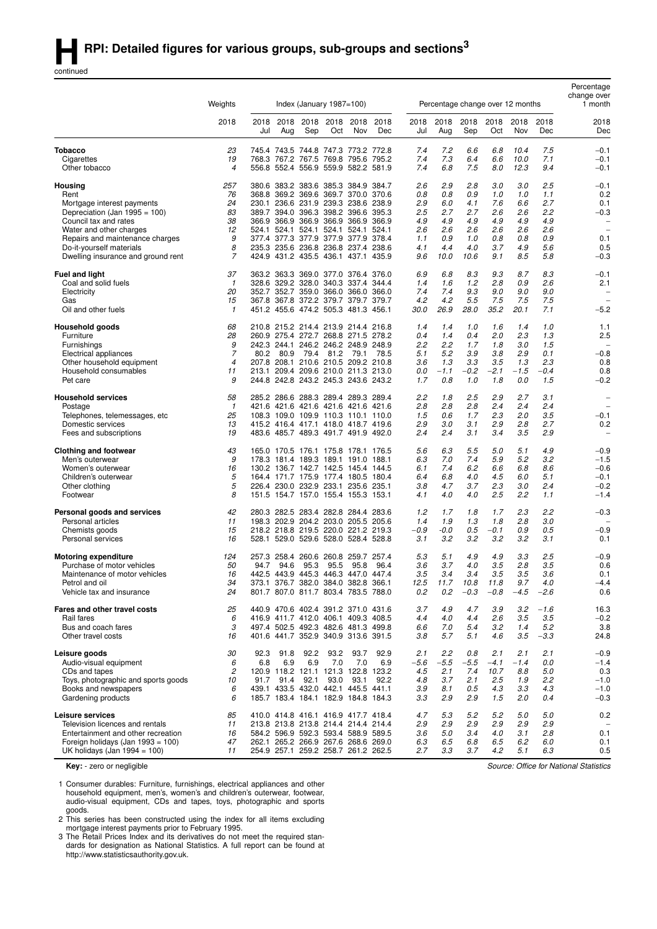continued

|                                                                   |                     |             |             |      |                               |                                                                            |             |               |                                  |               |                |               |               | Percentage<br>change over                            |
|-------------------------------------------------------------------|---------------------|-------------|-------------|------|-------------------------------|----------------------------------------------------------------------------|-------------|---------------|----------------------------------|---------------|----------------|---------------|---------------|------------------------------------------------------|
|                                                                   | Weights             |             |             |      | Index (January $1987 = 100$ ) |                                                                            |             |               | Percentage change over 12 months |               |                |               |               | 1 month                                              |
|                                                                   | 2018                | 2018<br>Jul | 2018<br>Aug | Sep  | 2018 2018<br>Oct              | 2018<br>Nov                                                                | 2018<br>Dec | 2018<br>Jul   | 2018<br>Aug                      | 2018<br>Sep   | 2018<br>Oct    | 2018<br>Nov   | 2018<br>Dec   | 2018<br>Dec                                          |
| <b>Tobacco</b>                                                    | 23                  |             |             |      |                               | 745.4 743.5 744.8 747.3 773.2 772.8                                        |             | 7.4           | 7.2                              | 6.6           | 6.8            | 10.4          | 7.5           | $-0.1$                                               |
| Cigarettes                                                        | 19                  |             |             |      |                               | 768.3 767.2 767.5 769.8 795.6 795.2                                        |             | 7.4           | 7.3                              | 6.4           | 6.6            | 10.0          | 7.1           | -0.1                                                 |
| Other tobacco                                                     | $\overline{4}$      |             |             |      |                               | 556.8 552.4 556.9 559.9 582.2 581.9                                        |             | 7.4           | 6.8                              | 7.5           | 8.0            | 12.3          | 9.4           | $-0.1$                                               |
| Housing                                                           | 257                 | 380.6       |             |      |                               | 383.2 383.6 385.3 384.9 384.7                                              |             | 2.6           | 2.9                              | 2.8           | 3.0            | 3.0           | 2.5           | -0.1                                                 |
| Rent                                                              | 76                  |             |             |      |                               | 368.8 369.2 369.6 369.7 370.0 370.6                                        |             | 0.8           | 0.8                              | 0.9           | 1.0            | 1.0           | 1.1           | 0.2                                                  |
| Mortgage interest payments                                        | 24<br>83            |             |             |      |                               | 230.1 236.6 231.9 239.3 238.6 238.9<br>389.7 394.0 396.3 398.2 396.6 395.3 |             | 2.9<br>2.5    | 6.0<br>2.7                       | 4.1<br>2.7    | 7.6<br>2.6     | 6.6<br>2.6    | 2.7<br>2.2    | 0.1<br>$-0.3$                                        |
| Depreciation (Jan 1995 = 100)<br>Council tax and rates            | 38                  |             |             |      |                               | 366.9 366.9 366.9 366.9 366.9 366.9                                        |             | 4.9           | 4.9                              | 4.9           | 4.9            | 4.9           | 4.9           | $\overline{\phantom{m}}$                             |
| Water and other charges                                           | 12                  |             |             |      |                               | 524.1 524.1 524.1 524.1 524.1 524.1                                        |             | 2.6           | 2.6                              | 2.6           | 2.6            | 2.6           | 2.6           | $\overline{\phantom{0}}$                             |
| Repairs and maintenance charges                                   | 9                   |             |             |      |                               | 377.4 377.3 377.9 377.9 377.9 378.4                                        |             | 1.1           | 0.9                              | 1.0           | 0.8            | 0.8           | 0.9           | 0.1                                                  |
| Do-it-yourself materials                                          | 8                   |             |             |      |                               | 235.3 235.6 236.8 236.8 237.4 238.6                                        |             | 4.1           | 4.4                              | 4.0           | 3.7            | 4.9           | 5.6           | 0.5                                                  |
| Dwelling insurance and ground rent                                | 7                   |             |             |      |                               | 424.9 431.2 435.5 436.1 437.1 435.9                                        |             | 9.6           | 10.0                             | 10.6          | 9.1            | 8.5           | 5.8           | $-0.3$                                               |
| <b>Fuel and light</b>                                             | 37                  |             |             |      |                               | 363.2 363.3 369.0 377.0 376.4                                              | 376.0       | 6.9           | 6.8                              | 8.3           | 9.3            | 8.7           | 8.3           | $-0.1$                                               |
| Coal and solid fuels                                              | 1                   |             |             |      |                               | 328.6 329.2 328.0 340.3 337.4 344.4                                        |             | 1.4           | 1.6                              | 1.2           | 2.8            | 0.9           | 2.6           | 2.1                                                  |
| Electricity<br>Gas                                                | 20<br>15            |             |             |      |                               | 352.7 352.7 359.0 366.0 366.0 366.0<br>367.8 367.8 372.2 379.7 379.7 379.7 |             | 7.4<br>4.2    | 7.4<br>4.2                       | 9.3<br>5.5    | 9.0<br>7.5     | 9.0<br>7.5    | 9.0<br>7.5    | $\overline{\phantom{0}}$<br>$\overline{\phantom{a}}$ |
| Oil and other fuels                                               | $\mathbf{1}$        |             |             |      |                               | 451.2 455.6 474.2 505.3 481.3 456.1                                        |             | 30.0          | 26.9                             | 28.0          | 35.2           | 20.1          | 7.1           | $-5.2$                                               |
| Household goods                                                   | 68                  |             |             |      |                               | 210.8 215.2 214.4 213.9 214.4 216.8                                        |             | 1.4           | 1.4                              | 1.0           | 1.6            | 1.4           | 1.0           | 1.1                                                  |
| Furniture                                                         | 28                  |             |             |      |                               | 260.9 275.4 272.7 268.8 271.5 278.2                                        |             | 0.4           | 1.4                              | 0.4           | 2.0            | 2.3           | 1.3           | 2.5                                                  |
| Furnishings                                                       | 9                   |             |             |      |                               | 242.3 244.1 246.2 246.2 248.9 248.9                                        |             | 2.2           | 2.2                              | 1.7           | 1.8            | 3.0           | 1.5           |                                                      |
| Electrical appliances                                             | 7                   | 80.2        | 80.9        | 79.4 | 81.2                          | 79.1                                                                       | 78.5        | 5.1           | 5.2                              | 3.9           | 3.8            | 2.9           | 0.1           | $-0.8$                                               |
| Other household equipment                                         | $\overline{4}$      |             |             |      |                               | 207.8 208.1 210.6 210.5 209.2 210.8                                        |             | 3.6           | 1.3                              | 3.3           | 3.5            | 1.3           | 2.3           | 0.8                                                  |
| Household consumables<br>Pet care                                 | 11<br>9             | 213.1       |             |      |                               | 209.4 209.6 210.0 211.3 213.0<br>244.8 242.8 243.2 245.3 243.6 243.2       |             | 0.0<br>1.7    | $-1.1$<br>0.8                    | $-0.2$<br>1.0 | $-2.1$<br>1.8  | $-1.5$<br>0.0 | $-0.4$<br>1.5 | 0.8<br>$-0.2$                                        |
|                                                                   |                     |             |             |      |                               |                                                                            |             |               |                                  |               |                |               |               |                                                      |
| <b>Household services</b>                                         | 58                  |             |             |      |                               | 285.2 286.6 288.3 289.4 289.3 289.4                                        |             | 2.2           | 1.8                              | 2.5           | 2.9            | 2.7           | 3.1           | $\overline{\phantom{0}}$                             |
| Postage                                                           | $\mathbf{1}$<br>25  |             |             |      |                               | 421.6 421.6 421.6 421.6 421.6 421.6<br>108.3 109.0 109.9 110.3 110.1 110.0 |             | 2.8<br>1.5    | 2.8<br>0.6                       | 2.8<br>1.7    | 2.4<br>2.3     | 2.4<br>2.0    | 2.4<br>3.5    | $\overline{\phantom{0}}$<br>$-0.1$                   |
| Telephones, telemessages, etc<br>Domestic services                | 13                  |             |             |      |                               | 415.2 416.4 417.1 418.0 418.7 419.6                                        |             | 2.9           | 3.0                              | 3.1           | 2.9            | 2.8           | 2.7           | 0.2                                                  |
| Fees and subscriptions                                            | 19                  |             |             |      |                               | 483.6 485.7 489.3 491.7 491.9 492.0                                        |             | 2.4           | 2.4                              | 3.1           | 3.4            | 3.5           | 2.9           | $\overline{\phantom{m}}$                             |
| <b>Clothing and footwear</b>                                      | 43                  |             |             |      |                               | 165.0 170.5 176.1 175.8 178.1 176.5                                        |             | 5.6           | 6.3                              | 5.5           | 5.0            | 5.1           | 4.9           | $-0.9$                                               |
| Men's outerwear                                                   | 9                   |             |             |      |                               | 178.3 181.4 189.3 189.1 191.0 188.1                                        |             | 6.3           | 7.0                              | 7.4           | 5.9            | 5.2           | 3.2           | $-1.5$                                               |
| Women's outerwear                                                 | 16                  |             |             |      |                               | 130.2 136.7 142.7 142.5 145.4 144.5                                        |             | 6.1           | 7.4                              | 6.2           | 6.6            | 6.8           | 8.6           | $-0.6$                                               |
| Children's outerwear                                              | 5                   |             |             |      |                               | 164.4 171.7 175.9 177.4 180.5 180.4                                        |             | 6.4           | 6.8                              | 4.0           | 4.5            | 6.0           | 5.1           | $-0.1$                                               |
| Other clothing                                                    | 5                   |             |             |      |                               | 226.4 230.0 232.9 233.1 235.6 235.1                                        |             | 3.8           | 4.7                              | 3.7           | 2.3            | 3.0           | 2.4           | $-0.2$                                               |
| Footwear                                                          | 8                   |             |             |      |                               | 151.5 154.7 157.0 155.4 155.3 153.1                                        |             | 4.1           | 4.0                              | 4.0           | 2.5            | 2.2           | 1.1           | $-1.4$                                               |
| Personal goods and services                                       | 42                  |             |             |      |                               | 280.3 282.5 283.4 282.8 284.4 283.6                                        |             | 1.2           | 1.7                              | 1.8           | 1.7            | 2.3           | 2.2           | $-0.3$                                               |
| Personal articles<br>Chemists goods                               | 11<br>15            |             |             |      |                               | 198.3 202.9 204.2 203.0 205.5 205.6<br>218.2 218.8 219.5 220.0 221.2 219.3 |             | 1.4<br>$-0.9$ | 1.9<br>-0.0                      | 1.3<br>0.5    | 1.8<br>$-0.1$  | 2.8<br>0.9    | 3.0<br>0.5    | $-0.9$                                               |
| Personal services                                                 | 16                  |             |             |      |                               | 528.1 529.0 529.6 528.0 528.4 528.8                                        |             | 3.1           | 3.2                              | 3.2           | 3.2            | 3.2           | 3.1           | 0.1                                                  |
| <b>Motoring expenditure</b>                                       | 124                 |             |             |      |                               | 257.3 258.4 260.6 260.8 259.7 257.4                                        |             | 5.3           | 5.1                              | 4.9           | 4.9            | 3.3           | 2.5           | $-0.9$                                               |
| Purchase of motor vehicles                                        | 50                  | 94.7        | 94.6        | 95.3 | 95.5                          | 95.8                                                                       | 96.4        | 3.6           | 3.7                              | 4.0           | 3.5            | 2.8           | 3.5           | 0.6                                                  |
| Maintenance of motor vehicles                                     | 16                  |             |             |      |                               | 442.5 443.9 445.3 446.3 447.0 447.4                                        |             | 3.5           | 3.4                              | 3.4           | 3.5            | 3.5           | 3.6           | 0.1                                                  |
| Petrol and oil                                                    | 34                  |             |             |      |                               | 373.1 376.7 382.0 384.0 382.8 366.1                                        |             | 12.5          | 11.7                             | 10.8          | 11.8           | 9.7           | 4.0           | $-4.4$                                               |
| Vehicle tax and insurance                                         | 24                  |             |             |      |                               | 801.7 807.0 811.7 803.4 783.5 788.0                                        |             | 0.2           | 0.2                              | $-0.3$        | $-0.8$         | $-4.5$        | $-2.6$        | 0.6                                                  |
| Fares and other travel costs                                      | 25                  |             |             |      |                               | 440.9 470.6 402.4 391.2 371.0 431.6                                        |             | 3.7           | 4.9                              | 4.7           | 3.9            | 3.2           | $-1.6$        | 16.3                                                 |
| Rail fares                                                        | 6                   |             |             |      |                               | 416.9 411.7 412.0 406.1 409.3 408.5                                        |             | 4.4           | 4.0                              | 4.4           | 2.6            | 3.5           | 3.5           | $-0.2$                                               |
| Bus and coach fares<br>Other travel costs                         | 3<br>16             |             |             |      |                               | 497.4 502.5 492.3 482.6 481.3 499.8<br>401.6 441.7 352.9 340.9 313.6 391.5 |             | 6.6<br>3.8    | 7.0<br>5.7                       | 5.4<br>5.1    | 3.2<br>4.6     | 1.4<br>3.5    | 5.2<br>$-3.3$ | 3.8<br>24.8                                          |
|                                                                   |                     |             |             |      |                               |                                                                            |             |               |                                  |               |                |               |               |                                                      |
| Leisure goods                                                     | 30                  | 92.3        | 91.8        | 92.2 | 93.2                          | 93.7                                                                       | 92.9        | 2.1           | 2.2                              | 0.8           | 2.1            | 2.1           | 2.1           | $-0.9$                                               |
| Audio-visual equipment<br>CDs and tapes                           | 6<br>$\overline{c}$ | 6.8         | 6.9         | 6.9  | 7.0                           | 7.0<br>120.9 118.2 121.1 121.3 122.8 123.2                                 | 6.9         | $-5.6$<br>4.5 | $-5.5$<br>2.1                    | $-5.5$<br>7.4 | $-4.1$<br>10.7 | $-1.4$<br>8.8 | 0.0<br>5.0    | $-1.4$<br>0.3                                        |
| Toys, photographic and sports goods                               | 10                  |             | 91.7 91.4   | 92.1 | 93.0                          | 93.1                                                                       | 92.2        | 4.8           | 3.7                              | 2.1           | 2.5            | 1.9           | 2.2           | $-1.0$                                               |
| Books and newspapers                                              | 6                   |             |             |      |                               | 439.1 433.5 432.0 442.1 445.5 441.1                                        |             | 3.9           | 8.1                              | 0.5           | 4.3            | 3.3           | 4.3           | $-1.0$                                               |
| Gardening products                                                | 6                   |             |             |      |                               | 185.7 183.4 184.1 182.9 184.8 184.3                                        |             | 3.3           | 2.9                              | 2.9           | 1.5            | 2.0           | 0.4           | $-0.3$                                               |
| Leisure services                                                  | 85                  |             |             |      |                               | 410.0 414.8 416.1 416.9 417.7 418.4                                        |             | 4.7           | 5.3                              | 5.2           | 5.2            | 5.0           | 5.0           | 0.2                                                  |
| Television licences and rentals                                   | 11                  |             |             |      |                               | 213.8 213.8 213.8 214.4 214.4 214.4                                        |             | 2.9           | 2.9                              | 2.9           | 2.9            | 2.9           | 2.9           | $\overline{\phantom{a}}$                             |
| Entertainment and other recreation                                | 16                  |             |             |      |                               | 584.2 596.9 592.3 593.4 588.9 589.5                                        |             | 3.6           | 5.0                              | 3.4           | 4.0            | 3.1           | 2.8           | 0.1                                                  |
| Foreign holidays (Jan 1993 = 100)<br>UK holidays (Jan 1994 = 100) | 47<br>11            |             |             |      |                               | 262.1 265.2 266.9 267.6 268.6 269.0<br>254.9 257.1 259.2 258.7 261.2 262.5 |             | 6.3<br>2.7    | 6.5<br>3.3                       | 6.8<br>3.7    | 6.5<br>4.2     | 6.2<br>5.1    | 6.0<br>6.3    | 0.1<br>0.5                                           |
|                                                                   |                     |             |             |      |                               |                                                                            |             |               |                                  |               |                |               |               |                                                      |

**Key:** - zero or negligible

1 Consumer durables: Furniture, fur nishings, electr ical appliances and other household equipment, men's, women's and children's outerwear, footwear, audio-visual equipment, CDs and tapes, toys, photographic and sports goods.

2 This series has been constructed using the index for all items excluding mortgage interest payments prior to February 1995.

3 The Retail Prices Index and its derivatives do not meet the required standards for designation as National Statistics. A full report can be found at http://www.statisticsauthority.gov.uk.